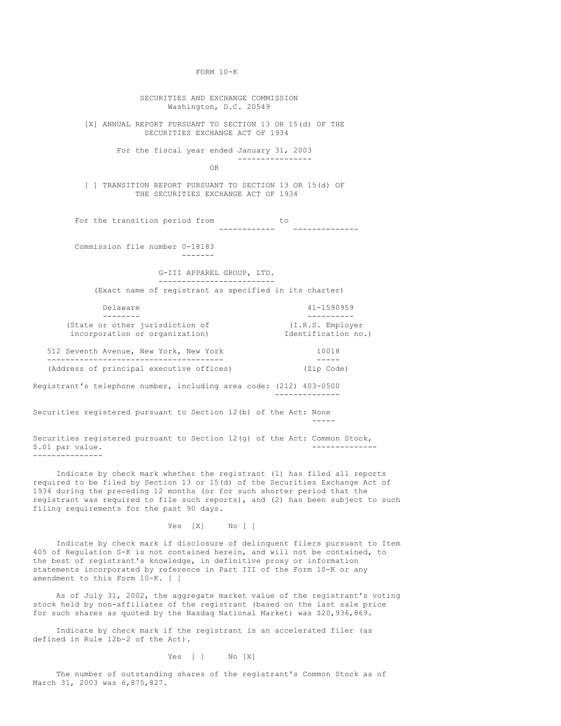SECURITIES AND EXCHANGE COMMISSION Washington, D.C. 20549 [X] ANNUAL REPORT PURSUANT TO SECTION 13 OR 15(d) OF THE SECURITIES EXCHANGE ACT OF 1934 For the fiscal year ended January 31, 2003 ---------------- OR [ ] TRANSITION REPORT PURSUANT TO SECTION 13 OR 15(d) OF THE SECURITIES EXCHANGE ACT OF 1934 For the transition period from to<br>------------------------ -------------- Commission file number 0-18183 ------- G-III APPAREL GROUP, LTD. ------------------------- (Exact name of registrant as specified in its charter) Delaware 41-1590959 -------- ---------- (State or other jurisdiction of  $(1,R.S.$  Employer incorporation or organization) Identification no.) incorporation or organization) 512 Seventh Avenue, New York, New York 10018 -------------------------------------- ----- (Address of principal executive offices) (Zip Code) Registrant's telephone number, including area code: (212) 403-0500 -------------- Securities registered pursuant to Section 12(b) of the Act: None ----- Securities registered pursuant to Section 12(g) of the Act: Common Stock,<br>S.01 par value \$.01 par value.

FORM 10-K

Indicate by check mark whether the registrant (1) has filed all reports required to be filed by Section 13 or 15(d) of the Securities Exchange Act of 1934 during the preceding 12 months (or for such shorter period that the registrant was required to file such reports), and (2) has been subject to such filing requirements for the past 90 days.

---------------

Yes [X] No [ ]

Indicate by check mark if disclosure of delinquent filers pursuant to Item 405 of Regulation S-K is not contained herein, and will not be contained, to the best of registrant's knowledge, in definitive proxy or information statements incorporated by reference in Part III of the Form 10-K or any amendment to this Form 10-K. [ ]

As of July 31, 2002, the aggregate market value of the registrant's voting stock held by non-affiliates of the registrant (based on the last sale price for such shares as quoted by the Nasdaq National Market) was \$20,936,869.

Indicate by check mark if the registrant is an accelerated filer (as defined in Rule 12b-2 of the Act).

Yes [ ] No [X]

The number of outstanding shares of the registrant's Common Stock as of March 31, 2003 was 6,875,827.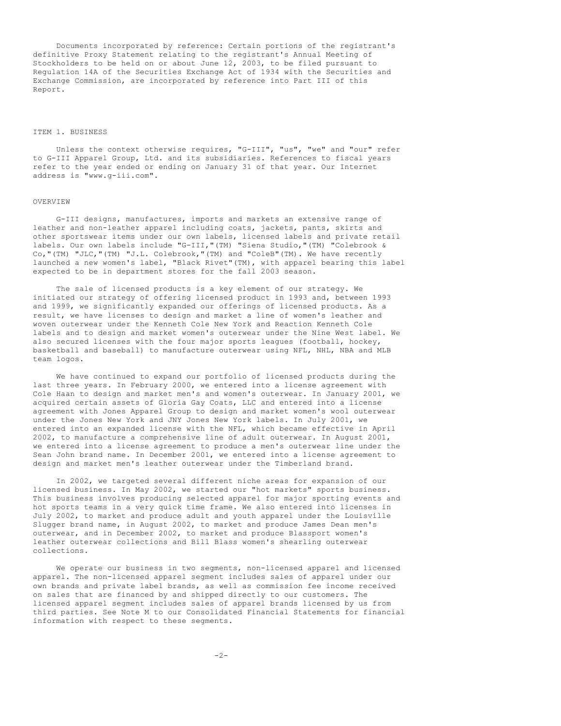Documents incorporated by reference: Certain portions of the registrant's definitive Proxy Statement relating to the registrant's Annual Meeting of Stockholders to be held on or about June 12, 2003, to be filed pursuant to Regulation 14A of the Securities Exchange Act of 1934 with the Securities and Exchange Commission, are incorporated by reference into Part III of this Report.

## ITEM 1. BUSINESS

Unless the context otherwise requires, "G-III", "us", "we" and "our" refer to G-III Apparel Group, Ltd. and its subsidiaries. References to fiscal years refer to the year ended or ending on January 31 of that year. Our Internet address is "www.g-iii.com".

## OVERVIEW

G-III designs, manufactures, imports and markets an extensive range of leather and non-leather apparel including coats, jackets, pants, skirts and other sportswear items under our own labels, licensed labels and private retail labels. Our own labels include "G-III,"(TM) "Siena Studio,"(TM) "Colebrook & Co,"(TM) "JLC,"(TM) "J.L. Colebrook,"(TM) and "ColeB"(TM). We have recently launched a new women's label, "Black Rivet"(TM), with apparel bearing this label expected to be in department stores for the fall 2003 season.

The sale of licensed products is a key element of our strategy. We initiated our strategy of offering licensed product in 1993 and, between 1993 and 1999, we significantly expanded our offerings of licensed products. As a result, we have licenses to design and market a line of women's leather and woven outerwear under the Kenneth Cole New York and Reaction Kenneth Cole labels and to design and market women's outerwear under the Nine West label. We also secured licenses with the four major sports leagues (football, hockey, basketball and baseball) to manufacture outerwear using NFL, NHL, NBA and MLB team logos.

We have continued to expand our portfolio of licensed products during the last three years. In February 2000, we entered into a license agreement with Cole Haan to design and market men's and women's outerwear. In January 2001, we acquired certain assets of Gloria Gay Coats, LLC and entered into a license agreement with Jones Apparel Group to design and market women's wool outerwear under the Jones New York and JNY Jones New York labels. In July 2001, we entered into an expanded license with the NFL, which became effective in April 2002, to manufacture a comprehensive line of adult outerwear. In August 2001, we entered into a license agreement to produce a men's outerwear line under the Sean John brand name. In December 2001, we entered into a license agreement to design and market men's leather outerwear under the Timberland brand.

In 2002, we targeted several different niche areas for expansion of our licensed business. In May 2002, we started our "hot markets" sports business. This business involves producing selected apparel for major sporting events and hot sports teams in a very quick time frame. We also entered into licenses in July 2002, to market and produce adult and youth apparel under the Louisville Slugger brand name, in August 2002, to market and produce James Dean men's outerwear, and in December 2002, to market and produce Blassport women's leather outerwear collections and Bill Blass women's shearling outerwear collections.

We operate our business in two segments, non-licensed apparel and licensed apparel. The non-licensed apparel segment includes sales of apparel under our own brands and private label brands, as well as commission fee income received on sales that are financed by and shipped directly to our customers. The licensed apparel segment includes sales of apparel brands licensed by us from third parties. See Note M to our Consolidated Financial Statements for financial information with respect to these segments.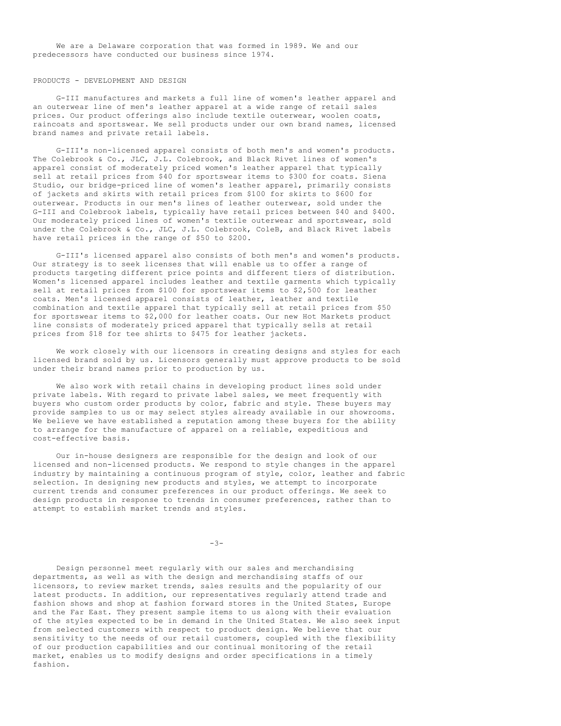We are a Delaware corporation that was formed in 1989. We and our predecessors have conducted our business since 1974.

#### PRODUCTS - DEVELOPMENT AND DESIGN

G-III manufactures and markets a full line of women's leather apparel and an outerwear line of men's leather apparel at a wide range of retail sales prices. Our product offerings also include textile outerwear, woolen coats, raincoats and sportswear. We sell products under our own brand names, licensed brand names and private retail labels.

G-III's non-licensed apparel consists of both men's and women's products. The Colebrook & Co., JLC, J.L. Colebrook, and Black Rivet lines of women's apparel consist of moderately priced women's leather apparel that typically sell at retail prices from \$40 for sportswear items to \$300 for coats. Siena Studio, our bridge-priced line of women's leather apparel, primarily consists of jackets and skirts with retail prices from \$100 for skirts to \$600 for outerwear. Products in our men's lines of leather outerwear, sold under the G-III and Colebrook labels, typically have retail prices between \$40 and \$400. Our moderately priced lines of women's textile outerwear and sportswear, sold under the Colebrook & Co., JLC, J.L. Colebrook, ColeB, and Black Rivet labels have retail prices in the range of \$50 to \$200.

G-III's licensed apparel also consists of both men's and women's products. Our strategy is to seek licenses that will enable us to offer a range of products targeting different price points and different tiers of distribution. Women's licensed apparel includes leather and textile garments which typically sell at retail prices from \$100 for sportswear items to \$2,500 for leather coats. Men's licensed apparel consists of leather, leather and textile combination and textile apparel that typically sell at retail prices from \$50 for sportswear items to \$2,000 for leather coats. Our new Hot Markets product line consists of moderately priced apparel that typically sells at retail prices from \$18 for tee shirts to \$475 for leather jackets.

We work closely with our licensors in creating designs and styles for each licensed brand sold by us. Licensors generally must approve products to be sold under their brand names prior to production by us.

We also work with retail chains in developing product lines sold under private labels. With regard to private label sales, we meet frequently with buyers who custom order products by color, fabric and style. These buyers may provide samples to us or may select styles already available in our showrooms. We believe we have established a reputation among these buyers for the ability to arrange for the manufacture of apparel on a reliable, expeditious and cost-effective basis.

Our in-house designers are responsible for the design and look of our licensed and non-licensed products. We respond to style changes in the apparel industry by maintaining a continuous program of style, color, leather and fabric selection. In designing new products and styles, we attempt to incorporate current trends and consumer preferences in our product offerings. We seek to design products in response to trends in consumer preferences, rather than to attempt to establish market trends and styles.

 $-3-$ 

Design personnel meet regularly with our sales and merchandising departments, as well as with the design and merchandising staffs of our licensors, to review market trends, sales results and the popularity of our latest products. In addition, our representatives regularly attend trade and fashion shows and shop at fashion forward stores in the United States, Europe and the Far East. They present sample items to us along with their evaluation of the styles expected to be in demand in the United States. We also seek input from selected customers with respect to product design. We believe that our sensitivity to the needs of our retail customers, coupled with the flexibility of our production capabilities and our continual monitoring of the retail market, enables us to modify designs and order specifications in a timely fashion.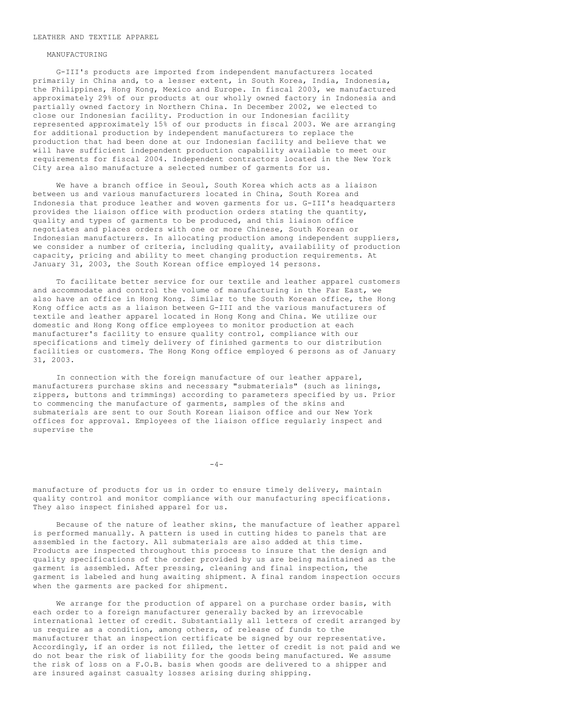#### LEATHER AND TEXTILE APPAREL

#### MANUFACTURING

G-III's products are imported from independent manufacturers located primarily in China and, to a lesser extent, in South Korea, India, Indonesia, the Philippines, Hong Kong, Mexico and Europe. In fiscal 2003, we manufactured approximately 29% of our products at our wholly owned factory in Indonesia and partially owned factory in Northern China. In December 2002, we elected to close our Indonesian facility. Production in our Indonesian facility represented approximately 15% of our products in fiscal 2003. We are arranging for additional production by independent manufacturers to replace the production that had been done at our Indonesian facility and believe that we will have sufficient independent production capability available to meet our requirements for fiscal 2004. Independent contractors located in the New York City area also manufacture a selected number of garments for us.

We have a branch office in Seoul, South Korea which acts as a liaison between us and various manufacturers located in China, South Korea and Indonesia that produce leather and woven garments for us. G-III's headquarters provides the liaison office with production orders stating the quantity, quality and types of garments to be produced, and this liaison office negotiates and places orders with one or more Chinese, South Korean or Indonesian manufacturers. In allocating production among independent suppliers, we consider a number of criteria, including quality, availability of production capacity, pricing and ability to meet changing production requirements. At January 31, 2003, the South Korean office employed 14 persons.

To facilitate better service for our textile and leather apparel customers and accommodate and control the volume of manufacturing in the Far East, we also have an office in Hong Kong. Similar to the South Korean office, the Hong Kong office acts as a liaison between G-III and the various manufacturers of textile and leather apparel located in Hong Kong and China. We utilize our domestic and Hong Kong office employees to monitor production at each manufacturer's facility to ensure quality control, compliance with our specifications and timely delivery of finished garments to our distribution facilities or customers. The Hong Kong office employed 6 persons as of January 31, 2003.

In connection with the foreign manufacture of our leather apparel, manufacturers purchase skins and necessary "submaterials" (such as linings, zippers, buttons and trimmings) according to parameters specified by us. Prior to commencing the manufacture of garments, samples of the skins and submaterials are sent to our South Korean liaison office and our New York offices for approval. Employees of the liaison office regularly inspect and supervise the

 $-4-$ 

manufacture of products for us in order to ensure timely delivery, maintain quality control and monitor compliance with our manufacturing specifications. They also inspect finished apparel for us.

Because of the nature of leather skins, the manufacture of leather apparel is performed manually. A pattern is used in cutting hides to panels that are assembled in the factory. All submaterials are also added at this time. Products are inspected throughout this process to insure that the design and quality specifications of the order provided by us are being maintained as the garment is assembled. After pressing, cleaning and final inspection, the garment is labeled and hung awaiting shipment. A final random inspection occurs when the garments are packed for shipment.

We arrange for the production of apparel on a purchase order basis, with each order to a foreign manufacturer generally backed by an irrevocable international letter of credit. Substantially all letters of credit arranged by us require as a condition, among others, of release of funds to the manufacturer that an inspection certificate be signed by our representative. Accordingly, if an order is not filled, the letter of credit is not paid and we do not bear the risk of liability for the goods being manufactured. We assume the risk of loss on a F.O.B. basis when goods are delivered to a shipper and are insured against casualty losses arising during shipping.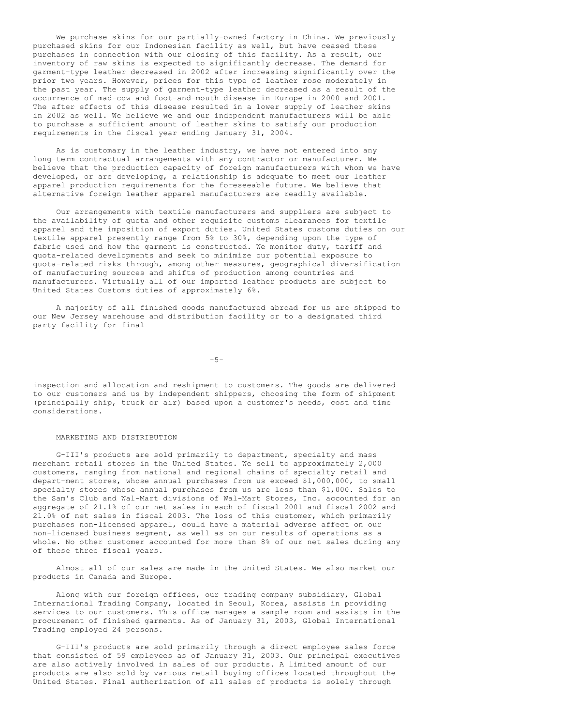We purchase skins for our partially-owned factory in China. We previously purchased skins for our Indonesian facility as well, but have ceased these purchases in connection with our closing of this facility. As a result, our inventory of raw skins is expected to significantly decrease. The demand for garment-type leather decreased in 2002 after increasing significantly over the prior two years. However, prices for this type of leather rose moderately in the past year. The supply of garment-type leather decreased as a result of the occurrence of mad-cow and foot-and-mouth disease in Europe in 2000 and 2001. The after effects of this disease resulted in a lower supply of leather skins in 2002 as well. We believe we and our independent manufacturers will be able to purchase a sufficient amount of leather skins to satisfy our production requirements in the fiscal year ending January 31, 2004.

As is customary in the leather industry, we have not entered into any long-term contractual arrangements with any contractor or manufacturer. We believe that the production capacity of foreign manufacturers with whom we have developed, or are developing, a relationship is adequate to meet our leather apparel production requirements for the foreseeable future. We believe that alternative foreign leather apparel manufacturers are readily available.

Our arrangements with textile manufacturers and suppliers are subject to the availability of quota and other requisite customs clearances for textile apparel and the imposition of export duties. United States customs duties on our textile apparel presently range from 5% to 30%, depending upon the type of fabric used and how the garment is constructed. We monitor duty, tariff and quota-related developments and seek to minimize our potential exposure to quota-related risks through, among other measures, geographical diversification of manufacturing sources and shifts of production among countries and manufacturers. Virtually all of our imported leather products are subject to United States Customs duties of approximately 6%.

A majority of all finished goods manufactured abroad for us are shipped to our New Jersey warehouse and distribution facility or to a designated third party facility for final

 $-5-$ 

inspection and allocation and reshipment to customers. The goods are delivered to our customers and us by independent shippers, choosing the form of shipment (principally ship, truck or air) based upon a customer's needs, cost and time considerations.

#### MARKETING AND DISTRIBUTION

G-III's products are sold primarily to department, specialty and mass merchant retail stores in the United States. We sell to approximately 2,000 customers, ranging from national and regional chains of specialty retail and depart-ment stores, whose annual purchases from us exceed \$1,000,000, to small specialty stores whose annual purchases from us are less than \$1,000. Sales to the Sam's Club and Wal-Mart divisions of Wal-Mart Stores, Inc. accounted for an aggregate of 21.1% of our net sales in each of fiscal 2001 and fiscal 2002 and 21.0% of net sales in fiscal 2003. The loss of this customer, which primarily purchases non-licensed apparel, could have a material adverse affect on our non-licensed business segment, as well as on our results of operations as a whole. No other customer accounted for more than 8% of our net sales during any of these three fiscal years.

Almost all of our sales are made in the United States. We also market our products in Canada and Europe.

Along with our foreign offices, our trading company subsidiary, Global International Trading Company, located in Seoul, Korea, assists in providing services to our customers. This office manages a sample room and assists in the procurement of finished garments. As of January 31, 2003, Global International Trading employed 24 persons.

G-III's products are sold primarily through a direct employee sales force that consisted of 59 employees as of January 31, 2003. Our principal executives are also actively involved in sales of our products. A limited amount of our products are also sold by various retail buying offices located throughout the United States. Final authorization of all sales of products is solely through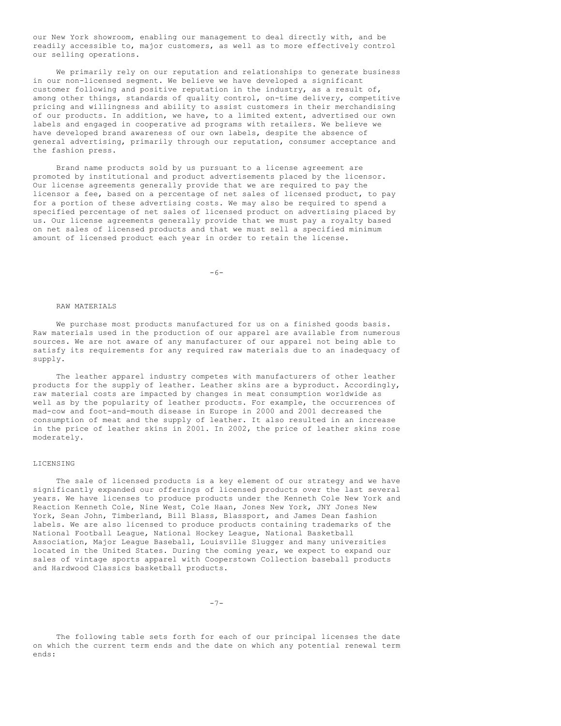our New York showroom, enabling our management to deal directly with, and be readily accessible to, major customers, as well as to more effectively control our selling operations.

We primarily rely on our reputation and relationships to generate business in our non-licensed segment. We believe we have developed a significant customer following and positive reputation in the industry, as a result of, among other things, standards of quality control, on-time delivery, competitive pricing and willingness and ability to assist customers in their merchandising of our products. In addition, we have, to a limited extent, advertised our own labels and engaged in cooperative ad programs with retailers. We believe we have developed brand awareness of our own labels, despite the absence of general advertising, primarily through our reputation, consumer acceptance and the fashion press.

Brand name products sold by us pursuant to a license agreement are promoted by institutional and product advertisements placed by the licensor. Our license agreements generally provide that we are required to pay the licensor a fee, based on a percentage of net sales of licensed product, to pay for a portion of these advertising costs. We may also be required to spend a specified percentage of net sales of licensed product on advertising placed by us. Our license agreements generally provide that we must pay a royalty based on net sales of licensed products and that we must sell a specified minimum amount of licensed product each year in order to retain the license.

 $-6-$ 

#### RAW MATERIALS

We purchase most products manufactured for us on a finished goods basis. Raw materials used in the production of our apparel are available from numerous sources. We are not aware of any manufacturer of our apparel not being able to satisfy its requirements for any required raw materials due to an inadequacy of supply.

The leather apparel industry competes with manufacturers of other leather products for the supply of leather. Leather skins are a byproduct. Accordingly, raw material costs are impacted by changes in meat consumption worldwide as well as by the popularity of leather products. For example, the occurrences of mad-cow and foot-and-mouth disease in Europe in 2000 and 2001 decreased the consumption of meat and the supply of leather. It also resulted in an increase in the price of leather skins in 2001. In 2002, the price of leather skins rose moderately.

#### LICENSING

The sale of licensed products is a key element of our strategy and we have significantly expanded our offerings of licensed products over the last several years. We have licenses to produce products under the Kenneth Cole New York and Reaction Kenneth Cole, Nine West, Cole Haan, Jones New York, JNY Jones New York, Sean John, Timberland, Bill Blass, Blassport, and James Dean fashion labels. We are also licensed to produce products containing trademarks of the National Football League, National Hockey League, National Basketball Association, Major League Baseball, Louisville Slugger and many universities located in the United States. During the coming year, we expect to expand our sales of vintage sports apparel with Cooperstown Collection baseball products and Hardwood Classics basketball products.

 $-7-$ 

The following table sets forth for each of our principal licenses the date on which the current term ends and the date on which any potential renewal term ends: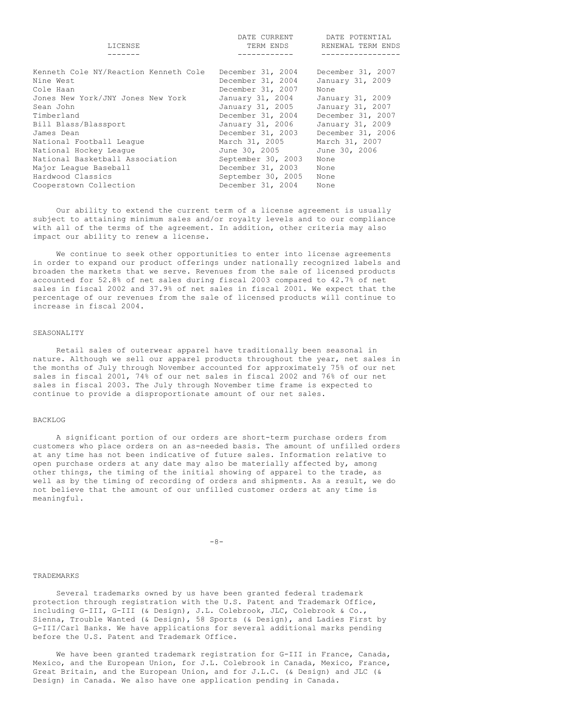|                                       | DATE CURRENT       | DATE POTENTIAL    |
|---------------------------------------|--------------------|-------------------|
| LICENSE                               | TERM ENDS          | RENEWAL TERM ENDS |
|                                       |                    |                   |
|                                       |                    |                   |
| Kenneth Cole NY/Reaction Kenneth Cole | December 31, 2004  | December 31, 2007 |
| Nine West                             | December 31, 2004  | January 31, 2009  |
| Cole Haan                             | December 31, 2007  | None              |
| Jones New York/JNY Jones New York     | January 31, 2004   | January 31, 2009  |
| Sean John                             | January 31, 2005   | January 31, 2007  |
| Timberland                            | December 31, 2004  | December 31, 2007 |
| Bill Blass/Blassport                  | January 31, 2006   | January 31, 2009  |
| James Dean                            | December 31, 2003  | December 31, 2006 |
| National Football Leaque              | March 31, 2005     | March 31, 2007    |
| National Hockey League                | June 30, 2005      | June 30, 2006     |
| National Basketball Association       | September 30, 2003 | None              |
| Major League Baseball                 | December 31, 2003  | None              |
| Hardwood Classics                     | September 30, 2005 | None              |
| Cooperstown Collection                | December 31, 2004  | None              |
|                                       |                    |                   |

Our ability to extend the current term of a license agreement is usually subject to attaining minimum sales and/or royalty levels and to our compliance with all of the terms of the agreement. In addition, other criteria may also impact our ability to renew a license.

We continue to seek other opportunities to enter into license agreements in order to expand our product offerings under nationally recognized labels and broaden the markets that we serve. Revenues from the sale of licensed products accounted for 52.8% of net sales during fiscal 2003 compared to 42.7% of net sales in fiscal 2002 and 37.9% of net sales in fiscal 2001. We expect that the percentage of our revenues from the sale of licensed products will continue to increase in fiscal 2004.

### SEASONALITY

Retail sales of outerwear apparel have traditionally been seasonal in nature. Although we sell our apparel products throughout the year, net sales in the months of July through November accounted for approximately 75% of our net sales in fiscal 2001, 74% of our net sales in fiscal 2002 and 76% of our net sales in fiscal 2003. The July through November time frame is expected to continue to provide a disproportionate amount of our net sales.

## BACKLOG

A significant portion of our orders are short-term purchase orders from customers who place orders on an as-needed basis. The amount of unfilled orders at any time has not been indicative of future sales. Information relative to open purchase orders at any date may also be materially affected by, among other things, the timing of the initial showing of apparel to the trade, as well as by the timing of recording of orders and shipments. As a result, we do not believe that the amount of our unfilled customer orders at any time is meaningful.

 $-8-$ 

#### TRADEMARKS

Several trademarks owned by us have been granted federal trademark protection through registration with the U.S. Patent and Trademark Office, including G-III, G-III (& Design), J.L. Colebrook, JLC, Colebrook & Co., Sienna, Trouble Wanted (& Design), 58 Sports (& Design), and Ladies First by G-III/Carl Banks. We have applications for several additional marks pending before the U.S. Patent and Trademark Office.

We have been granted trademark registration for G-III in France, Canada, Mexico, and the European Union, for J.L. Colebrook in Canada, Mexico, France, Great Britain, and the European Union, and for J.L.C. (& Design) and JLC (& Design) in Canada. We also have one application pending in Canada.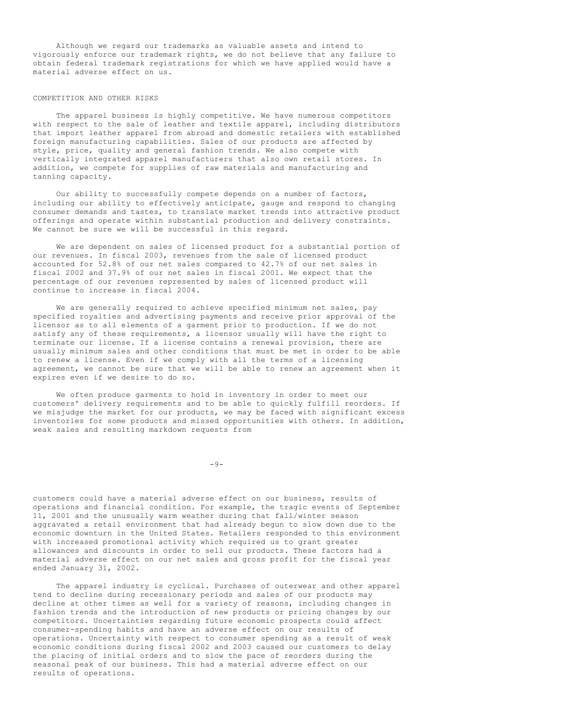Although we regard our trademarks as valuable assets and intend to vigorously enforce our trademark rights, we do not believe that any failure to obtain federal trademark registrations for which we have applied would have a material adverse effect on us.

#### COMPETITION AND OTHER RISKS

The apparel business is highly competitive. We have numerous competitors with respect to the sale of leather and textile apparel, including distributors that import leather apparel from abroad and domestic retailers with established foreign manufacturing capabilities. Sales of our products are affected by style, price, quality and general fashion trends. We also compete with vertically integrated apparel manufacturers that also own retail stores. In addition, we compete for supplies of raw materials and manufacturing and tanning capacity.

Our ability to successfully compete depends on a number of factors, including our ability to effectively anticipate, gauge and respond to changing consumer demands and tastes, to translate market trends into attractive product offerings and operate within substantial production and delivery constraints. We cannot be sure we will be successful in this regard.

We are dependent on sales of licensed product for a substantial portion of our revenues. In fiscal 2003, revenues from the sale of licensed product accounted for 52.8% of our net sales compared to 42.7% of our net sales in fiscal 2002 and 37.9% of our net sales in fiscal 2001. We expect that the percentage of our revenues represented by sales of licensed product will continue to increase in fiscal 2004.

We are generally required to achieve specified minimum net sales, pay specified royalties and advertising payments and receive prior approval of the licensor as to all elements of a garment prior to production. If we do not satisfy any of these requirements, a licensor usually will have the right to terminate our license. If a license contains a renewal provision, there are usually minimum sales and other conditions that must be met in order to be able to renew a license. Even if we comply with all the terms of a licensing agreement, we cannot be sure that we will be able to renew an agreement when it expires even if we desire to do so.

We often produce garments to hold in inventory in order to meet our customers' delivery requirements and to be able to quickly fulfill reorders. If we misjudge the market for our products, we may be faced with significant excess inventories for some products and missed opportunities with others. In addition, weak sales and resulting markdown requests from

 $-9-$ 

customers could have a material adverse effect on our business, results of operations and financial condition. For example, the tragic events of September 11, 2001 and the unusually warm weather during that fall/winter season aggravated a retail environment that had already begun to slow down due to the economic downturn in the United States. Retailers responded to this environment with increased promotional activity which required us to grant greater allowances and discounts in order to sell our products. These factors had a material adverse effect on our net sales and gross profit for the fiscal year ended January 31, 2002.

The apparel industry is cyclical. Purchases of outerwear and other apparel tend to decline during recessionary periods and sales of our products may decline at other times as well for a variety of reasons, including changes in fashion trends and the introduction of new products or pricing changes by our competitors. Uncertainties regarding future economic prospects could affect consumer-spending habits and have an adverse effect on our results of operations. Uncertainty with respect to consumer spending as a result of weak economic conditions during fiscal 2002 and 2003 caused our customers to delay the placing of initial orders and to slow the pace of reorders during the seasonal peak of our business. This had a material adverse effect on our results of operations.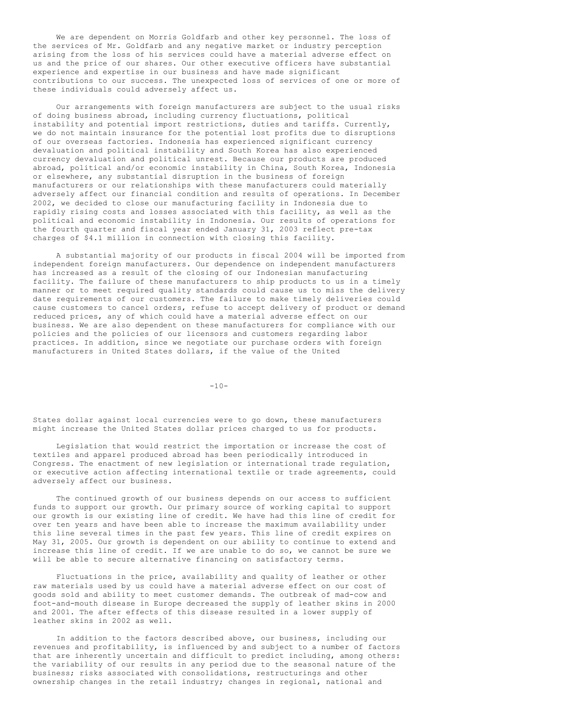We are dependent on Morris Goldfarb and other key personnel. The loss of the services of Mr. Goldfarb and any negative market or industry perception arising from the loss of his services could have a material adverse effect on us and the price of our shares. Our other executive officers have substantial experience and expertise in our business and have made significant contributions to our success. The unexpected loss of services of one or more of these individuals could adversely affect us.

Our arrangements with foreign manufacturers are subject to the usual risks of doing business abroad, including currency fluctuations, political instability and potential import restrictions, duties and tariffs. Currently, we do not maintain insurance for the potential lost profits due to disruptions of our overseas factories. Indonesia has experienced significant currency devaluation and political instability and South Korea has also experienced currency devaluation and political unrest. Because our products are produced abroad, political and/or economic instability in China, South Korea, Indonesia or elsewhere, any substantial disruption in the business of foreign manufacturers or our relationships with these manufacturers could materially adversely affect our financial condition and results of operations. In December 2002, we decided to close our manufacturing facility in Indonesia due to rapidly rising costs and losses associated with this facility, as well as the political and economic instability in Indonesia. Our results of operations for the fourth quarter and fiscal year ended January 31, 2003 reflect pre-tax charges of \$4.1 million in connection with closing this facility.

A substantial majority of our products in fiscal 2004 will be imported from independent foreign manufacturers. Our dependence on independent manufacturers has increased as a result of the closing of our Indonesian manufacturing facility. The failure of these manufacturers to ship products to us in a timely manner or to meet required quality standards could cause us to miss the delivery date requirements of our customers. The failure to make timely deliveries could cause customers to cancel orders, refuse to accept delivery of product or demand reduced prices, any of which could have a material adverse effect on our business. We are also dependent on these manufacturers for compliance with our policies and the policies of our licensors and customers regarding labor practices. In addition, since we negotiate our purchase orders with foreign manufacturers in United States dollars, if the value of the United

 $-10-$ 

States dollar against local currencies were to go down, these manufacturers might increase the United States dollar prices charged to us for products.

Legislation that would restrict the importation or increase the cost of textiles and apparel produced abroad has been periodically introduced in Congress. The enactment of new legislation or international trade regulation, or executive action affecting international textile or trade agreements, could adversely affect our business.

The continued growth of our business depends on our access to sufficient funds to support our growth. Our primary source of working capital to support our growth is our existing line of credit. We have had this line of credit for over ten years and have been able to increase the maximum availability under this line several times in the past few years. This line of credit expires on May 31, 2005. Our growth is dependent on our ability to continue to extend and increase this line of credit. If we are unable to do so, we cannot be sure we will be able to secure alternative financing on satisfactory terms.

Fluctuations in the price, availability and quality of leather or other raw materials used by us could have a material adverse effect on our cost of goods sold and ability to meet customer demands. The outbreak of mad-cow and foot-and-mouth disease in Europe decreased the supply of leather skins in 2000 and 2001. The after effects of this disease resulted in a lower supply of leather skins in 2002 as well.

In addition to the factors described above, our business, including our revenues and profitability, is influenced by and subject to a number of factors that are inherently uncertain and difficult to predict including, among others: the variability of our results in any period due to the seasonal nature of the business; risks associated with consolidations, restructurings and other ownership changes in the retail industry; changes in regional, national and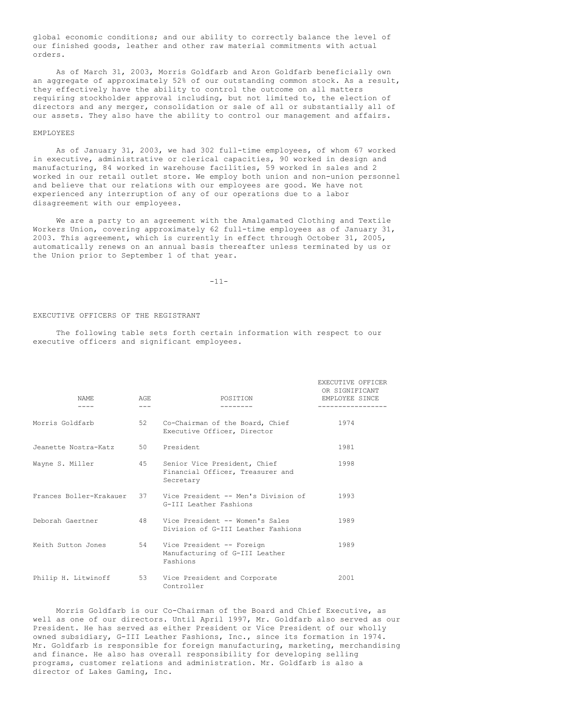global economic conditions; and our ability to correctly balance the level of our finished goods, leather and other raw material commitments with actual orders.

As of March 31, 2003, Morris Goldfarb and Aron Goldfarb beneficially own an aggregate of approximately 52% of our outstanding common stock. As a result, they effectively have the ability to control the outcome on all matters requiring stockholder approval including, but not limited to, the election of directors and any merger, consolidation or sale of all or substantially all of our assets. They also have the ability to control our management and affairs.

#### EMPLOYEES

As of January 31, 2003, we had 302 full-time employees, of whom 67 worked in executive, administrative or clerical capacities, 90 worked in design and manufacturing, 84 worked in warehouse facilities, 59 worked in sales and 2 worked in our retail outlet store. We employ both union and non-union personnel and believe that our relations with our employees are good. We have not experienced any interruption of any of our operations due to a labor disagreement with our employees.

We are a party to an agreement with the Amalgamated Clothing and Textile Workers Union, covering approximately 62 full-time employees as of January 31, 2003. This agreement, which is currently in effect through October 31, 2005, automatically renews on an annual basis thereafter unless terminated by us or the Union prior to September 1 of that year.

-11-

#### EXECUTIVE OFFICERS OF THE REGISTRANT

The following table sets forth certain information with respect to our executive officers and significant employees.

| NAME.<br>----           | AGE.<br>$- - -$ | POSITION                                                                      | EXECUTIVE OFFICER<br>OR SIGNIFICANT<br>EMPLOYEE SINCE |
|-------------------------|-----------------|-------------------------------------------------------------------------------|-------------------------------------------------------|
| Morris Goldfarb         | 52.             | Co-Chairman of the Board, Chief<br>Executive Officer, Director                | 1974                                                  |
| Jeanette Nostra-Katz    | 50 —            | President                                                                     | 1981                                                  |
| Wayne S. Miller         | $45 -$          | Senior Vice President, Chief<br>Financial Officer, Treasurer and<br>Secretary | 1998                                                  |
| Frances Boller-Krakauer |                 | 37 Vice President -- Men's Division of<br>G-III Leather Fashions              | 1993                                                  |
| Deborah Gaertner        | 48              | Vice President -- Women's Sales<br>Division of G-III Leather Fashions         | 1989                                                  |
| Keith Sutton Jones      | 54              | Vice President -- Foreign<br>Manufacturing of G-III Leather<br>Fashions       | 1989                                                  |
| Philip H. Litwinoff     | 53              | Vice President and Corporate<br>Controller                                    | 2001                                                  |

Morris Goldfarb is our Co-Chairman of the Board and Chief Executive, as well as one of our directors. Until April 1997, Mr. Goldfarb also served as our President. He has served as either President or Vice President of our wholly owned subsidiary, G-III Leather Fashions, Inc., since its formation in 1974. Mr. Goldfarb is responsible for foreign manufacturing, marketing, merchandising and finance. He also has overall responsibility for developing selling programs, customer relations and administration. Mr. Goldfarb is also a director of Lakes Gaming, Inc.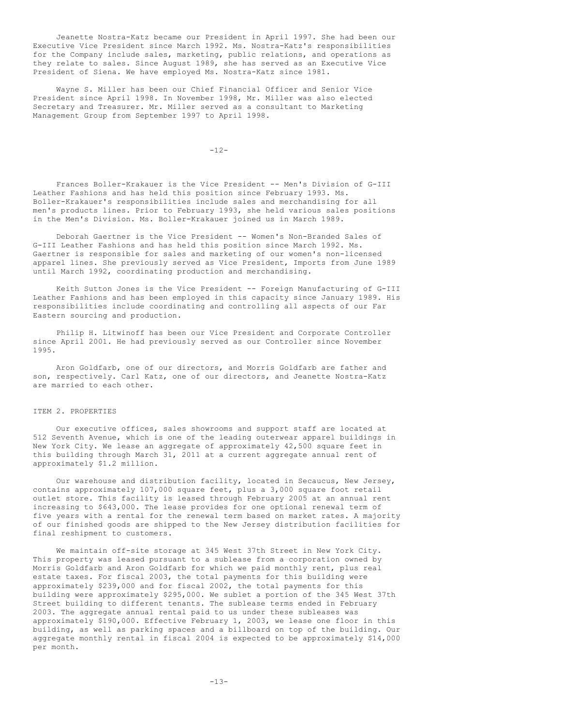Jeanette Nostra-Katz became our President in April 1997. She had been our Executive Vice President since March 1992. Ms. Nostra-Katz's responsibilities for the Company include sales, marketing, public relations, and operations as they relate to sales. Since August 1989, she has served as an Executive Vice President of Siena. We have employed Ms. Nostra-Katz since 1981.

Wayne S. Miller has been our Chief Financial Officer and Senior Vice President since April 1998. In November 1998, Mr. Miller was also elected Secretary and Treasurer. Mr. Miller served as a consultant to Marketing Management Group from September 1997 to April 1998.

 $-12-$ 

Frances Boller-Krakauer is the Vice President -- Men's Division of G-III Leather Fashions and has held this position since February 1993. Ms. Boller-Krakauer's responsibilities include sales and merchandising for all men's products lines. Prior to February 1993, she held various sales positions in the Men's Division. Ms. Boller-Krakauer joined us in March 1989.

Deborah Gaertner is the Vice President -- Women's Non-Branded Sales of G-III Leather Fashions and has held this position since March 1992. Ms. Gaertner is responsible for sales and marketing of our women's non-licensed apparel lines. She previously served as Vice President, Imports from June 1989 until March 1992, coordinating production and merchandising.

Keith Sutton Jones is the Vice President -- Foreign Manufacturing of G-III Leather Fashions and has been employed in this capacity since January 1989. His responsibilities include coordinating and controlling all aspects of our Far Eastern sourcing and production.

Philip H. Litwinoff has been our Vice President and Corporate Controller since April 2001. He had previously served as our Controller since November 1995.

Aron Goldfarb, one of our directors, and Morris Goldfarb are father and son, respectively. Carl Katz, one of our directors, and Jeanette Nostra-Katz are married to each other.

### ITEM 2. PROPERTIES

Our executive offices, sales showrooms and support staff are located at 512 Seventh Avenue, which is one of the leading outerwear apparel buildings in New York City. We lease an aggregate of approximately 42,500 square feet in this building through March 31, 2011 at a current aggregate annual rent of approximately \$1.2 million.

Our warehouse and distribution facility, located in Secaucus, New Jersey, contains approximately 107,000 square feet, plus a 3,000 square foot retail outlet store. This facility is leased through February 2005 at an annual rent increasing to \$643,000. The lease provides for one optional renewal term of five years with a rental for the renewal term based on market rates. A majority of our finished goods are shipped to the New Jersey distribution facilities for final reshipment to customers.

We maintain off-site storage at 345 West 37th Street in New York City. This property was leased pursuant to a sublease from a corporation owned by Morris Goldfarb and Aron Goldfarb for which we paid monthly rent, plus real estate taxes. For fiscal 2003, the total payments for this building were approximately \$239,000 and for fiscal 2002, the total payments for this building were approximately \$295,000. We sublet a portion of the 345 West 37th Street building to different tenants. The sublease terms ended in February 2003. The aggregate annual rental paid to us under these subleases was approximately \$190,000. Effective February 1, 2003, we lease one floor in this building, as well as parking spaces and a billboard on top of the building. Our aggregate monthly rental in fiscal 2004 is expected to be approximately \$14,000 per month.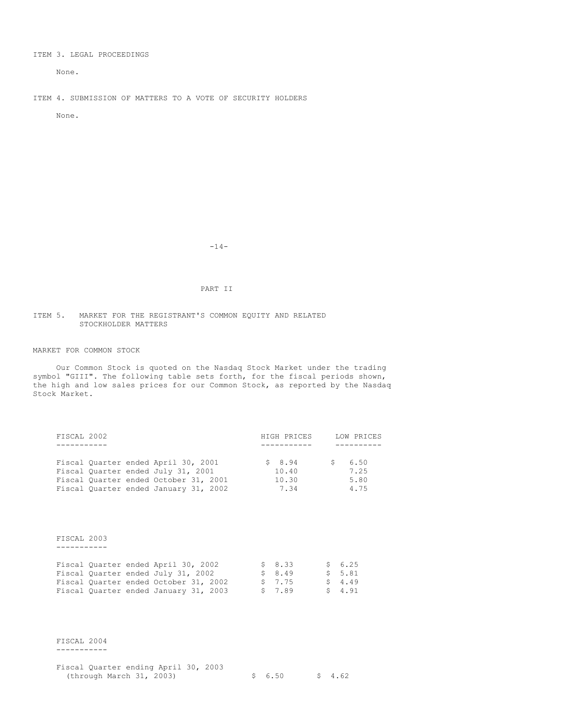## ITEM 3. LEGAL PROCEEDINGS

None.

ITEM 4. SUBMISSION OF MATTERS TO A VOTE OF SECURITY HOLDERS

None.

-14-

## PART II

#### ITEM 5. MARKET FOR THE REGISTRANT'S COMMON EQUITY AND RELATED STOCKHOLDER MATTERS

## MARKET FOR COMMON STOCK

Our Common Stock is quoted on the Nasdaq Stock Market under the trading symbol "GIII". The following table sets forth, for the fiscal periods shown, the high and low sales prices for our Common Stock, as reported by the Nasdaq Stock Market.

| FISCAL 2002                           | HIGH PRICES | LOW PRICES |
|---------------------------------------|-------------|------------|
|                                       |             |            |
|                                       |             |            |
| Fiscal Quarter ended April 30, 2001   | \$8.94      | 6.50       |
| Fiscal Ouarter ended July 31, 2001    | 10.40       | 7.25       |
| Fiscal Quarter ended October 31, 2001 | 10.30       | 5.80       |
| Fiscal Quarter ended January 31, 2002 | 7.34        | 4.75       |

FISCAL 2003

-----------

|  | Fiscal Quarter ended April 30, 2002   |  | \$ 8.33 | \$ 6.25 |
|--|---------------------------------------|--|---------|---------|
|  | Fiscal Quarter ended July 31, 2002    |  | \$ 8.49 | \$ 5.81 |
|  | Fiscal Quarter ended October 31, 2002 |  | \$ 7.75 | \$4.49  |
|  | Fiscal Quarter ended January 31, 2003 |  | \$7.89  | \$4.91  |

FISCAL 2004 -----------

| Fiscal Quarter ending April 30, 2003 |  |  |         |         |
|--------------------------------------|--|--|---------|---------|
| (through March 31, 2003)             |  |  | \$ 6.50 | \$ 4.62 |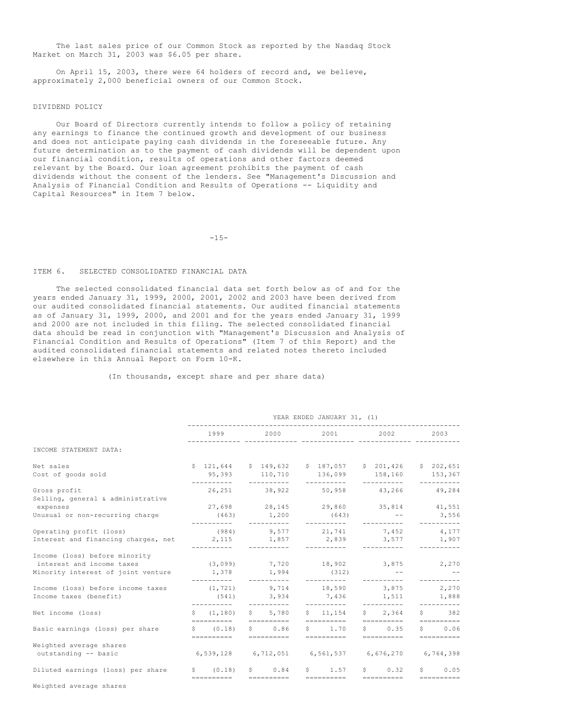The last sales price of our Common Stock as reported by the Nasdaq Stock Market on March 31, 2003 was \$6.05 per share.

On April 15, 2003, there were 64 holders of record and, we believe, approximately 2,000 beneficial owners of our Common Stock.

### DIVIDEND POLICY

Our Board of Directors currently intends to follow a policy of retaining any earnings to finance the continued growth and development of our business and does not anticipate paying cash dividends in the foreseeable future. Any future determination as to the payment of cash dividends will be dependent upon our financial condition, results of operations and other factors deemed relevant by the Board. Our loan agreement prohibits the payment of cash dividends without the consent of the lenders. See "Management's Discussion and Analysis of Financial Condition and Results of Operations -- Liquidity and Capital Resources" in Item 7 below.

-15-

## ITEM 6. SELECTED CONSOLIDATED FINANCIAL DATA

The selected consolidated financial data set forth below as of and for the years ended January 31, 1999, 2000, 2001, 2002 and 2003 have been derived from our audited consolidated financial statements. Our audited financial statements as of January 31, 1999, 2000, and 2001 and for the years ended January 31, 1999 and 2000 are not included in this filing. The selected consolidated financial data should be read in conjunction with "Management's Discussion and Analysis of Financial Condition and Results of Operations" (Item 7 of this Report) and the audited consolidated financial statements and related notes thereto included elsewhere in this Annual Report on Form 10-K.

(In thousands, except share and per share data)

|                                                                     | YEAR ENDED JANUARY 31, (1) |                                                        |  |             |  |                                 |  |                           |  |                                                |
|---------------------------------------------------------------------|----------------------------|--------------------------------------------------------|--|-------------|--|---------------------------------|--|---------------------------|--|------------------------------------------------|
|                                                                     |                            |                                                        |  |             |  |                                 |  |                           |  | 2003                                           |
| INCOME STATEMENT DATA:                                              |                            |                                                        |  |             |  |                                 |  |                           |  |                                                |
| Net sales                                                           |                            | $$121,644$ $$149,632$ $$187,057$ $$201,426$ $$202,651$ |  |             |  |                                 |  |                           |  |                                                |
| Cost of goods sold                                                  |                            | 95,393 110,710 136,099 158,160<br>-----------          |  | ----------- |  | -----------                     |  | -----------               |  | 153,367<br>----------                          |
| Gross profit<br>Selling, general & administrative                   |                            |                                                        |  |             |  | 26,251 38,922 50,958 43,266     |  |                           |  | 49,284                                         |
| expenses                                                            |                            | $27,698$ $28,145$ $29,860$ $35,814$ $41,551$           |  |             |  |                                 |  |                           |  |                                                |
| Unusual or non-recurring charge                                     |                            | $(463)$ 1,200 (643) --<br>__________                   |  |             |  |                                 |  |                           |  | 3,556<br>----------                            |
| Operating profit (loss)                                             |                            |                                                        |  |             |  | $(984)$ 9,577 21,741 7,452      |  |                           |  | 4,177                                          |
| Interest and financing charges, net $2,115$ $1,857$ $2,839$ $3,577$ |                            |                                                        |  |             |  |                                 |  |                           |  | 1,907<br>----------                            |
| Income (loss) before minority                                       |                            |                                                        |  |             |  |                                 |  |                           |  |                                                |
| interest and income taxes                                           |                            | $(3,099)$ 7,720 18,902 3,875 2,270                     |  |             |  |                                 |  |                           |  |                                                |
| Minority interest of joint venture                                  |                            | $1,378$ 1,994<br>___________                           |  | ----------- |  | (312)<br>___________            |  | __________                |  | -----------                                    |
| Income (loss) before income taxes                                   |                            | $(1, 721)$ 9,714 18,590 3,875 2,270                    |  |             |  |                                 |  |                           |  |                                                |
| Income taxes (benefit)                                              |                            | ___________                                            |  |             |  | $(541)$ 3,934 7,436 1,511 1,888 |  |                           |  | ----------                                     |
| Net income (loss)                                                   |                            | \$ (1, 180)                                            |  | 5,780       |  | $S = 11.154$                    |  | \$2,364                   |  | $\mathsf{S}$ 382                               |
| Basic earnings (loss) per share                                     |                            | \$ (0.18)                                              |  | $S \t 0.86$ |  | $5 \t 1.70$                     |  | $S \t 0.35$               |  | \$0.06                                         |
|                                                                     |                            | ==========  ==========  ==========                     |  |             |  |                                 |  | ==========                |  | $=$ = = = = = = = = =                          |
| Weighted average shares                                             |                            |                                                        |  |             |  |                                 |  |                           |  |                                                |
| outstanding -- basic                                                |                            | 6,539,128 6,712,051 6,561,537 6,676,270 6,764,398      |  |             |  |                                 |  |                           |  |                                                |
| Diluted earnings (loss) per share                                   |                            | \$ (0.18)<br>==========  ==========  =========         |  | $S \t 0.84$ |  | $S = 1.57$                      |  | $S \t 0.32$<br>========== |  | $S$ and $S$<br>0.05<br>$=$ = = = = = = = = = = |
| Weighted average shares                                             |                            |                                                        |  |             |  |                                 |  |                           |  |                                                |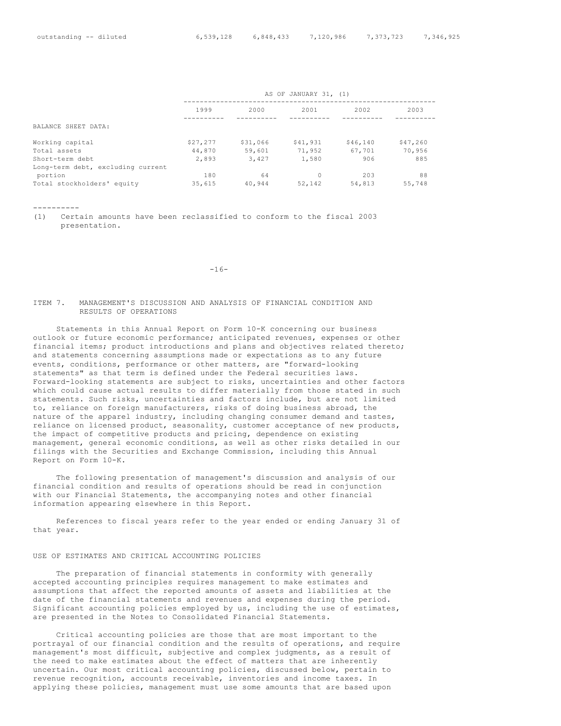|                                   | AS OF JANUARY 31, (1) |          |          |          |          |  |
|-----------------------------------|-----------------------|----------|----------|----------|----------|--|
|                                   | 1999                  | 2000     | 2001     | 2002     | 2003     |  |
| BALANCE SHEET DATA:               |                       |          |          |          |          |  |
| Working capital                   | \$27,277              | \$31,066 | \$41,931 | \$46,140 | \$47,260 |  |
| Total assets                      | 44,870                | 59,601   | 71,952   | 67,701   | 70,956   |  |
| Short-term debt                   | 2,893                 | 3,427    | 1,580    | 906      | 885      |  |
| Long-term debt, excluding current |                       |          |          |          |          |  |
| portion                           | 180                   | 64       | 0        | 203      | 88       |  |
| Total stockholders' equity        | 35,615                | 40,944   | 52,142   | 54,813   | 55,748   |  |

----------

(1) Certain amounts have been reclassified to conform to the fiscal 2003 presentation.

-16-

## ITEM 7. MANAGEMENT'S DISCUSSION AND ANALYSIS OF FINANCIAL CONDITION AND RESULTS OF OPERATIONS

Statements in this Annual Report on Form 10-K concerning our business outlook or future economic performance; anticipated revenues, expenses or other financial items; product introductions and plans and objectives related thereto; and statements concerning assumptions made or expectations as to any future events, conditions, performance or other matters, are "forward-looking statements" as that term is defined under the Federal securities laws. Forward-looking statements are subject to risks, uncertainties and other factors which could cause actual results to differ materially from those stated in such statements. Such risks, uncertainties and factors include, but are not limited to, reliance on foreign manufacturers, risks of doing business abroad, the nature of the apparel industry, including changing consumer demand and tastes, reliance on licensed product, seasonality, customer acceptance of new products, the impact of competitive products and pricing, dependence on existing management, general economic conditions, as well as other risks detailed in our filings with the Securities and Exchange Commission, including this Annual Report on Form 10-K.

The following presentation of management's discussion and analysis of our financial condition and results of operations should be read in conjunction with our Financial Statements, the accompanying notes and other financial information appearing elsewhere in this Report.

References to fiscal years refer to the year ended or ending January 31 of that year.

#### USE OF ESTIMATES AND CRITICAL ACCOUNTING POLICIES

The preparation of financial statements in conformity with generally accepted accounting principles requires management to make estimates and assumptions that affect the reported amounts of assets and liabilities at the date of the financial statements and revenues and expenses during the period. Significant accounting policies employed by us, including the use of estimates, are presented in the Notes to Consolidated Financial Statements.

Critical accounting policies are those that are most important to the portrayal of our financial condition and the results of operations, and require management's most difficult, subjective and complex judgments, as a result of the need to make estimates about the effect of matters that are inherently uncertain. Our most critical accounting policies, discussed below, pertain to revenue recognition, accounts receivable, inventories and income taxes. In applying these policies, management must use some amounts that are based upon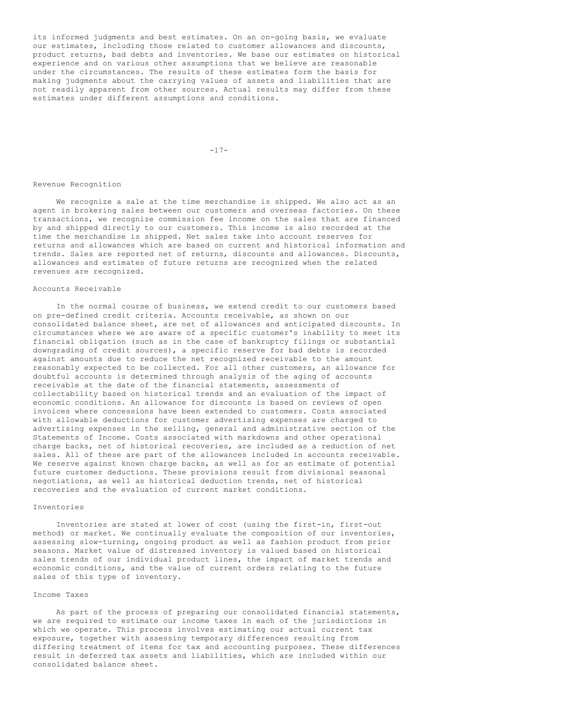its informed judgments and best estimates. On an on-going basis, we evaluate our estimates, including those related to customer allowances and discounts, product returns, bad debts and inventories. We base our estimates on historical experience and on various other assumptions that we believe are reasonable under the circumstances. The results of these estimates form the basis for making judgments about the carrying values of assets and liabilities that are not readily apparent from other sources. Actual results may differ from these estimates under different assumptions and conditions.

 $-17-$ 

#### Revenue Recognition

We recognize a sale at the time merchandise is shipped. We also act as an agent in brokering sales between our customers and overseas factories. On these transactions, we recognize commission fee income on the sales that are financed by and shipped directly to our customers. This income is also recorded at the time the merchandise is shipped. Net sales take into account reserves for returns and allowances which are based on current and historical information and trends. Sales are reported net of returns, discounts and allowances. Discounts, allowances and estimates of future returns are recognized when the related revenues are recognized.

#### Accounts Receivable

In the normal course of business, we extend credit to our customers based on pre-defined credit criteria. Accounts receivable, as shown on our consolidated balance sheet, are net of allowances and anticipated discounts. In circumstances where we are aware of a specific customer's inability to meet its financial obligation (such as in the case of bankruptcy filings or substantial downgrading of credit sources), a specific reserve for bad debts is recorded against amounts due to reduce the net recognized receivable to the amount reasonably expected to be collected. For all other customers, an allowance for doubtful accounts is determined through analysis of the aging of accounts receivable at the date of the financial statements, assessments of collectability based on historical trends and an evaluation of the impact of economic conditions. An allowance for discounts is based on reviews of open invoices where concessions have been extended to customers. Costs associated with allowable deductions for customer advertising expenses are charged to advertising expenses in the selling, general and administrative section of the Statements of Income. Costs associated with markdowns and other operational charge backs, net of historical recoveries, are included as a reduction of net sales. All of these are part of the allowances included in accounts receivable. We reserve against known charge backs, as well as for an estimate of potential future customer deductions. These provisions result from divisional seasonal negotiations, as well as historical deduction trends, net of historical recoveries and the evaluation of current market conditions.

#### Inventories

Inventories are stated at lower of cost (using the first-in, first-out method) or market. We continually evaluate the composition of our inventories, assessing slow-turning, ongoing product as well as fashion product from prior seasons. Market value of distressed inventory is valued based on historical sales trends of our individual product lines, the impact of market trends and economic conditions, and the value of current orders relating to the future sales of this type of inventory.

#### Income Taxes

As part of the process of preparing our consolidated financial statements, we are required to estimate our income taxes in each of the jurisdictions in which we operate. This process involves estimating our actual current tax exposure, together with assessing temporary differences resulting from differing treatment of items for tax and accounting purposes. These differences result in deferred tax assets and liabilities, which are included within our consolidated balance sheet.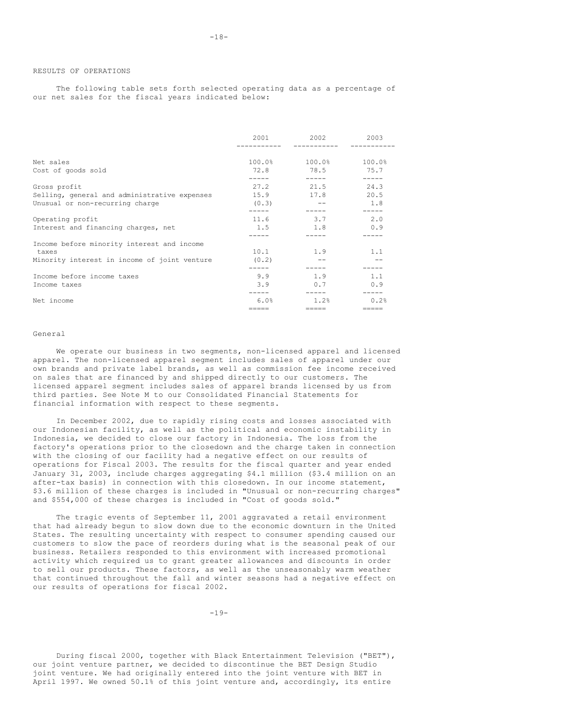The following table sets forth selected operating data as a percentage of our net sales for the fiscal years indicated below:

|                                                                                                     | 2001                   | 2002         | 2003                |
|-----------------------------------------------------------------------------------------------------|------------------------|--------------|---------------------|
| Net sales                                                                                           | 100.0%                 | 100.0%       | 100.0%              |
| Cost of goods sold                                                                                  | 72.8                   | 78.5         | 75.7                |
| Gross profit<br>Selling, general and administrative expenses<br>Unusual or non-recurring charge     | 27.2<br>15.9<br>(0, 3) | 21.5<br>17.8 | 24.3<br>20.5<br>1.8 |
| Operating profit                                                                                    | 11.6                   | 3.7          | 2.0                 |
| Interest and financing charges, net                                                                 | 1.5                    | 1.8          | 0.9                 |
| Income before minority interest and income<br>taxes<br>Minority interest in income of joint venture | 10.1<br>(0, 2)         | 1.9          | 1.1                 |
| Income before income taxes                                                                          | 9.9                    | 1.9          | 1.1                 |
| Income taxes                                                                                        | 3.9                    | 0.7          | 0.9                 |
| Net income                                                                                          | 6.0%                   | 1.2%         | 0.2%                |
|                                                                                                     | =====                  | =====        | =====               |

#### General

We operate our business in two segments, non-licensed apparel and licensed apparel. The non-licensed apparel segment includes sales of apparel under our own brands and private label brands, as well as commission fee income received on sales that are financed by and shipped directly to our customers. The licensed apparel segment includes sales of apparel brands licensed by us from third parties. See Note M to our Consolidated Financial Statements for financial information with respect to these segments.

In December 2002, due to rapidly rising costs and losses associated with our Indonesian facility, as well as the political and economic instability in Indonesia, we decided to close our factory in Indonesia. The loss from the factory's operations prior to the closedown and the charge taken in connection with the closing of our facility had a negative effect on our results of operations for Fiscal 2003. The results for the fiscal quarter and year ended January 31, 2003, include charges aggregating \$4.1 million (\$3.4 million on an after-tax basis) in connection with this closedown. In our income statement, \$3.6 million of these charges is included in "Unusual or non-recurring charges" and \$554,000 of these charges is included in "Cost of goods sold."

The tragic events of September 11, 2001 aggravated a retail environment that had already begun to slow down due to the economic downturn in the United States. The resulting uncertainty with respect to consumer spending caused our customers to slow the pace of reorders during what is the seasonal peak of our business. Retailers responded to this environment with increased promotional activity which required us to grant greater allowances and discounts in order to sell our products. These factors, as well as the unseasonably warm weather that continued throughout the fall and winter seasons had a negative effect on our results of operations for fiscal 2002.

 $-19-$ 

During fiscal 2000, together with Black Entertainment Television ("BET"), our joint venture partner, we decided to discontinue the BET Design Studio joint venture. We had originally entered into the joint venture with BET in April 1997. We owned 50.1% of this joint venture and, accordingly, its entire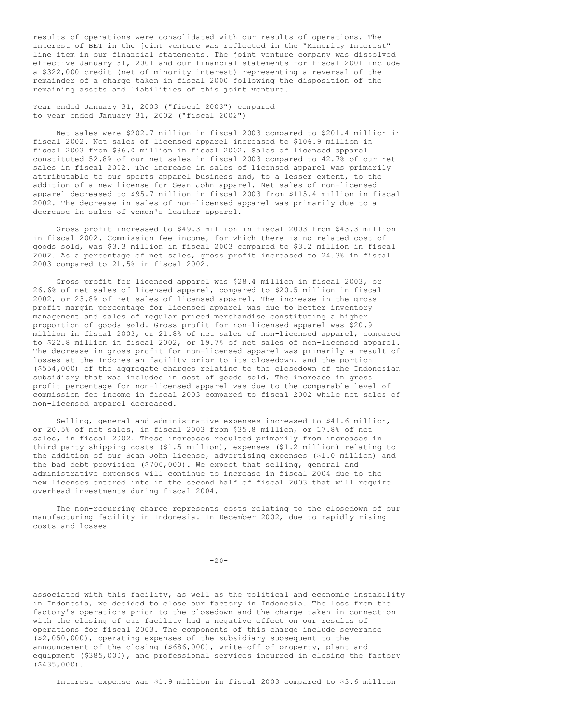results of operations were consolidated with our results of operations. The interest of BET in the joint venture was reflected in the "Minority Interest" line item in our financial statements. The joint venture company was dissolved effective January 31, 2001 and our financial statements for fiscal 2001 include a \$322,000 credit (net of minority interest) representing a reversal of the remainder of a charge taken in fiscal 2000 following the disposition of the remaining assets and liabilities of this joint venture.

Year ended January 31, 2003 ("fiscal 2003") compared to year ended January 31, 2002 ("fiscal 2002")

Net sales were \$202.7 million in fiscal 2003 compared to \$201.4 million in fiscal 2002. Net sales of licensed apparel increased to \$106.9 million in fiscal 2003 from \$86.0 million in fiscal 2002. Sales of licensed apparel constituted 52.8% of our net sales in fiscal 2003 compared to 42.7% of our net sales in fiscal 2002. The increase in sales of licensed apparel was primarily attributable to our sports apparel business and, to a lesser extent, to the addition of a new license for Sean John apparel. Net sales of non-licensed apparel decreased to \$95.7 million in fiscal 2003 from \$115.4 million in fiscal 2002. The decrease in sales of non-licensed apparel was primarily due to a decrease in sales of women's leather apparel.

Gross profit increased to \$49.3 million in fiscal 2003 from \$43.3 million in fiscal 2002. Commission fee income, for which there is no related cost of goods sold, was \$3.3 million in fiscal 2003 compared to \$3.2 million in fiscal 2002. As a percentage of net sales, gross profit increased to 24.3% in fiscal 2003 compared to 21.5% in fiscal 2002.

Gross profit for licensed apparel was \$28.4 million in fiscal 2003, or 26.6% of net sales of licensed apparel, compared to \$20.5 million in fiscal 2002, or 23.8% of net sales of licensed apparel. The increase in the gross profit margin percentage for licensed apparel was due to better inventory management and sales of regular priced merchandise constituting a higher proportion of goods sold. Gross profit for non-licensed apparel was \$20.9 million in fiscal 2003, or 21.8% of net sales of non-licensed apparel, compared to \$22.8 million in fiscal 2002, or 19.7% of net sales of non-licensed apparel. The decrease in gross profit for non-licensed apparel was primarily a result of losses at the Indonesian facility prior to its closedown, and the portion (\$554,000) of the aggregate charges relating to the closedown of the Indonesian subsidiary that was included in cost of goods sold. The increase in gross profit percentage for non-licensed apparel was due to the comparable level of commission fee income in fiscal 2003 compared to fiscal 2002 while net sales of non-licensed apparel decreased.

Selling, general and administrative expenses increased to \$41.6 million, or 20.5% of net sales, in fiscal 2003 from \$35.8 million, or 17.8% of net sales, in fiscal 2002. These increases resulted primarily from increases in third party shipping costs (\$1.5 million), expenses (\$1.2 million) relating to the addition of our Sean John license, advertising expenses (\$1.0 million) and the bad debt provision (\$700,000). We expect that selling, general and administrative expenses will continue to increase in fiscal 2004 due to the new licenses entered into in the second half of fiscal 2003 that will require overhead investments during fiscal 2004.

The non-recurring charge represents costs relating to the closedown of our manufacturing facility in Indonesia. In December 2002, due to rapidly rising costs and losses

 $-20-$ 

associated with this facility, as well as the political and economic instability in Indonesia, we decided to close our factory in Indonesia. The loss from the factory's operations prior to the closedown and the charge taken in connection with the closing of our facility had a negative effect on our results of operations for fiscal 2003. The components of this charge include severance (\$2,050,000), operating expenses of the subsidiary subsequent to the announcement of the closing (\$686,000), write-off of property, plant and equipment (\$385,000), and professional services incurred in closing the factory (\$435,000).

Interest expense was \$1.9 million in fiscal 2003 compared to \$3.6 million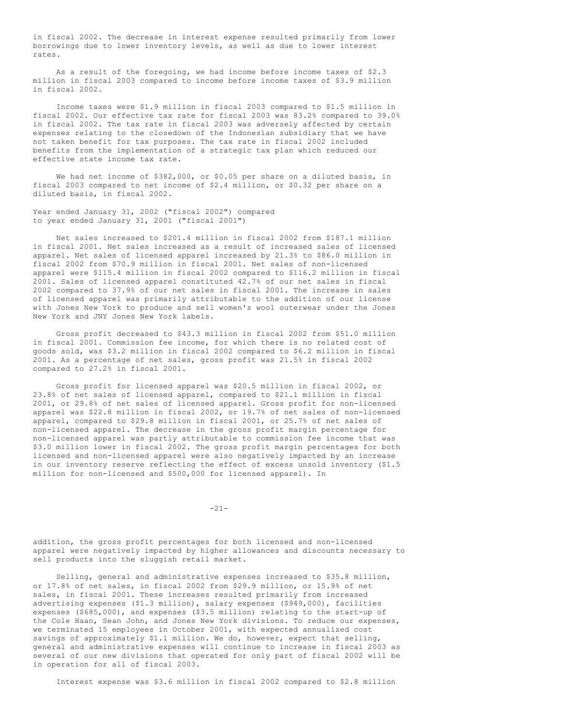in fiscal 2002. The decrease in interest expense resulted primarily from lower borrowings due to lower inventory levels, as well as due to lower interest rates.

As a result of the foregoing, we had income before income taxes of \$2.3 million in fiscal 2003 compared to income before income taxes of \$3.9 million in fiscal 2002.

Income taxes were \$1.9 million in fiscal 2003 compared to \$1.5 million in fiscal 2002. Our effective tax rate for fiscal 2003 was 83.2% compared to 39.0% in fiscal 2002. The tax rate in fiscal 2003 was adversely affected by certain expenses relating to the closedown of the Indonesian subsidiary that we have not taken benefit for tax purposes. The tax rate in fiscal 2002 included benefits from the implementation of a strategic tax plan which reduced our effective state income tax rate.

We had net income of \$382,000, or \$0.05 per share on a diluted basis, in fiscal 2003 compared to net income of \$2.4 million, or \$0.32 per share on a diluted basis, in fiscal 2002.

Year ended January 31, 2002 ("fiscal 2002") compared to year ended January 31, 2001 ("fiscal 2001")

Net sales increased to \$201.4 million in fiscal 2002 from \$187.1 million in fiscal 2001. Net sales increased as a result of increased sales of licensed apparel. Net sales of licensed apparel increased by 21.3% to \$86.0 million in fiscal 2002 from \$70.9 million in fiscal 2001. Net sales of non-licensed apparel were \$115.4 million in fiscal 2002 compared to \$116.2 million in fiscal 2001. Sales of licensed apparel constituted 42.7% of our net sales in fiscal 2002 compared to 37.9% of our net sales in fiscal 2001. The increase in sales of licensed apparel was primarily attributable to the addition of our license with Jones New York to produce and sell women's wool outerwear under the Jones New York and JNY Jones New York labels.

Gross profit decreased to \$43.3 million in fiscal 2002 from \$51.0 million in fiscal 2001. Commission fee income, for which there is no related cost of goods sold, was \$3.2 million in fiscal 2002 compared to \$6.2 million in fiscal 2001. As a percentage of net sales, gross profit was 21.5% in fiscal 2002 compared to 27.2% in fiscal 2001.

Gross profit for licensed apparel was \$20.5 million in fiscal 2002, or 23.8% of net sales of licensed apparel, compared to \$21.1 million in fiscal 2001, or 29.8% of net sales of licensed apparel. Gross profit for non-licensed apparel was \$22.8 million in fiscal 2002, or 19.7% of net sales of non-licensed apparel, compared to \$29.8 million in fiscal 2001, or 25.7% of net sales of non-licensed apparel. The decrease in the gross profit margin percentage for non-licensed apparel was partly attributable to commission fee income that was \$3.0 million lower in fiscal 2002. The gross profit margin percentages for both licensed and non-licensed apparel were also negatively impacted by an increase in our inventory reserve reflecting the effect of excess unsold inventory (\$1.5 million for non-licensed and \$500,000 for licensed apparel). In

 $-21-$ 

addition, the gross profit percentages for both licensed and non-licensed apparel were negatively impacted by higher allowances and discounts necessary to sell products into the sluggish retail market.

Selling, general and administrative expenses increased to \$35.8 million, or 17.8% of net sales, in fiscal 2002 from \$29.9 million, or 15.9% of net sales, in fiscal 2001. These increases resulted primarily from increased advertising expenses (\$1.3 million), salary expenses (\$949,000), facilities expenses (\$685,000), and expenses (\$3.5 million) relating to the start-up of the Cole Haan, Sean John, and Jones New York divisions. To reduce our expenses, we terminated 15 employees in October 2001, with expected annualized cost savings of approximately \$1.1 million. We do, however, expect that selling, general and administrative expenses will continue to increase in fiscal 2003 as several of our new divisions that operated for only part of fiscal 2002 will be in operation for all of fiscal 2003.

Interest expense was \$3.6 million in fiscal 2002 compared to \$2.8 million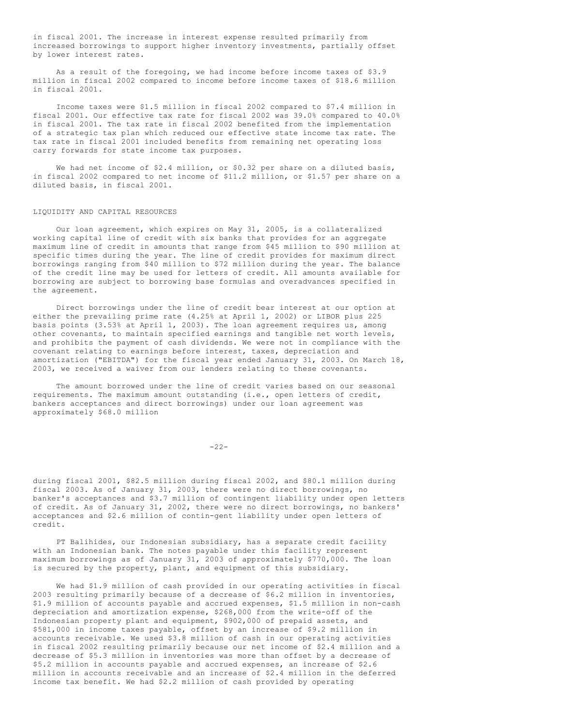in fiscal 2001. The increase in interest expense resulted primarily from increased borrowings to support higher inventory investments, partially offset by lower interest rates.

As a result of the foregoing, we had income before income taxes of \$3.9 million in fiscal 2002 compared to income before income taxes of \$18.6 million in fiscal 2001.

Income taxes were \$1.5 million in fiscal 2002 compared to \$7.4 million in fiscal 2001. Our effective tax rate for fiscal 2002 was 39.0% compared to 40.0% in fiscal 2001. The tax rate in fiscal 2002 benefited from the implementation of a strategic tax plan which reduced our effective state income tax rate. The tax rate in fiscal 2001 included benefits from remaining net operating loss carry forwards for state income tax purposes.

We had net income of \$2.4 million, or \$0.32 per share on a diluted basis, in fiscal 2002 compared to net income of \$11.2 million, or \$1.57 per share on a diluted basis, in fiscal 2001.

#### LIQUIDITY AND CAPITAL RESOURCES

Our loan agreement, which expires on May 31, 2005, is a collateralized working capital line of credit with six banks that provides for an aggregate maximum line of credit in amounts that range from \$45 million to \$90 million at specific times during the year. The line of credit provides for maximum direct borrowings ranging from \$40 million to \$72 million during the year. The balance of the credit line may be used for letters of credit. All amounts available for borrowing are subject to borrowing base formulas and overadvances specified in the agreement.

Direct borrowings under the line of credit bear interest at our option at either the prevailing prime rate (4.25% at April 1, 2002) or LIBOR plus 225 basis points (3.53% at April 1, 2003). The loan agreement requires us, among other covenants, to maintain specified earnings and tangible net worth levels, and prohibits the payment of cash dividends. We were not in compliance with the covenant relating to earnings before interest, taxes, depreciation and amortization ("EBITDA") for the fiscal year ended January 31, 2003. On March 18, 2003, we received a waiver from our lenders relating to these covenants.

The amount borrowed under the line of credit varies based on our seasonal requirements. The maximum amount outstanding (i.e., open letters of credit, bankers acceptances and direct borrowings) under our loan agreement was approximately \$68.0 million

 $-22-$ 

during fiscal 2001, \$82.5 million during fiscal 2002, and \$80.1 million during fiscal 2003. As of January 31, 2003, there were no direct borrowings, no banker's acceptances and \$3.7 million of contingent liability under open letters of credit. As of January 31, 2002, there were no direct borrowings, no bankers' acceptances and \$2.6 million of contin-gent liability under open letters of credit.

PT Balihides, our Indonesian subsidiary, has a separate credit facility with an Indonesian bank. The notes payable under this facility represent maximum borrowings as of January 31, 2003 of approximately \$770,000. The loan is secured by the property, plant, and equipment of this subsidiary.

We had \$1.9 million of cash provided in our operating activities in fiscal 2003 resulting primarily because of a decrease of \$6.2 million in inventories, \$1.9 million of accounts payable and accrued expenses, \$1.5 million in non-cash depreciation and amortization expense, \$268,000 from the write-off of the Indonesian property plant and equipment, \$902,000 of prepaid assets, and \$581,000 in income taxes payable, offset by an increase of \$9.2 million in accounts receivable. We used \$3.8 million of cash in our operating activities in fiscal 2002 resulting primarily because our net income of \$2.4 million and a decrease of \$5.3 million in inventories was more than offset by a decrease of \$5.2 million in accounts payable and accrued expenses, an increase of \$2.6 million in accounts receivable and an increase of \$2.4 million in the deferred income tax benefit. We had \$2.2 million of cash provided by operating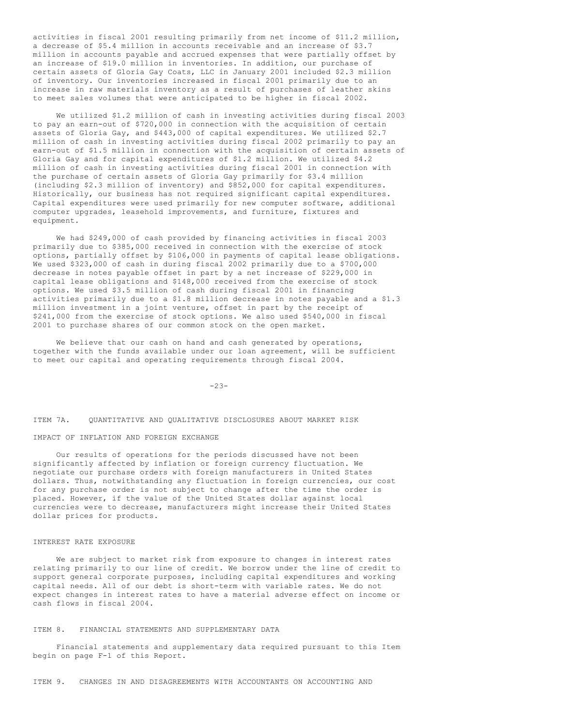activities in fiscal 2001 resulting primarily from net income of \$11.2 million, a decrease of \$5.4 million in accounts receivable and an increase of \$3.7 million in accounts payable and accrued expenses that were partially offset by an increase of \$19.0 million in inventories. In addition, our purchase of certain assets of Gloria Gay Coats, LLC in January 2001 included \$2.3 million of inventory. Our inventories increased in fiscal 2001 primarily due to an increase in raw materials inventory as a result of purchases of leather skins to meet sales volumes that were anticipated to be higher in fiscal 2002.

We utilized \$1.2 million of cash in investing activities during fiscal 2003 to pay an earn-out of \$720,000 in connection with the acquisition of certain assets of Gloria Gay, and \$443,000 of capital expenditures. We utilized \$2.7 million of cash in investing activities during fiscal 2002 primarily to pay an earn-out of \$1.5 million in connection with the acquisition of certain assets of Gloria Gay and for capital expenditures of \$1.2 million. We utilized \$4.2 million of cash in investing activities during fiscal 2001 in connection with the purchase of certain assets of Gloria Gay primarily for \$3.4 million (including \$2.3 million of inventory) and \$852,000 for capital expenditures. Historically, our business has not required significant capital expenditures. Capital expenditures were used primarily for new computer software, additional computer upgrades, leasehold improvements, and furniture, fixtures and equipment.

We had \$249,000 of cash provided by financing activities in fiscal 2003 primarily due to \$385,000 received in connection with the exercise of stock options, partially offset by \$106,000 in payments of capital lease obligations. We used \$323,000 of cash in during fiscal 2002 primarily due to a \$700,000 decrease in notes payable offset in part by a net increase of \$229,000 in capital lease obligations and \$148,000 received from the exercise of stock options. We used \$3.5 million of cash during fiscal 2001 in financing activities primarily due to a \$1.8 million decrease in notes payable and a \$1.3 million investment in a joint venture, offset in part by the receipt of \$241,000 from the exercise of stock options. We also used \$540,000 in fiscal 2001 to purchase shares of our common stock on the open market.

We believe that our cash on hand and cash generated by operations, together with the funds available under our loan agreement, will be sufficient to meet our capital and operating requirements through fiscal 2004.

#### $-23-$

ITEM 7A. QUANTITATIVE AND QUALITATIVE DISCLOSURES ABOUT MARKET RISK

#### IMPACT OF INFLATION AND FOREIGN EXCHANGE

Our results of operations for the periods discussed have not been significantly affected by inflation or foreign currency fluctuation. We negotiate our purchase orders with foreign manufacturers in United States dollars. Thus, notwithstanding any fluctuation in foreign currencies, our cost for any purchase order is not subject to change after the time the order is placed. However, if the value of the United States dollar against local currencies were to decrease, manufacturers might increase their United States dollar prices for products.

#### INTEREST RATE EXPOSURE

We are subject to market risk from exposure to changes in interest rates relating primarily to our line of credit. We borrow under the line of credit to support general corporate purposes, including capital expenditures and working capital needs. All of our debt is short-term with variable rates. We do not expect changes in interest rates to have a material adverse effect on income or cash flows in fiscal 2004.

## ITEM 8. FINANCIAL STATEMENTS AND SUPPLEMENTARY DATA

Financial statements and supplementary data required pursuant to this Item begin on page F-1 of this Report.

ITEM 9. CHANGES IN AND DISAGREEMENTS WITH ACCOUNTANTS ON ACCOUNTING AND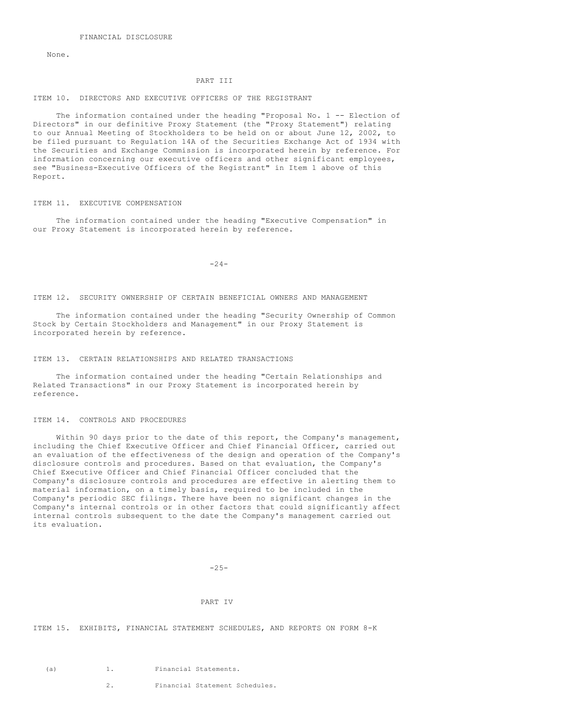None.

#### PART III

#### ITEM 10. DIRECTORS AND EXECUTIVE OFFICERS OF THE REGISTRANT

The information contained under the heading "Proposal No. 1 -- Election of Directors" in our definitive Proxy Statement (the "Proxy Statement") relating to our Annual Meeting of Stockholders to be held on or about June 12, 2002, to be filed pursuant to Regulation 14A of the Securities Exchange Act of 1934 with the Securities and Exchange Commission is incorporated herein by reference. For information concerning our executive officers and other significant employees, see "Business-Executive Officers of the Registrant" in Item 1 above of this Report.

#### ITEM 11. EXECUTIVE COMPENSATION

The information contained under the heading "Executive Compensation" in our Proxy Statement is incorporated herein by reference.

-24-

ITEM 12. SECURITY OWNERSHIP OF CERTAIN BENEFICIAL OWNERS AND MANAGEMENT

The information contained under the heading "Security Ownership of Common Stock by Certain Stockholders and Management" in our Proxy Statement is incorporated herein by reference.

## ITEM 13. CERTAIN RELATIONSHIPS AND RELATED TRANSACTIONS

The information contained under the heading "Certain Relationships and Related Transactions" in our Proxy Statement is incorporated herein by reference.

#### ITEM 14. CONTROLS AND PROCEDURES

Within 90 days prior to the date of this report, the Company's management, including the Chief Executive Officer and Chief Financial Officer, carried out an evaluation of the effectiveness of the design and operation of the Company's disclosure controls and procedures. Based on that evaluation, the Company's Chief Executive Officer and Chief Financial Officer concluded that the Company's disclosure controls and procedures are effective in alerting them to material information, on a timely basis, required to be included in the Company's periodic SEC filings. There have been no significant changes in the Company's internal controls or in other factors that could significantly affect internal controls subsequent to the date the Company's management carried out its evaluation.

 $-25-$ 

#### PART IV

ITEM 15. EXHIBITS, FINANCIAL STATEMENT SCHEDULES, AND REPORTS ON FORM 8-K

(a) 1. Financial Statements.

2. Financial Statement Schedules.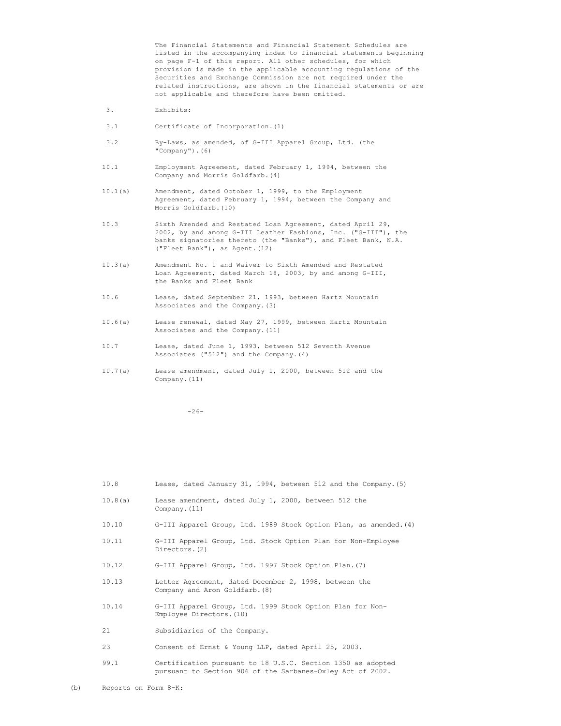The Financial Statements and Financial Statement Schedules are listed in the accompanying index to financial statements beginning on page F-1 of this report. All other schedules, for which provision is made in the applicable accounting regulations of the Securities and Exchange Commission are not required under the related instructions, are shown in the financial statements or are not applicable and therefore have been omitted.

- 3. Exhibits:
- 3.1 Certificate of Incorporation.(1)
- 3.2 By-Laws, as amended, of G-III Apparel Group, Ltd. (the "Company").(6)
- 10.1 Employment Agreement, dated February 1, 1994, between the Company and Morris Goldfarb.(4)
- 10.1(a) Amendment, dated October 1, 1999, to the Employment Agreement, dated February 1, 1994, between the Company and Morris Goldfarb.(10)
- 10.3 Sixth Amended and Restated Loan Agreement, dated April 29, 2002, by and among G-III Leather Fashions, Inc. ("G-III"), the banks signatories thereto (the "Banks"), and Fleet Bank, N.A. ("Fleet Bank"), as Agent.(12)
- 10.3(a) Amendment No. 1 and Waiver to Sixth Amended and Restated Loan Agreement, dated March 18, 2003, by and among G-III, the Banks and Fleet Bank
- 10.6 Lease, dated September 21, 1993, between Hartz Mountain Associates and the Company.(3)
- 10.6(a) Lease renewal, dated May 27, 1999, between Hartz Mountain Associates and the Company.(11)
- 10.7 Lease, dated June 1, 1993, between 512 Seventh Avenue Associates ("512") and the Company.(4)
- 10.7(a) Lease amendment, dated July 1, 2000, between 512 and the Company.(11)

 $-26-$ 

| 10.8    | Lease, dated January 31, 1994, between 512 and the Company. (5)                                                           |
|---------|---------------------------------------------------------------------------------------------------------------------------|
| 10.8(a) | Lease amendment, dated July 1, 2000, between 512 the<br>Company. $(11)$                                                   |
| 10.10   | G-III Apparel Group, Ltd. 1989 Stock Option Plan, as amended. (4)                                                         |
| 10.11   | G-III Apparel Group, Ltd. Stock Option Plan for Non-Employee<br>Directors. (2)                                            |
| 10.12   | G-III Apparel Group, Ltd. 1997 Stock Option Plan. (7)                                                                     |
| 10.13   | Letter Agreement, dated December 2, 1998, between the<br>Company and Aron Goldfarb. (8)                                   |
| 10.14   | G-III Apparel Group, Ltd. 1999 Stock Option Plan for Non-<br>Employee Directors. (10)                                     |
| 21      | Subsidiaries of the Company.                                                                                              |
| 23      | Consent of Ernst & Young LLP, dated April 25, 2003.                                                                       |
| 99.1    | Certification pursuant to 18 U.S.C. Section 1350 as adopted<br>pursuant to Section 906 of the Sarbanes-Oxley Act of 2002. |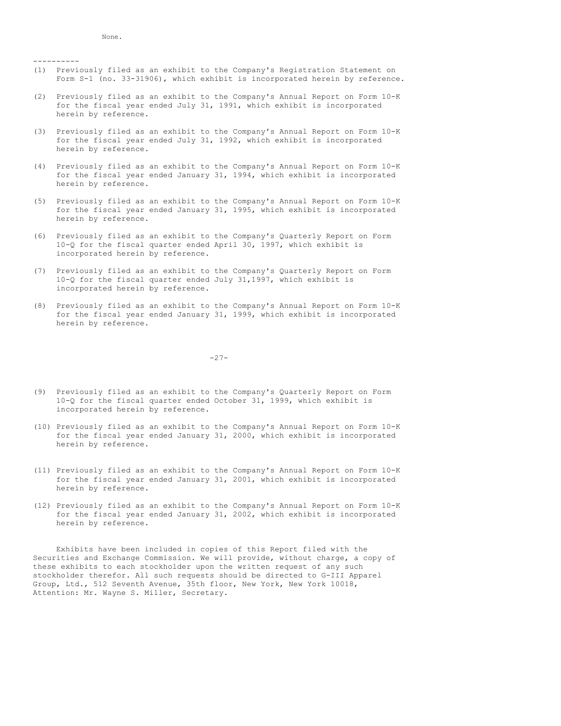----------

- (1) Previously filed as an exhibit to the Company's Registration Statement on Form S-1 (no. 33-31906), which exhibit is incorporated herein by reference.
- (2) Previously filed as an exhibit to the Company's Annual Report on Form 10-K for the fiscal year ended July 31, 1991, which exhibit is incorporated herein by reference.
- (3) Previously filed as an exhibit to the Company's Annual Report on Form 10-K for the fiscal year ended July 31, 1992, which exhibit is incorporated herein by reference.
- (4) Previously filed as an exhibit to the Company's Annual Report on Form 10-K for the fiscal year ended January 31, 1994, which exhibit is incorporated herein by reference.
- (5) Previously filed as an exhibit to the Company's Annual Report on Form 10-K for the fiscal year ended January 31, 1995, which exhibit is incorporated herein by reference.
- (6) Previously filed as an exhibit to the Company's Quarterly Report on Form 10-Q for the fiscal quarter ended April 30, 1997, which exhibit is incorporated herein by reference.
- (7) Previously filed as an exhibit to the Company's Quarterly Report on Form 10-Q for the fiscal quarter ended July 31,1997, which exhibit is incorporated herein by reference.
- (8) Previously filed as an exhibit to the Company's Annual Report on Form 10-K for the fiscal year ended January 31, 1999, which exhibit is incorporated herein by reference.

-27-

- (9) Previously filed as an exhibit to the Company's Quarterly Report on Form 10-Q for the fiscal quarter ended October 31, 1999, which exhibit is incorporated herein by reference.
- (10) Previously filed as an exhibit to the Company's Annual Report on Form 10-K for the fiscal year ended January 31, 2000, which exhibit is incorporated herein by reference.
- (11) Previously filed as an exhibit to the Company's Annual Report on Form 10-K for the fiscal year ended January 31, 2001, which exhibit is incorporated herein by reference.
- (12) Previously filed as an exhibit to the Company's Annual Report on Form 10-K for the fiscal year ended January 31, 2002, which exhibit is incorporated herein by reference.

Exhibits have been included in copies of this Report filed with the Securities and Exchange Commission. We will provide, without charge, a copy of these exhibits to each stockholder upon the written request of any such stockholder therefor. All such requests should be directed to G-III Apparel Group, Ltd., 512 Seventh Avenue, 35th floor, New York, New York 10018, Attention: Mr. Wayne S. Miller, Secretary.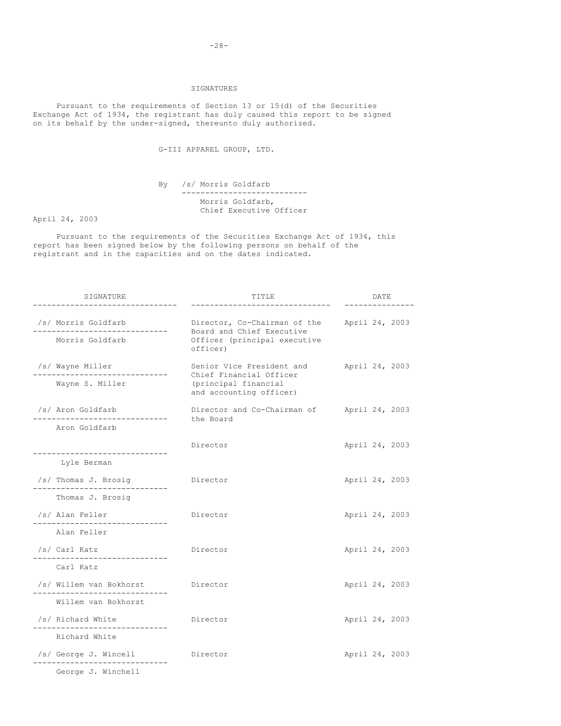## SIGNATURES

Pursuant to the requirements of Section 13 or 15(d) of the Securities Exchange Act of 1934, the registrant has duly caused this report to be signed on its behalf by the under-signed, thereunto duly authorized.

G-III APPAREL GROUP, LTD.

By /s/ Morris Goldfarb --------------------------- Morris Goldfarb, Chief Executive Officer

April 24, 2003

Pursuant to the requirements of the Securities Exchange Act of 1934, this report has been signed below by the following persons on behalf of the registrant and in the capacities and on the dates indicated.

| SIGNATURE                                                       | TITLE                                                                                                   | DATE           |
|-----------------------------------------------------------------|---------------------------------------------------------------------------------------------------------|----------------|
| /s/ Morris Goldfarb<br>Morris Goldfarb                          | Director, Co-Chairman of the<br>Board and Chief Executive<br>Officer (principal executive<br>officer)   | April 24, 2003 |
| /s/ Wayne Miller<br>Wayne S. Miller                             | Senior Vice President and<br>Chief Financial Officer<br>(principal financial<br>and accounting officer) | April 24, 2003 |
| /s/ Aron Goldfarb<br>-------------------------<br>Aron Goldfarb | Director and Co-Chairman of<br>the Board                                                                | April 24, 2003 |
|                                                                 | Director                                                                                                | April 24, 2003 |
| Lyle Berman                                                     |                                                                                                         |                |
| /s/ Thomas J. Brosig                                            | Director                                                                                                | April 24, 2003 |
| Thomas J. Brosig                                                |                                                                                                         |                |
| /s/ Alan Feller<br>---------------                              | Director                                                                                                | April 24, 2003 |
| Alan Feller                                                     |                                                                                                         |                |
| /s/ Carl Katz                                                   | Director                                                                                                | April 24, 2003 |
| Carl Katz                                                       |                                                                                                         |                |
| /s/ Willem van Bokhorst<br>-----------------------              | Director                                                                                                | April 24, 2003 |
| Willem van Bokhorst                                             |                                                                                                         |                |
| /s/ Richard White                                               | Director                                                                                                | April 24, 2003 |
| Richard White                                                   |                                                                                                         |                |
| /s/ George J. Wincell                                           | Director                                                                                                | April 24, 2003 |
| George J. Winchell                                              |                                                                                                         |                |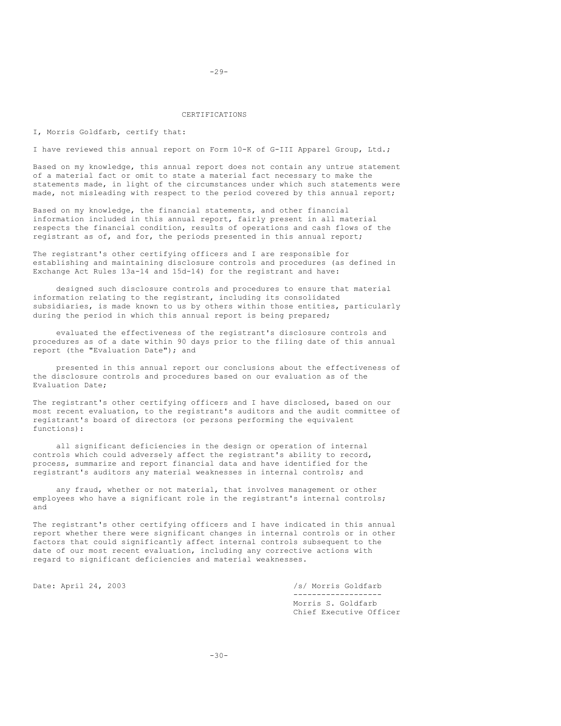#### CERTIFICATIONS

I, Morris Goldfarb, certify that:

I have reviewed this annual report on Form 10-K of G-III Apparel Group, Ltd.;

Based on my knowledge, this annual report does not contain any untrue statement of a material fact or omit to state a material fact necessary to make the statements made, in light of the circumstances under which such statements were made, not misleading with respect to the period covered by this annual report;

Based on my knowledge, the financial statements, and other financial information included in this annual report, fairly present in all material respects the financial condition, results of operations and cash flows of the registrant as of, and for, the periods presented in this annual report;

The registrant's other certifying officers and I are responsible for establishing and maintaining disclosure controls and procedures (as defined in Exchange Act Rules 13a-14 and 15d-14) for the registrant and have:

designed such disclosure controls and procedures to ensure that material information relating to the registrant, including its consolidated subsidiaries, is made known to us by others within those entities, particularly during the period in which this annual report is being prepared;

evaluated the effectiveness of the registrant's disclosure controls and procedures as of a date within 90 days prior to the filing date of this annual report (the "Evaluation Date"); and

presented in this annual report our conclusions about the effectiveness of the disclosure controls and procedures based on our evaluation as of the Evaluation Date;

The registrant's other certifying officers and I have disclosed, based on our most recent evaluation, to the registrant's auditors and the audit committee of registrant's board of directors (or persons performing the equivalent functions):

all significant deficiencies in the design or operation of internal controls which could adversely affect the registrant's ability to record, process, summarize and report financial data and have identified for the registrant's auditors any material weaknesses in internal controls; and

any fraud, whether or not material, that involves management or other employees who have a significant role in the registrant's internal controls; and

The registrant's other certifying officers and I have indicated in this annual report whether there were significant changes in internal controls or in other factors that could significantly affect internal controls subsequent to the date of our most recent evaluation, including any corrective actions with regard to significant deficiencies and material weaknesses.

Date: April 24, 2003 /s/ Morris Goldfarb ------------------- Morris S. Goldfarb Chief Executive Officer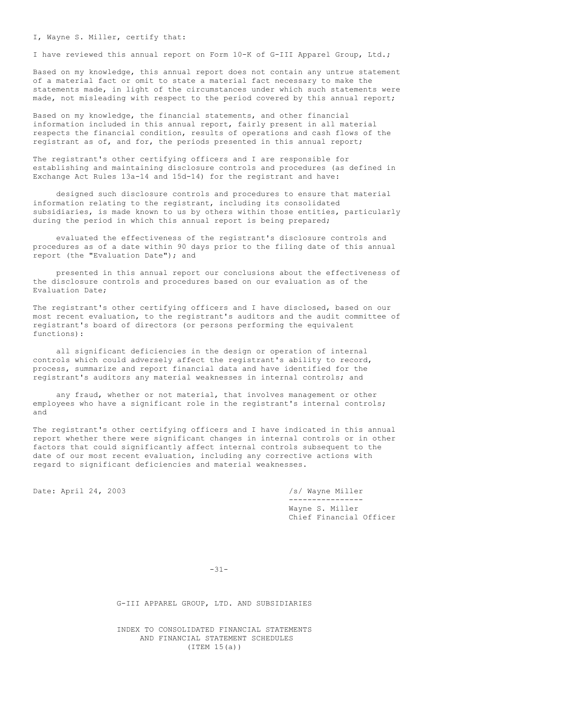I, Wayne S. Miller, certify that:

I have reviewed this annual report on Form 10-K of G-III Apparel Group, Ltd.;

Based on my knowledge, this annual report does not contain any untrue statement of a material fact or omit to state a material fact necessary to make the statements made, in light of the circumstances under which such statements were made, not misleading with respect to the period covered by this annual report;

Based on my knowledge, the financial statements, and other financial information included in this annual report, fairly present in all material respects the financial condition, results of operations and cash flows of the registrant as of, and for, the periods presented in this annual report;

The registrant's other certifying officers and I are responsible for establishing and maintaining disclosure controls and procedures (as defined in Exchange Act Rules 13a-14 and 15d-14) for the registrant and have:

designed such disclosure controls and procedures to ensure that material information relating to the registrant, including its consolidated subsidiaries, is made known to us by others within those entities, particularly during the period in which this annual report is being prepared;

evaluated the effectiveness of the registrant's disclosure controls and procedures as of a date within 90 days prior to the filing date of this annual report (the "Evaluation Date"); and

presented in this annual report our conclusions about the effectiveness of the disclosure controls and procedures based on our evaluation as of the Evaluation Date;

The registrant's other certifying officers and I have disclosed, based on our most recent evaluation, to the registrant's auditors and the audit committee of registrant's board of directors (or persons performing the equivalent functions):

all significant deficiencies in the design or operation of internal controls which could adversely affect the registrant's ability to record, process, summarize and report financial data and have identified for the registrant's auditors any material weaknesses in internal controls; and

any fraud, whether or not material, that involves management or other employees who have a significant role in the registrant's internal controls; and

The registrant's other certifying officers and I have indicated in this annual report whether there were significant changes in internal controls or in other factors that could significantly affect internal controls subsequent to the date of our most recent evaluation, including any corrective actions with regard to significant deficiencies and material weaknesses.

Date: April 24, 2003 /s/ Wayne Miller

---------------- Wayne S. Miller Chief Financial Officer

-31-

G-III APPAREL GROUP, LTD. AND SUBSIDIARIES

INDEX TO CONSOLIDATED FINANCIAL STATEMENTS AND FINANCIAL STATEMENT SCHEDULES (ITEM 15(a))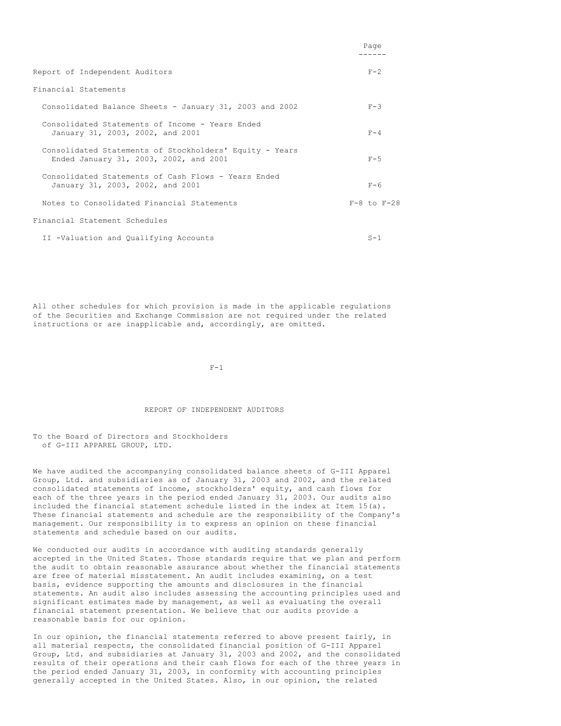|                                                                                                   | Page                |
|---------------------------------------------------------------------------------------------------|---------------------|
| Report of Independent Auditors                                                                    | $F - 2$             |
| Financial Statements                                                                              |                     |
| Consolidated Balance Sheets - January 31, 2003 and 2002                                           | $F-3$               |
| Consolidated Statements of Income - Years Ended<br>January 31, 2003, 2002, and 2001               | $F - 4$             |
| Consolidated Statements of Stockholders' Equity - Years<br>Ended January 31, 2003, 2002, and 2001 | $F - 5$             |
| Consolidated Statements of Cash Flows - Years Ended<br>January 31, 2003, 2002, and 2001           | $F - 6$             |
| Notes to Consolidated Financial Statements                                                        | $F - 8$ to $F - 28$ |
| Financial Statement Schedules                                                                     |                     |
| II -Valuation and Qualifying Accounts                                                             | $S-1$               |

All other schedules for which provision is made in the applicable regulations of the Securities and Exchange Commission are not required under the related instructions or are inapplicable and, accordingly, are omitted.

 $F-1$ 

#### REPORT OF INDEPENDENT AUDITORS

To the Board of Directors and Stockholders of G-III APPAREL GROUP, LTD.

We have audited the accompanying consolidated balance sheets of G-III Apparel Group, Ltd. and subsidiaries as of January 31, 2003 and 2002, and the related consolidated statements of income, stockholders' equity, and cash flows for each of the three years in the period ended January 31, 2003. Our audits also included the financial statement schedule listed in the index at Item 15(a). These financial statements and schedule are the responsibility of the Company's management. Our responsibility is to express an opinion on these financial statements and schedule based on our audits.

We conducted our audits in accordance with auditing standards generally accepted in the United States. Those standards require that we plan and perform the audit to obtain reasonable assurance about whether the financial statements are free of material misstatement. An audit includes examining, on a test basis, evidence supporting the amounts and disclosures in the financial statements. An audit also includes assessing the accounting principles used and significant estimates made by management, as well as evaluating the overall financial statement presentation. We believe that our audits provide a reasonable basis for our opinion.

In our opinion, the financial statements referred to above present fairly, in all material respects, the consolidated financial position of G-III Apparel Group, Ltd. and subsidiaries at January 31, 2003 and 2002, and the consolidated results of their operations and their cash flows for each of the three years in the period ended January 31, 2003, in conformity with accounting principles generally accepted in the United States. Also, in our opinion, the related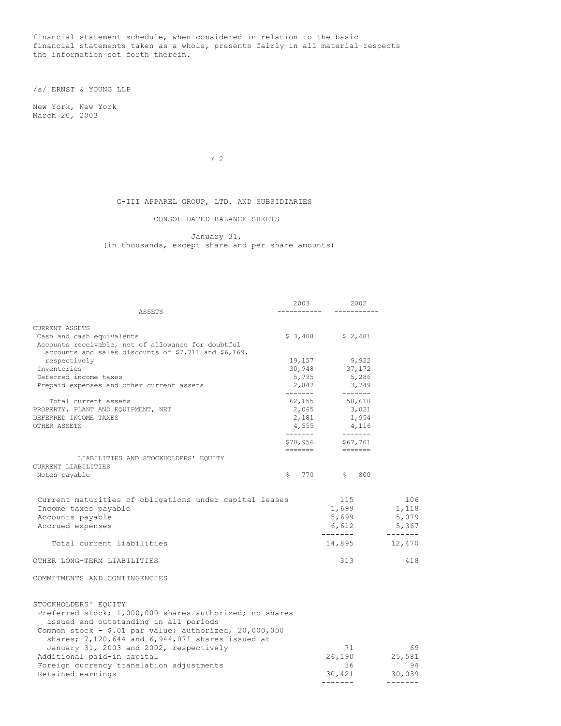financial statement schedule, when considered in relation to the basic financial statements taken as a whole, presents fairly in all material respects the information set forth therein.

/s/ ERNST & YOUNG LLP

New York, New York March 20, 2003

 $F-2$ 

G-III APPAREL GROUP, LTD. AND SUBSIDIARIES

## CONSOLIDATED BALANCE SHEETS

January 31, (in thousands, except share and per share amounts)

|                                                                                                                          | 2003                | 2002                      |                 |
|--------------------------------------------------------------------------------------------------------------------------|---------------------|---------------------------|-----------------|
| ASSETS                                                                                                                   |                     |                           |                 |
| <b>CURRENT ASSETS</b>                                                                                                    |                     |                           |                 |
| Cash and cash equivalents                                                                                                |                     | $$3,408$ $$2,481$         |                 |
| Accounts receivable, net of allowance for doubtful                                                                       |                     |                           |                 |
| accounts and sales discounts of \$7,711 and \$6,169,                                                                     |                     |                           |                 |
| respectively                                                                                                             |                     | 19,157 9,922              |                 |
| Inventories                                                                                                              | 30,948              | 37,172                    |                 |
| Deferred income taxes                                                                                                    | 5,795               | 5,286                     |                 |
| Prepaid expenses and other current assets                                                                                | 2,847<br>-------    | 3,749<br>$- - - - - - -$  |                 |
| Total current assets                                                                                                     |                     | 62,155 58,610             |                 |
| PROPERTY, PLANT AND EQUIPMENT, NET                                                                                       | 2,065               | 3,021                     |                 |
| DEFERRED INCOME TAXES                                                                                                    |                     | 2,181 1,954               |                 |
| OTHER ASSETS                                                                                                             | 4,555               | 4,116<br>4,116            |                 |
|                                                                                                                          | -------<br>\$70,956 | $$67,701$<br>====---      |                 |
|                                                                                                                          | =======             |                           |                 |
| LIABILITIES AND STOCKHOLDERS' EQUITY                                                                                     |                     |                           |                 |
| CURRENT LIABILITIES                                                                                                      |                     | 770<br>S<br>800           |                 |
| Notes payable                                                                                                            | \$                  |                           |                 |
| Current maturities of obligations under capital leases                                                                   |                     | 115                       | 106             |
| Income taxes payable                                                                                                     |                     | 1,699                     | 1,118           |
| Accounts payable                                                                                                         |                     | 5,699                     | 5,079           |
| Accrued expenses                                                                                                         |                     | 6,612                     | 5,367           |
| Total current liabilities                                                                                                |                     | --------<br>14,895 12,470 | --------        |
| OTHER LONG-TERM LIABILITIES                                                                                              |                     | 313                       | 418             |
| COMMITMENTS AND CONTINGENCIES                                                                                            |                     |                           |                 |
| STOCKHOLDERS' EQUITY<br>Preferred stock; 1,000,000 shares authorized; no shares<br>issued and outstanding in all periods |                     |                           |                 |
| Common stock - \$.01 par value; authorized, 20,000,000<br>shares; 7,120,644 and 6,944,071 shares issued at               |                     |                           |                 |
| January 31, 2003 and 2002, respectively                                                                                  |                     | 71                        | 69              |
| Additional paid-in capital                                                                                               |                     | 26,190                    | 25,581          |
| Foreign currency translation adjustments                                                                                 |                     | 36                        | 94              |
| Retained earnings                                                                                                        |                     | 30,421                    | 30,039          |
|                                                                                                                          |                     | $- - - - - - -$           | $- - - - - - -$ |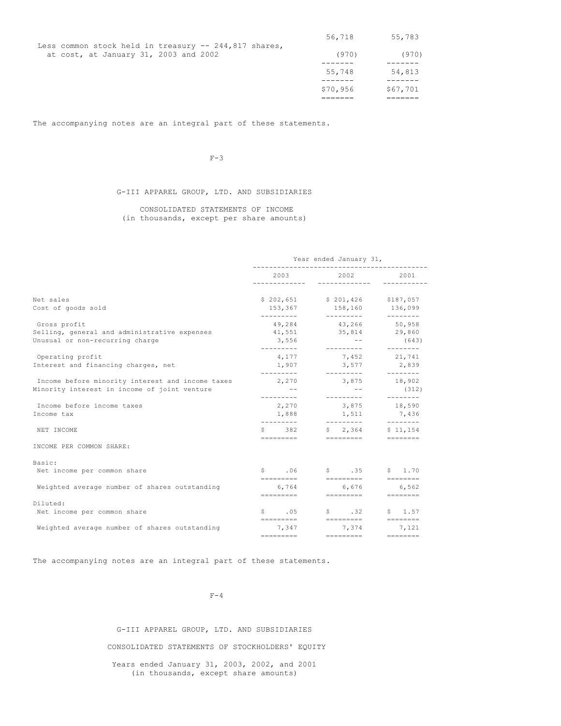|                                                                                                | 56,718   | 55,783   |
|------------------------------------------------------------------------------------------------|----------|----------|
| Less common stock held in treasury $-244,817$ shares,<br>at cost, at January 31, 2003 and 2002 | (970)    | (970)    |
|                                                                                                | 55,748   | 54,813   |
|                                                                                                | \$70,956 | \$67,701 |

The accompanying notes are an integral part of these statements.

 $F-3$ 

## G-III APPAREL GROUP, LTD. AND SUBSIDIARIES

CONSOLIDATED STATEMENTS OF INCOME (in thousands, except per share amounts)

|                                                                                                  | Year ended January 31,                                                                                                               |                                                                                                                                                                                                                                 |                                                                                                                                   |  |
|--------------------------------------------------------------------------------------------------|--------------------------------------------------------------------------------------------------------------------------------------|---------------------------------------------------------------------------------------------------------------------------------------------------------------------------------------------------------------------------------|-----------------------------------------------------------------------------------------------------------------------------------|--|
|                                                                                                  | 2003                                                                                                                                 | 2002 - 2003 - 2004 - 2005 - 2006 - 2007 - 2008 - 2008 - 2008 - 2014 - 2015 - 2016 - 2016 - 2016 - 2016 - 2016 - 2016 - 2016 - 2016 - 2016 - 2016 - 2016 - 2016 - 2017 - 2017 - 2017 - 2017 - 2017 - 2017 - 2017 - 2017 - 2017 - | 2001                                                                                                                              |  |
| Net sales<br>Cost of goods sold                                                                  | 153,367                                                                                                                              | \$202,651 \$201,426 \$187,057<br>158,160 136,099                                                                                                                                                                                |                                                                                                                                   |  |
| Gross profit<br>Selling, general and administrative expenses<br>Unusual or non-recurring charge  | ---------<br>3,556<br>---------                                                                                                      | __________<br>49,284 43,266 50,958<br>41,551 35,814 29,860<br>and the state of the<br>----------                                                                                                                                | $-- - - - - - -$<br>(643)<br>---------                                                                                            |  |
| Operating profit<br>Interest and financing charges, net                                          | 4,177<br>1,907                                                                                                                       | 7,452<br>3,577                                                                                                                                                                                                                  | 21,741<br>2,839                                                                                                                   |  |
| Income before minority interest and income taxes<br>Minority interest in income of joint venture | $-- - - - - - - -$<br>$\sim$ $  -$                                                                                                   | ----------<br>2,270 3,875 18,902<br>$\sim$ $ -$                                                                                                                                                                                 | ---------<br>(312)                                                                                                                |  |
| Income before income taxes<br>Income tax                                                         | 2,270<br>1,888                                                                                                                       | 3,875 18,590<br>1,511                                                                                                                                                                                                           | 7,436                                                                                                                             |  |
| NET INCOME                                                                                       |                                                                                                                                      | __________<br>$$382$ $$2,364$ $$11,154$                                                                                                                                                                                         | $- - - - - - - -$                                                                                                                 |  |
| INCOME PER COMMON SHARE:                                                                         |                                                                                                                                      |                                                                                                                                                                                                                                 |                                                                                                                                   |  |
| Basic:<br>Net income per common share                                                            | $\mathsf{S}$ . 06<br>=========                                                                                                       | $$35$ $$1.70$<br>=========                                                                                                                                                                                                      | ---------                                                                                                                         |  |
| Weighted average number of shares outstanding                                                    |                                                                                                                                      | 6,764 6,676 6,562                                                                                                                                                                                                               |                                                                                                                                   |  |
| Diluted:                                                                                         |                                                                                                                                      |                                                                                                                                                                                                                                 |                                                                                                                                   |  |
| Net income per common share                                                                      |                                                                                                                                      | $$.05$ $$.32$ $$.1.57$                                                                                                                                                                                                          |                                                                                                                                   |  |
| Weighted average number of shares outstanding                                                    | 7,347<br>$\qquad \qquad \doteq\qquad \qquad \doteq\qquad \qquad \qquad \doteq\qquad \qquad \qquad \doteq\qquad \qquad \qquad \qquad$ | 7,374 7,121<br>$=$ = = = = = = = = =                                                                                                                                                                                            | $\qquad \qquad \doteq\qquad \qquad \doteq\qquad \qquad \doteq\qquad \qquad \doteq\qquad \qquad \qquad \doteq\qquad \qquad \qquad$ |  |

The accompanying notes are an integral part of these statements.

 $F-4$ 

G-III APPAREL GROUP, LTD. AND SUBSIDIARIES CONSOLIDATED STATEMENTS OF STOCKHOLDERS' EQUITY Years ended January 31, 2003, 2002, and 2001 (in thousands, except share amounts)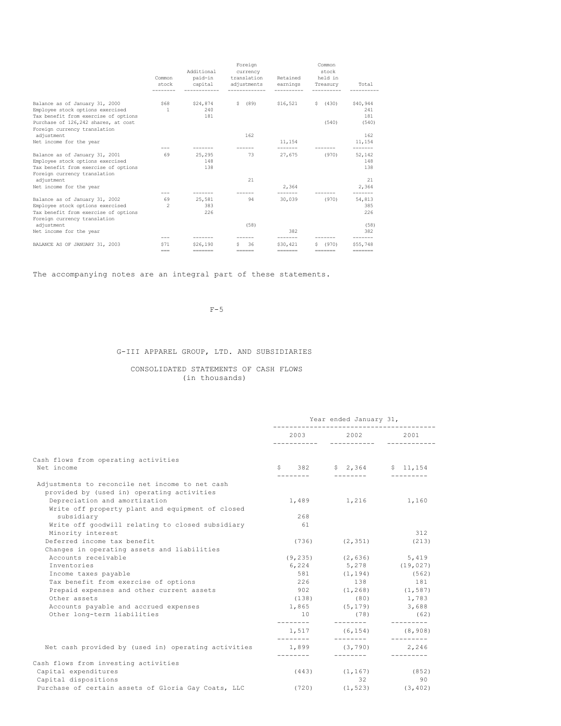|                                                                          | Common<br>stock      | Additional<br>paid-in<br>capital | Foreign<br>currency<br>translation<br>adjustments                | Retained<br>earnings        | Common<br>stock<br>held in<br>Treasury | Total                       |
|--------------------------------------------------------------------------|----------------------|----------------------------------|------------------------------------------------------------------|-----------------------------|----------------------------------------|-----------------------------|
|                                                                          |                      |                                  |                                                                  |                             |                                        |                             |
| Balance as of January 31, 2000                                           | \$68<br>$\mathbf{1}$ | \$24,874<br>240                  | S.<br>(89)                                                       | \$16,521                    | (430)<br>S.                            | \$40,944<br>241             |
| Employee stock options exercised<br>Tax benefit from exercise of options |                      | 181                              |                                                                  |                             |                                        | 181                         |
| Purchase of 126,242 shares, at cost                                      |                      |                                  |                                                                  |                             | (540)                                  | (540)                       |
| Foreign currency translation                                             |                      |                                  |                                                                  |                             |                                        |                             |
| adjustment                                                               |                      |                                  | 162                                                              |                             |                                        | 162                         |
| Net income for the year                                                  |                      |                                  |                                                                  | 11,154                      |                                        | 11,154                      |
| Balance as of January 31, 2001                                           | 69                   | 25,295                           | 73                                                               | -------<br>27,675           | (970)                                  | -------<br>52,142           |
| Employee stock options exercised                                         |                      | 148                              |                                                                  |                             |                                        | 148                         |
| Tax benefit from exercise of options                                     |                      | 138                              |                                                                  |                             |                                        | 138                         |
| Foreign currency translation                                             |                      |                                  |                                                                  |                             |                                        |                             |
| adjustment                                                               |                      |                                  | 21                                                               |                             |                                        | 21                          |
| Net income for the year                                                  |                      |                                  |                                                                  | 2.364                       |                                        | 2.364                       |
|                                                                          | $- - -$              |                                  |                                                                  |                             |                                        |                             |
| Balance as of January 31, 2002                                           | 69                   | 25,581                           | 94                                                               | 30,039                      | (970)                                  | 54,813                      |
| Employee stock options exercised                                         | $\mathfrak{D}$       | 383                              |                                                                  |                             |                                        | 385                         |
| Tax benefit from exercise of options                                     |                      | 226                              |                                                                  |                             |                                        | 226                         |
| Foreign currency translation                                             |                      |                                  |                                                                  |                             |                                        |                             |
| adjustment                                                               |                      |                                  | (58)                                                             |                             |                                        | (58)                        |
| Net income for the year                                                  | $- - -$              |                                  |                                                                  | 382                         |                                        | 382                         |
| BALANCE AS OF JANUARY 31, 2003                                           | <b>S71</b>           | \$26,190                         | 36<br>s                                                          | \$30,421                    | (970)                                  | \$55,748                    |
|                                                                          | $=$ $=$ $=$          | $=$ = = = = = = =                | $\qquad \qquad \equiv \equiv \equiv \equiv \equiv \equiv \equiv$ | $=$ $=$ $=$ $=$ $=$ $=$ $=$ | --------                               | $=$ $=$ $=$ $=$ $=$ $=$ $=$ |
|                                                                          |                      |                                  |                                                                  |                             |                                        |                             |

The accompanying notes are an integral part of these statements.

## $F-5$

# G-III APPAREL GROUP, LTD. AND SUBSIDIARIES

## CONSOLIDATED STATEMENTS OF CASH FLOWS (in thousands)

|                                                     | Year ended January 31,        |                              |                       |  |
|-----------------------------------------------------|-------------------------------|------------------------------|-----------------------|--|
|                                                     | 2003<br>-----------           | 2002<br>-----------          | 2001<br>------------  |  |
| Cash flows from operating activities<br>Net income  | $S \qquad 382$                |                              | $$2,364$ $$11,154$    |  |
|                                                     |                               |                              |                       |  |
| Adjustments to reconcile net income to net cash     |                               |                              |                       |  |
| provided by (used in) operating activities          |                               |                              |                       |  |
| Depreciation and amortization                       |                               | 1,489 1,216 1,160            |                       |  |
| Write off property plant and equipment of closed    | 268                           |                              |                       |  |
| subsidiary                                          |                               |                              |                       |  |
| Write off goodwill relating to closed subsidiary    | 61                            |                              | 312                   |  |
| Minority interest<br>Deferred income tax benefit    |                               |                              |                       |  |
|                                                     | (736)                         | (2, 351)                     | (213)                 |  |
| Changes in operating assets and liabilities         |                               |                              |                       |  |
| Accounts receivable                                 |                               | $(9, 235)$ $(2, 636)$ 5,419  |                       |  |
| <b>Tnventories</b>                                  | 6,224                         |                              | 5,278 (19,027)        |  |
| Income taxes payable                                | 581                           | (1, 194)                     | (562)                 |  |
| Tax benefit from exercise of options                | 226                           | 138                          | 181                   |  |
| Prepaid expenses and other current assets           |                               | 902 (1,268) (1,587)          |                       |  |
| Other assets                                        | (138)                         |                              | $(80)$ 1,783          |  |
| Accounts payable and accrued expenses               |                               | 1,865 (5,179)                | 3,688                 |  |
| Other long-term liabilities                         | 10<br>---------               | (78)<br>---------            | (62)<br>---------     |  |
|                                                     | ---------                     | $1,517$ (6,154)<br>_________ | (8, 908)<br>--------- |  |
| Net cash provided by (used in) operating activities |                               | 1,899 (3,790)                | 2,246                 |  |
| Cash flows from investing activities                | ---------                     | ---------                    |                       |  |
| Capital expenditures                                |                               | $(443)$ $(1, 167)$ $(852)$   |                       |  |
| Capital dispositions                                |                               | $32 -$                       | 90                    |  |
| Purchase of certain assets of Gloria Gay Coats, LLC | $(720)$ $(1, 523)$ $(3, 402)$ |                              |                       |  |
|                                                     |                               |                              |                       |  |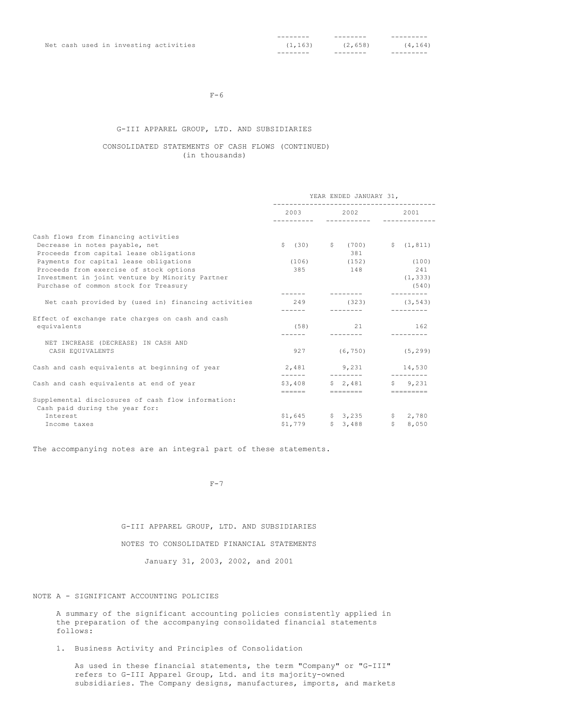|  | Net cash used in investing activities | (1, 163) | (2,658) | (4, 164) |
|--|---------------------------------------|----------|---------|----------|
|  |                                       |          |         |          |

#### $F-6$

## G-III APPAREL GROUP, LTD. AND SUBSIDIARIES

## CONSOLIDATED STATEMENTS OF CASH FLOWS (CONTINUED) (in thousands)

|                                                     | YEAR ENDED JANUARY 31, |                                        |                     |  |
|-----------------------------------------------------|------------------------|----------------------------------------|---------------------|--|
|                                                     |                        | 2003 2002 2001<br>_____________        |                     |  |
| Cash flows from financing activities                |                        |                                        |                     |  |
| Decrease in notes payable, net                      |                        | $\frac{1}{2}$ (30) $\frac{1}{2}$ (700) | \$(1, 811)          |  |
| Proceeds from capital lease obligations             |                        | 381                                    |                     |  |
| Payments for capital lease obligations              | (106)                  |                                        | $(152)$ $(100)$     |  |
| Proceeds from exercise of stock options             | 385                    | 148                                    | 241                 |  |
| Investment in joint venture by Minority Partner     |                        |                                        | (1, 333)            |  |
| Purchase of common stock for Treasury               |                        |                                        | (540)               |  |
|                                                     |                        |                                        |                     |  |
| Net cash provided by (used in) financing activities | 249                    | (323)                                  | (3, 543)            |  |
|                                                     | ------                 | ---------                              |                     |  |
| Effect of exchange rate charges on cash and cash    |                        |                                        |                     |  |
| equivalents                                         | (58)                   | 21                                     | 162                 |  |
|                                                     | $- - - - - -$          |                                        |                     |  |
| NET INCREASE (DECREASE) IN CASH AND                 |                        |                                        |                     |  |
| CASH EQUIVALENTS                                    | 927                    |                                        | $(6, 750)$ (5,299)  |  |
| Cash and cash equivalents at beginning of year      |                        | 2,481 9,231 14,530                     |                     |  |
|                                                     | -------                | __________                             |                     |  |
| Cash and cash equivalents at end of year            |                        | \$3,408 \$ 2,481                       | \$9,231             |  |
|                                                     |                        | ======    ========                     | $=$ = = = = = = = = |  |
| Supplemental disclosures of cash flow information:  |                        |                                        |                     |  |
| Cash paid during the year for:                      |                        |                                        |                     |  |
| <b>Tnterest</b>                                     |                        | $$1,645$ $$3,235$ $$2,780$             |                     |  |
| Income taxes                                        |                        | $$1,779$ $$3,488$                      | \$8,050             |  |

The accompanying notes are an integral part of these statements.

 $F-7$ 

G-III APPAREL GROUP, LTD. AND SUBSIDIARIES

## NOTES TO CONSOLIDATED FINANCIAL STATEMENTS

January 31, 2003, 2002, and 2001

## NOTE A - SIGNIFICANT ACCOUNTING POLICIES

A summary of the significant accounting policies consistently applied in the preparation of the accompanying consolidated financial statements follows:

1. Business Activity and Principles of Consolidation

As used in these financial statements, the term "Company" or "G-III" refers to G-III Apparel Group, Ltd. and its majority-owned subsidiaries. The Company designs, manufactures, imports, and markets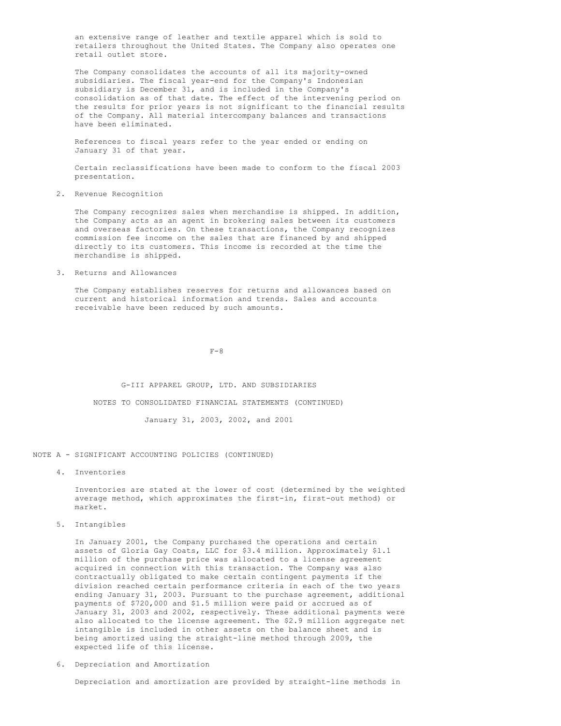an extensive range of leather and textile apparel which is sold to retailers throughout the United States. The Company also operates one retail outlet store.

The Company consolidates the accounts of all its majority-owned subsidiaries. The fiscal year-end for the Company's Indonesian subsidiary is December 31, and is included in the Company's consolidation as of that date. The effect of the intervening period on the results for prior years is not significant to the financial results of the Company. All material intercompany balances and transactions have been eliminated.

References to fiscal years refer to the year ended or ending on January 31 of that year.

Certain reclassifications have been made to conform to the fiscal 2003 presentation.

2. Revenue Recognition

The Company recognizes sales when merchandise is shipped. In addition, the Company acts as an agent in brokering sales between its customers and overseas factories. On these transactions, the Company recognizes commission fee income on the sales that are financed by and shipped directly to its customers. This income is recorded at the time the merchandise is shipped.

3. Returns and Allowances

The Company establishes reserves for returns and allowances based on current and historical information and trends. Sales and accounts receivable have been reduced by such amounts.

 $F-8$ 

G-III APPAREL GROUP, LTD. AND SUBSIDIARIES

NOTES TO CONSOLIDATED FINANCIAL STATEMENTS (CONTINUED)

January 31, 2003, 2002, and 2001

NOTE A - SIGNIFICANT ACCOUNTING POLICIES (CONTINUED)

4. Inventories

Inventories are stated at the lower of cost (determined by the weighted average method, which approximates the first-in, first-out method) or market.

5. Intangibles

In January 2001, the Company purchased the operations and certain assets of Gloria Gay Coats, LLC for \$3.4 million. Approximately \$1.1 million of the purchase price was allocated to a license agreement acquired in connection with this transaction. The Company was also contractually obligated to make certain contingent payments if the division reached certain performance criteria in each of the two years ending January 31, 2003. Pursuant to the purchase agreement, additional payments of \$720,000 and \$1.5 million were paid or accrued as of January 31, 2003 and 2002, respectively. These additional payments were also allocated to the license agreement. The \$2.9 million aggregate net intangible is included in other assets on the balance sheet and is being amortized using the straight-line method through 2009, the expected life of this license.

6. Depreciation and Amortization

Depreciation and amortization are provided by straight-line methods in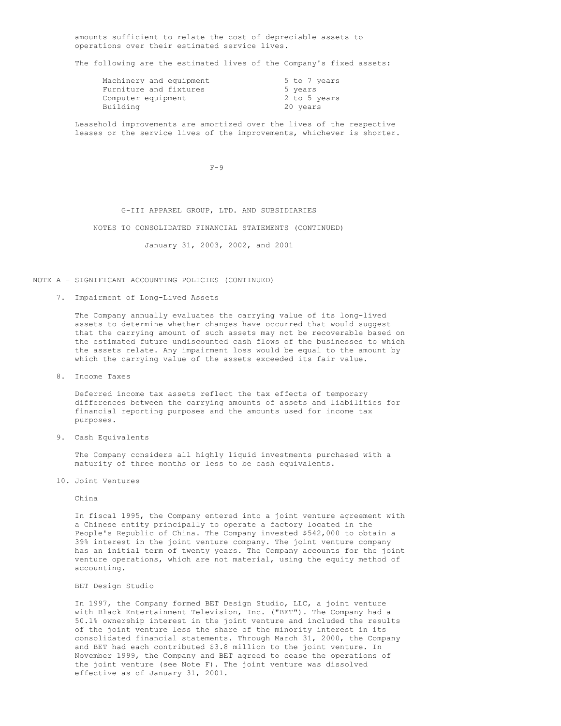amounts sufficient to relate the cost of depreciable assets to operations over their estimated service lives.

The following are the estimated lives of the Company's fixed assets:

| Machinery and equipment | 5 to 7 years |
|-------------------------|--------------|
| Furniture and fixtures  | 5 years      |
| Computer equipment      | 2 to 5 years |
| Building                | 20 years     |

Leasehold improvements are amortized over the lives of the respective leases or the service lives of the improvements, whichever is shorter.

 $F-9$ 

G-III APPAREL GROUP, LTD. AND SUBSIDIARIES

NOTES TO CONSOLIDATED FINANCIAL STATEMENTS (CONTINUED)

January 31, 2003, 2002, and 2001

NOTE A - SIGNIFICANT ACCOUNTING POLICIES (CONTINUED)

#### 7. Impairment of Long-Lived Assets

The Company annually evaluates the carrying value of its long-lived assets to determine whether changes have occurred that would suggest that the carrying amount of such assets may not be recoverable based on the estimated future undiscounted cash flows of the businesses to which the assets relate. Any impairment loss would be equal to the amount by which the carrying value of the assets exceeded its fair value.

8. Income Taxes

Deferred income tax assets reflect the tax effects of temporary differences between the carrying amounts of assets and liabilities for financial reporting purposes and the amounts used for income tax purposes.

9. Cash Equivalents

The Company considers all highly liquid investments purchased with a maturity of three months or less to be cash equivalents.

10. Joint Ventures

China

In fiscal 1995, the Company entered into a joint venture agreement with a Chinese entity principally to operate a factory located in the People's Republic of China. The Company invested \$542,000 to obtain a 39% interest in the joint venture company. The joint venture company has an initial term of twenty years. The Company accounts for the joint venture operations, which are not material, using the equity method of accounting.

#### BET Design Studio

In 1997, the Company formed BET Design Studio, LLC, a joint venture with Black Entertainment Television, Inc. ("BET"). The Company had a 50.1% ownership interest in the joint venture and included the results of the joint venture less the share of the minority interest in its consolidated financial statements. Through March 31, 2000, the Company and BET had each contributed \$3.8 million to the joint venture. In November 1999, the Company and BET agreed to cease the operations of the joint venture (see Note F). The joint venture was dissolved effective as of January 31, 2001.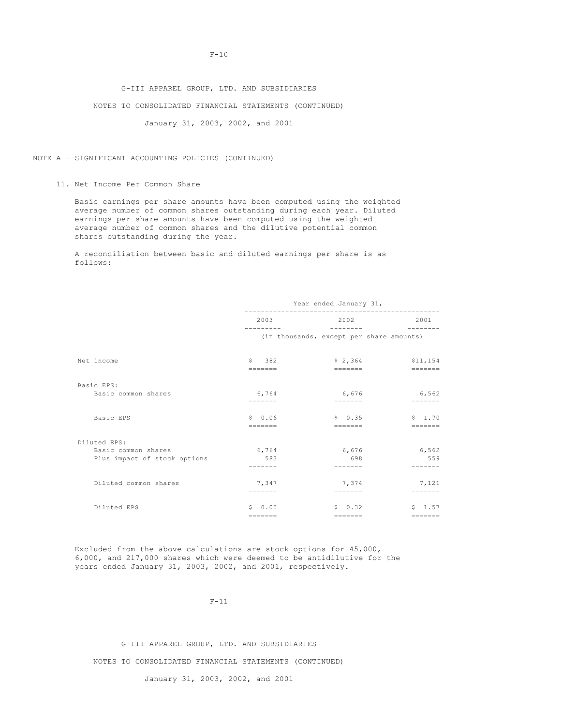## G-III APPAREL GROUP, LTD. AND SUBSIDIARIES

## NOTES TO CONSOLIDATED FINANCIAL STATEMENTS (CONTINUED)

January 31, 2003, 2002, and 2001

## NOTE A - SIGNIFICANT ACCOUNTING POLICIES (CONTINUED)

11. Net Income Per Common Share

Basic earnings per share amounts have been computed using the weighted average number of common shares outstanding during each year. Diluted earnings per share amounts have been computed using the weighted average number of common shares and the dilutive potential common shares outstanding during the year.

A reconciliation between basic and diluted earnings per share is as follows:

|                              | Year ended January 31,        |                                                                            |                           |  |
|------------------------------|-------------------------------|----------------------------------------------------------------------------|---------------------------|--|
|                              | 2003                          | 2002<br>$- - - - - - - -$                                                  |                           |  |
|                              |                               | (in thousands, except per share amounts)                                   |                           |  |
| Net income                   | $S = 382$<br>$=$              | \$2,364<br>=======                                                         | \$11,154<br>=======       |  |
| Basic EPS:                   |                               |                                                                            |                           |  |
| Basic common shares          | 6,764<br>$=$ = = = = = =      | 6,676<br>$=$ = = = = = =                                                   | 6,562<br>$=$ = = = = = =  |  |
| Basic EPS                    | $S = 0.06$<br>$=$ = = = = = = | \$0.35<br>$\qquad \qquad \equiv \equiv \equiv \equiv \equiv \equiv \equiv$ | \$1.70<br>$=$ = = = = = = |  |
| Diluted EPS:                 |                               |                                                                            |                           |  |
| Basic common shares          | 6,764                         | 6,676                                                                      | 6,562                     |  |
| Plus impact of stock options | 583                           | 698                                                                        | 559                       |  |
|                              |                               |                                                                            |                           |  |
| Diluted common shares        | 7,347                         | 7,374                                                                      | 7,121                     |  |
|                              | $=$ = = = = = =               | $\qquad \qquad \equiv \equiv \equiv \equiv \equiv \equiv \equiv$           | $=$                       |  |
| Diluted EPS                  | $S \t 0.05$                   | \$0.32                                                                     | $S = 1.57$                |  |
|                              | $=$ = = = = = =               | $=$ = = = = = =                                                            | $=$ = = = = = =           |  |

Excluded from the above calculations are stock options for 45,000, 6,000, and 217,000 shares which were deemed to be antidilutive for the years ended January 31, 2003, 2002, and 2001, respectively.

 $F-11$ 

## G-III APPAREL GROUP, LTD. AND SUBSIDIARIES

NOTES TO CONSOLIDATED FINANCIAL STATEMENTS (CONTINUED)

## January 31, 2003, 2002, and 2001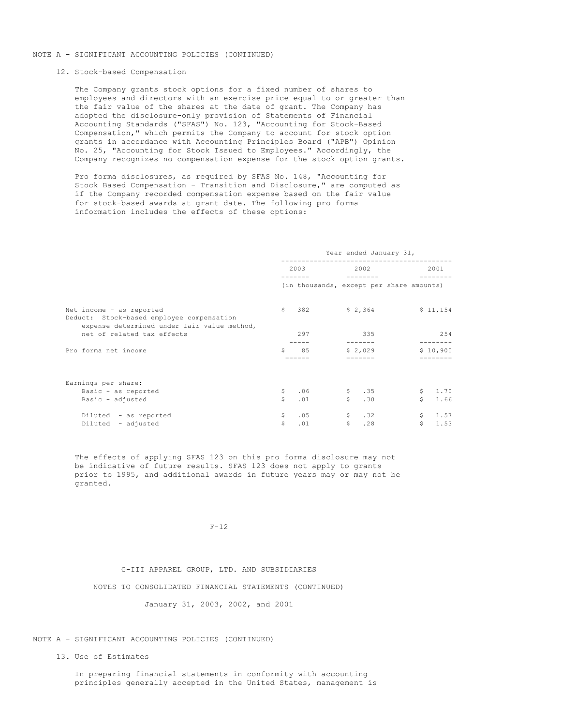## NOTE A - SIGNIFICANT ACCOUNTING POLICIES (CONTINUED)

#### 12. Stock-based Compensation

The Company grants stock options for a fixed number of shares to employees and directors with an exercise price equal to or greater than the fair value of the shares at the date of grant. The Company has adopted the disclosure-only provision of Statements of Financial Accounting Standards ("SFAS") No. 123, "Accounting for Stock-Based Compensation," which permits the Company to account for stock option grants in accordance with Accounting Principles Board ("APB") Opinion No. 25, "Accounting for Stock Issued to Employees." Accordingly, the Company recognizes no compensation expense for the stock option grants.

Pro forma disclosures, as required by SFAS No. 148, "Accounting for Stock Based Compensation - Transition and Disclosure," are computed as if the Company recorded compensation expense based on the fair value for stock-based awards at grant date. The following pro forma information includes the effects of these options:

|                                                                                                                      | Year ended January 31, |                                          |              |                            |                |                               |  |
|----------------------------------------------------------------------------------------------------------------------|------------------------|------------------------------------------|--------------|----------------------------|----------------|-------------------------------|--|
|                                                                                                                      |                        | 2003                                     |              | 2002                       |                | 2001                          |  |
|                                                                                                                      |                        | (in thousands, except per share amounts) |              |                            |                |                               |  |
| Net income - as reported<br>Deduct: Stock-based employee compensation<br>expense determined under fair value method, |                        | \$2,364                                  |              |                            |                | \$11,154                      |  |
| net of related tax effects                                                                                           |                        | 297                                      |              | 335                        |                | 254                           |  |
| Pro forma net income                                                                                                 | S.                     | 85<br>$=$ = = = = =                      |              | \$2.029<br>$=$ = = = = = = |                | \$10,900<br>$=$ = = = = = = = |  |
| Earnings per share:                                                                                                  |                        |                                          |              |                            |                |                               |  |
| Basic - as reported                                                                                                  | \$                     | .06                                      |              | \$35                       |                | \$1.70                        |  |
| Basic - adjusted                                                                                                     | Ś.                     | .01                                      | S            | .30                        | $\mathsf{S}^-$ | 1.66                          |  |
| Diluted - as reported                                                                                                | \$                     | .05                                      |              | \$32                       |                | \$1.57                        |  |
| Diluted - adjusted                                                                                                   | \$                     | .01                                      | $\mathsf{S}$ | .28                        | S              | 1.53                          |  |

The effects of applying SFAS 123 on this pro forma disclosure may not be indicative of future results. SFAS 123 does not apply to grants prior to 1995, and additional awards in future years may or may not be granted.

#### $F-12$

G-III APPAREL GROUP, LTD. AND SUBSIDIARIES NOTES TO CONSOLIDATED FINANCIAL STATEMENTS (CONTINUED) January 31, 2003, 2002, and 2001

#### NOTE A - SIGNIFICANT ACCOUNTING POLICIES (CONTINUED)

13. Use of Estimates

In preparing financial statements in conformity with accounting principles generally accepted in the United States, management is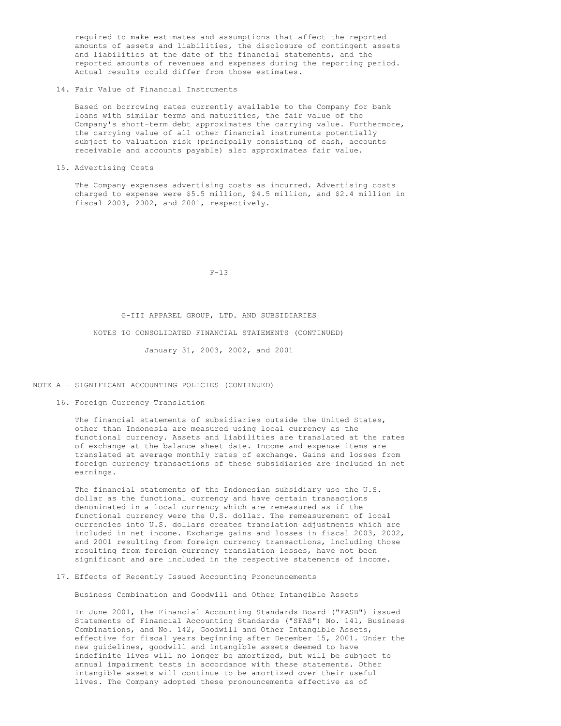required to make estimates and assumptions that affect the reported amounts of assets and liabilities, the disclosure of contingent assets and liabilities at the date of the financial statements, and the reported amounts of revenues and expenses during the reporting period. Actual results could differ from those estimates.

14. Fair Value of Financial Instruments

Based on borrowing rates currently available to the Company for bank loans with similar terms and maturities, the fair value of the Company's short-term debt approximates the carrying value. Furthermore, the carrying value of all other financial instruments potentially subject to valuation risk (principally consisting of cash, accounts receivable and accounts payable) also approximates fair value.

15. Advertising Costs

The Company expenses advertising costs as incurred. Advertising costs charged to expense were \$5.5 million, \$4.5 million, and \$2.4 million in fiscal 2003, 2002, and 2001, respectively.

 $F-13$ 

#### G-III APPAREL GROUP, LTD. AND SUBSIDIARIES

NOTES TO CONSOLIDATED FINANCIAL STATEMENTS (CONTINUED)

January 31, 2003, 2002, and 2001

NOTE A - SIGNIFICANT ACCOUNTING POLICIES (CONTINUED)

16. Foreign Currency Translation

The financial statements of subsidiaries outside the United States, other than Indonesia are measured using local currency as the functional currency. Assets and liabilities are translated at the rates of exchange at the balance sheet date. Income and expense items are translated at average monthly rates of exchange. Gains and losses from foreign currency transactions of these subsidiaries are included in net earnings.

The financial statements of the Indonesian subsidiary use the U.S. dollar as the functional currency and have certain transactions denominated in a local currency which are remeasured as if the functional currency were the U.S. dollar. The remeasurement of local currencies into U.S. dollars creates translation adjustments which are included in net income. Exchange gains and losses in fiscal 2003, 2002, and 2001 resulting from foreign currency transactions, including those resulting from foreign currency translation losses, have not been significant and are included in the respective statements of income.

17. Effects of Recently Issued Accounting Pronouncements

Business Combination and Goodwill and Other Intangible Assets

In June 2001, the Financial Accounting Standards Board ("FASB") issued Statements of Financial Accounting Standards ("SFAS") No. 141, Business Combinations, and No. 142, Goodwill and Other Intangible Assets, effective for fiscal years beginning after December 15, 2001. Under the new guidelines, goodwill and intangible assets deemed to have indefinite lives will no longer be amortized, but will be subject to annual impairment tests in accordance with these statements. Other intangible assets will continue to be amortized over their useful lives. The Company adopted these pronouncements effective as of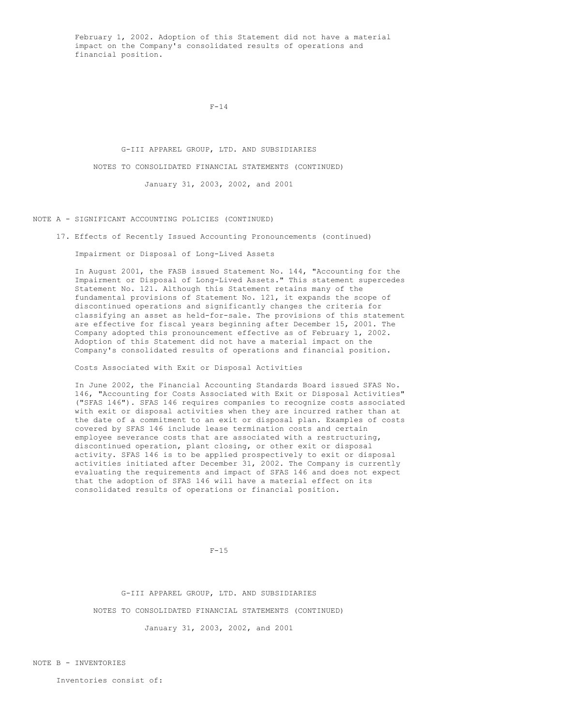February 1, 2002. Adoption of this Statement did not have a material impact on the Company's consolidated results of operations and financial position.

#### $F-14$

G-III APPAREL GROUP, LTD. AND SUBSIDIARIES NOTES TO CONSOLIDATED FINANCIAL STATEMENTS (CONTINUED) January 31, 2003, 2002, and 2001

NOTE A - SIGNIFICANT ACCOUNTING POLICIES (CONTINUED)

17. Effects of Recently Issued Accounting Pronouncements (continued)

Impairment or Disposal of Long-Lived Assets

In August 2001, the FASB issued Statement No. 144, "Accounting for the Impairment or Disposal of Long-Lived Assets." This statement supercedes Statement No. 121. Although this Statement retains many of the fundamental provisions of Statement No. 121, it expands the scope of discontinued operations and significantly changes the criteria for classifying an asset as held-for-sale. The provisions of this statement are effective for fiscal years beginning after December 15, 2001. The Company adopted this pronouncement effective as of February 1, 2002. Adoption of this Statement did not have a material impact on the Company's consolidated results of operations and financial position.

Costs Associated with Exit or Disposal Activities

In June 2002, the Financial Accounting Standards Board issued SFAS No. 146, "Accounting for Costs Associated with Exit or Disposal Activities" ("SFAS 146"). SFAS 146 requires companies to recognize costs associated with exit or disposal activities when they are incurred rather than at the date of a commitment to an exit or disposal plan. Examples of costs covered by SFAS 146 include lease termination costs and certain employee severance costs that are associated with a restructuring, discontinued operation, plant closing, or other exit or disposal activity. SFAS 146 is to be applied prospectively to exit or disposal activities initiated after December 31, 2002. The Company is currently evaluating the requirements and impact of SFAS 146 and does not expect that the adoption of SFAS 146 will have a material effect on its consolidated results of operations or financial position.

 $F-1.5$ 

G-III APPAREL GROUP, LTD. AND SUBSIDIARIES NOTES TO CONSOLIDATED FINANCIAL STATEMENTS (CONTINUED)

January 31, 2003, 2002, and 2001

NOTE B - INVENTORIES

Inventories consist of: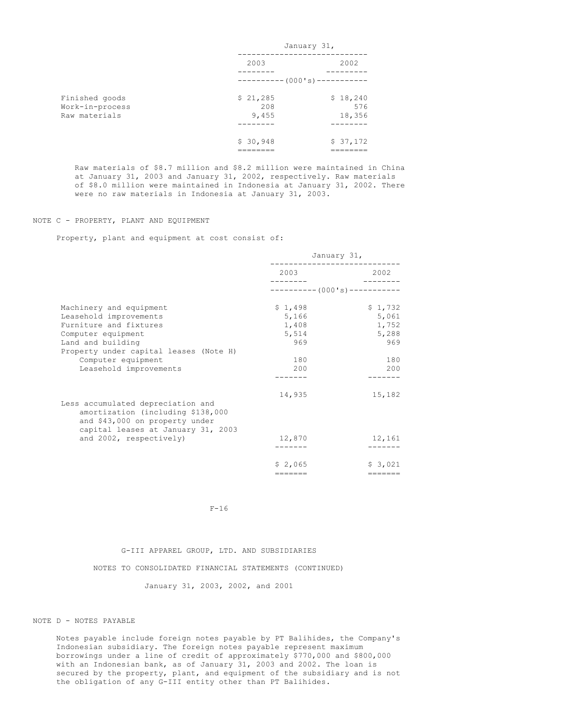|                 | January 31,            |          |  |
|-----------------|------------------------|----------|--|
|                 | 2003                   | 2002     |  |
|                 |                        |          |  |
|                 | $-------(000's)------$ |          |  |
| Finished goods  | \$21,285               | \$18,240 |  |
| Work-in-process | 208                    | 576      |  |
| Raw materials   | 9,455                  | 18,356   |  |
|                 |                        |          |  |
|                 | \$30,948               | \$37,172 |  |
|                 |                        |          |  |

Raw materials of \$8.7 million and \$8.2 million were maintained in China at January 31, 2003 and January 31, 2002, respectively. Raw materials of \$8.0 million were maintained in Indonesia at January 31, 2002. There were no raw materials in Indonesia at January 31, 2003.

#### NOTE C - PROPERTY, PLANT AND EQUIPMENT

Property, plant and equipment at cost consist of:

|                                                                                                                                                | January 31,                 |         |  |
|------------------------------------------------------------------------------------------------------------------------------------------------|-----------------------------|---------|--|
|                                                                                                                                                | 2003                        | 2002    |  |
|                                                                                                                                                | $---------(000's)---------$ |         |  |
| Machinery and equipment                                                                                                                        | \$1,498                     | \$1,732 |  |
| Leasehold improvements                                                                                                                         | 5,166                       | 5,061   |  |
| Furniture and fixtures                                                                                                                         | 1,408                       | 1,752   |  |
| Computer equipment                                                                                                                             | 5,514                       | 5,288   |  |
| Land and building                                                                                                                              | 969                         | 969     |  |
| Property under capital leases (Note H)                                                                                                         |                             |         |  |
| Computer equipment                                                                                                                             | 180                         | 180     |  |
| Leasehold improvements                                                                                                                         | 200                         | 200     |  |
|                                                                                                                                                |                             |         |  |
|                                                                                                                                                | 14,935                      | 15,182  |  |
| Less accumulated depreciation and<br>amortization (including \$138,000<br>and \$43,000 on property under<br>capital leases at January 31, 2003 |                             |         |  |
| and 2002, respectively)                                                                                                                        | 12,870                      | 12,161  |  |
|                                                                                                                                                |                             |         |  |
|                                                                                                                                                | \$2,065                     | \$3.021 |  |
|                                                                                                                                                | =======                     | ======= |  |

F-16

## G-III APPAREL GROUP, LTD. AND SUBSIDIARIES

NOTES TO CONSOLIDATED FINANCIAL STATEMENTS (CONTINUED)

January 31, 2003, 2002, and 2001

#### NOTE D - NOTES PAYABLE

Notes payable include foreign notes payable by PT Balihides, the Company's Indonesian subsidiary. The foreign notes payable represent maximum borrowings under a line of credit of approximately \$770,000 and \$800,000 with an Indonesian bank, as of January 31, 2003 and 2002. The loan is secured by the property, plant, and equipment of the subsidiary and is not the obligation of any G-III entity other than PT Balihides.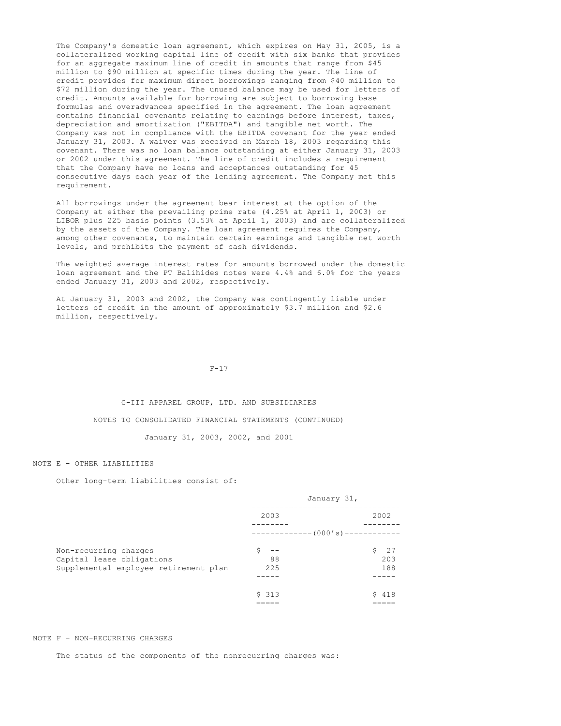The Company's domestic loan agreement, which expires on May 31, 2005, is a collateralized working capital line of credit with six banks that provides for an aggregate maximum line of credit in amounts that range from \$45 million to \$90 million at specific times during the year. The line of credit provides for maximum direct borrowings ranging from \$40 million to \$72 million during the year. The unused balance may be used for letters of credit. Amounts available for borrowing are subject to borrowing base formulas and overadvances specified in the agreement. The loan agreement contains financial covenants relating to earnings before interest, taxes, depreciation and amortization ("EBITDA") and tangible net worth. The Company was not in compliance with the EBITDA covenant for the year ended January 31, 2003. A waiver was received on March 18, 2003 regarding this covenant. There was no loan balance outstanding at either January 31, 2003 or 2002 under this agreement. The line of credit includes a requirement that the Company have no loans and acceptances outstanding for 45 consecutive days each year of the lending agreement. The Company met this requirement.

All borrowings under the agreement bear interest at the option of the Company at either the prevailing prime rate (4.25% at April 1, 2003) or LIBOR plus 225 basis points (3.53% at April 1, 2003) and are collateralized by the assets of the Company. The loan agreement requires the Company, among other covenants, to maintain certain earnings and tangible net worth levels, and prohibits the payment of cash dividends.

The weighted average interest rates for amounts borrowed under the domestic loan agreement and the PT Balihides notes were 4.4% and 6.0% for the years ended January 31, 2003 and 2002, respectively.

At January 31, 2003 and 2002, the Company was contingently liable under letters of credit in the amount of approximately \$3.7 million and \$2.6 million, respectively.

#### $F-17$

#### G-III APPAREL GROUP, LTD. AND SUBSIDIARIES

#### NOTES TO CONSOLIDATED FINANCIAL STATEMENTS (CONTINUED)

January 31, 2003, 2002, and 2001

#### NOTE E - OTHER LIABILITIES

Other long-term liabilities consist of:

|                                       | January 31, |                                   |  |
|---------------------------------------|-------------|-----------------------------------|--|
|                                       | 2003        | 2002                              |  |
|                                       |             |                                   |  |
|                                       |             | ------------- (000's)------------ |  |
| Non-recurring charges                 |             | - 27<br>Ŝ.                        |  |
| Capital lease obligations             | 88          | 203                               |  |
| Supplemental employee retirement plan | 22.5        | 188                               |  |
|                                       |             |                                   |  |
|                                       | \$313       | 418<br>S.                         |  |
|                                       |             |                                   |  |

#### NOTE F - NON-RECURRING CHARGES

The status of the components of the nonrecurring charges was: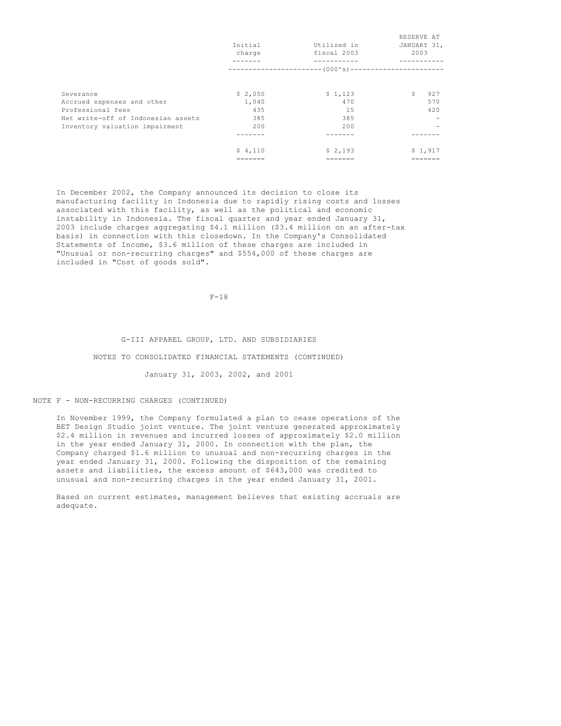|                                    |         |                                                         | RESERVE AT  |
|------------------------------------|---------|---------------------------------------------------------|-------------|
|                                    | Initial | Utilized in                                             | JANUARY 31, |
|                                    | charge  | fiscal 2003                                             | 2003        |
|                                    |         |                                                         |             |
|                                    |         | ----------------------- (000's)------------------------ |             |
| Severance                          | \$2,050 | \$1,123                                                 | \$.<br>927  |
|                                    |         |                                                         |             |
| Accrued expenses and other         | 1,040   | 470                                                     | 570         |
| Professional fees                  | 435     | 15                                                      | 420         |
| Net write-off of Indonesian assets | 385     | 385                                                     |             |
| Inventory valuation impairment     | 200     | 200                                                     |             |
|                                    |         |                                                         |             |
|                                    | \$4,110 | \$2,193                                                 | \$1,917     |
|                                    |         |                                                         |             |
|                                    |         |                                                         |             |

In December 2002, the Company announced its decision to close its manufacturing facility in Indonesia due to rapidly rising costs and losses associated with this facility, as well as the political and economic instability in Indonesia. The fiscal quarter and year ended January 31, 2003 include charges aggregating \$4.1 million (\$3.4 million on an after-tax basis) in connection with this closedown. In the Company's Consolidated Statements of Income, \$3.6 million of these charges are included in "Unusual or non-recurring charges" and \$554,000 of these charges are included in "Cost of goods sold".

F-18

#### G-III APPAREL GROUP, LTD. AND SUBSIDIARIES

#### NOTES TO CONSOLIDATED FINANCIAL STATEMENTS (CONTINUED)

January 31, 2003, 2002, and 2001

### NOTE F - NON-RECURRING CHARGES (CONTINUED)

In November 1999, the Company formulated a plan to cease operations of the BET Design Studio joint venture. The joint venture generated approximately \$2.4 million in revenues and incurred losses of approximately \$2.0 million in the year ended January 31, 2000. In connection with the plan, the Company charged \$1.6 million to unusual and non-recurring charges in the year ended January 31, 2000. Following the disposition of the remaining assets and liabilities, the excess amount of \$643,000 was credited to unusual and non-recurring charges in the year ended January 31, 2001.

Based on current estimates, management believes that existing accruals are adequate.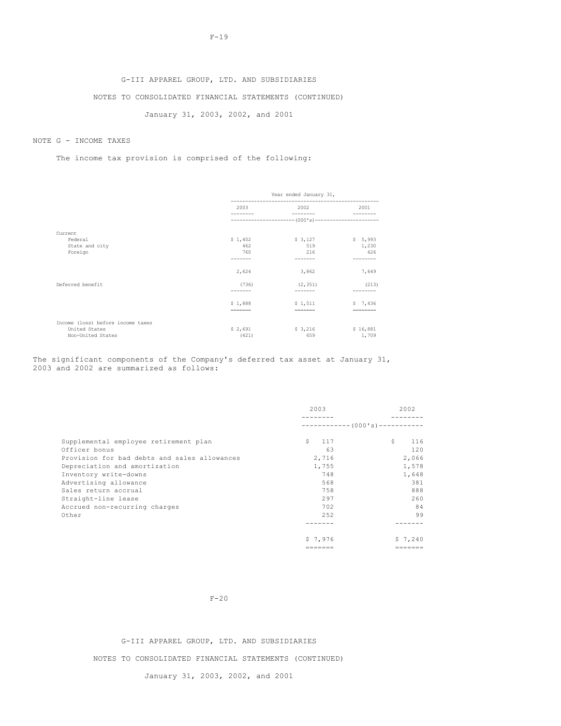# G-III APPAREL GROUP, LTD. AND SUBSIDIARIES NOTES TO CONSOLIDATED FINANCIAL STATEMENTS (CONTINUED)

January 31, 2003, 2002, and 2001

## NOTE G - INCOME TAXES

The income tax provision is comprised of the following:

|                                   |                                                                         | Year ended January 31,                               |          |  |  |  |
|-----------------------------------|-------------------------------------------------------------------------|------------------------------------------------------|----------|--|--|--|
|                                   | 2003                                                                    | 2002<br>---------                                    |          |  |  |  |
|                                   |                                                                         | ---------------------- (000's)---------------------- |          |  |  |  |
| Current                           |                                                                         |                                                      |          |  |  |  |
| Federal                           | \$1,402                                                                 | \$3,127                                              | \$5,993  |  |  |  |
| State and city                    | 462                                                                     | 519                                                  | 1,230    |  |  |  |
| Foreign                           | 760                                                                     | 216                                                  | 426      |  |  |  |
|                                   |                                                                         | -------                                              | -------  |  |  |  |
|                                   | 2,624                                                                   | 3,862                                                | 7,649    |  |  |  |
| Deferred benefit                  | (736)                                                                   | (2, 351)                                             | (213)    |  |  |  |
|                                   |                                                                         |                                                      |          |  |  |  |
|                                   | \$1,888                                                                 | \$1.511                                              | \$7,436  |  |  |  |
|                                   | $\qquad \qquad \equiv \equiv \equiv \equiv \equiv \equiv \equiv \equiv$ | =======                                              | -------- |  |  |  |
| Income (loss) before income taxes |                                                                         |                                                      |          |  |  |  |
| United States                     | \$2,691                                                                 | \$3,216                                              | \$16,881 |  |  |  |
| Non-United States                 | (421)                                                                   | 659                                                  | 1,709    |  |  |  |

The significant components of the Company's deferred tax asset at January 31, 2003 and 2002 are summarized as follows:

|                                              | 2003      | 2002                            |
|----------------------------------------------|-----------|---------------------------------|
|                                              |           | ------------ (000's)----------- |
| Supplemental employee retirement plan        | \$<br>117 | \$.<br>116                      |
| Officer bonus                                | 63        | 120                             |
| Provision for bad debts and sales allowances | 2,716     | 2,066                           |
| Depreciation and amortization                | 1,755     | 1,578                           |
| Inventory write-downs                        | 748       | 1,648                           |
| Advertising allowance                        | 568       | 381                             |
| Sales return accrual                         | 758       | 888                             |
| Straight-line lease                          | 297       | 260                             |
| Accrued non-recurring charges                | 702       | 84                              |
| Other                                        | 252       | 99                              |
|                                              |           |                                 |
|                                              | \$7.976   | \$7,240                         |
|                                              | .======   |                                 |

F-20

G-III APPAREL GROUP, LTD. AND SUBSIDIARIES

NOTES TO CONSOLIDATED FINANCIAL STATEMENTS (CONTINUED)

January 31, 2003, 2002, and 2001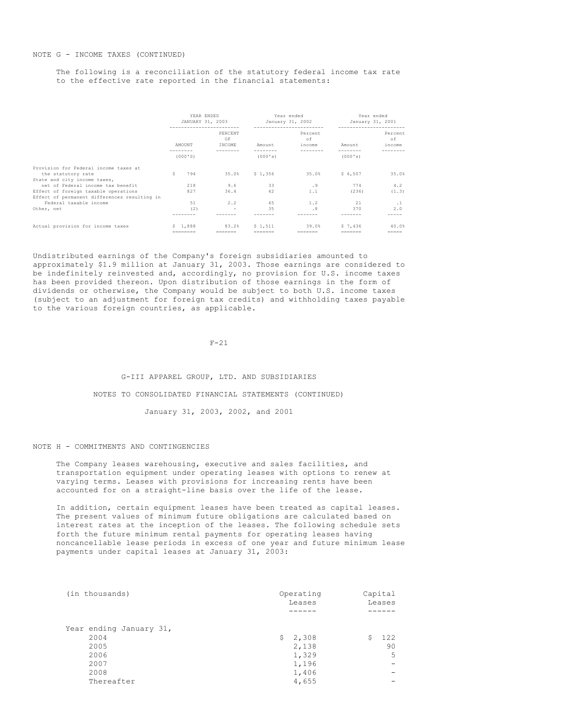The following is a reconciliation of the statutory federal income tax rate to the effective rate reported in the financial statements:

|                                              | YEAR ENDED<br>JANUARY 31, 2003 |           |  | Year ended<br>January 31, 2002 |         |  |         | Year ended<br>January 31, 2001 |                 |  |           |
|----------------------------------------------|--------------------------------|-----------|--|--------------------------------|---------|--|---------|--------------------------------|-----------------|--|-----------|
|                                              |                                |           |  |                                |         |  | Percent |                                |                 |  | Percent   |
|                                              |                                |           |  | PERCENT<br>OF                  |         |  | of      |                                |                 |  | of        |
|                                              |                                | AMOUNT    |  | INCOME                         | Amount  |  | income  |                                | Amount          |  | income    |
|                                              |                                | (000'S)   |  |                                | (000's) |  |         |                                | (000's)         |  |           |
| Provision for Federal income taxes at        |                                |           |  |                                |         |  |         |                                |                 |  |           |
| the statutory rate                           | s                              | 794       |  | 35.0%                          | \$1,356 |  | 35.0%   |                                | \$6,507         |  | 35.0%     |
| State and city income taxes,                 |                                |           |  |                                |         |  |         |                                |                 |  |           |
| net of Federal income tax benefit            |                                | 218       |  | 9.6                            | 33      |  | . 9     |                                | 774             |  | 4.2       |
| Effect of foreign taxable operations         |                                | 827       |  | 36.4                           | 42      |  | 1.1     |                                | (236)           |  | (1.3)     |
| Effect of permanent differences resulting in |                                |           |  |                                |         |  |         |                                |                 |  |           |
| Federal taxable income                       |                                | 51        |  | 2.2                            | 4.5     |  | 1.2     |                                | 21              |  | $\cdot$ 1 |
| Other, net                                   |                                | (2)       |  | $\overline{\phantom{a}}$       | 35      |  | .8      |                                | 370             |  | 2.0       |
|                                              |                                |           |  |                                |         |  |         |                                |                 |  |           |
| Actual provision for income taxes            |                                | \$1.888   |  | 83.2%                          | \$1.511 |  | 39.0%   |                                | \$7.436         |  | 40.0%     |
|                                              |                                | --------- |  | $= 1.14$                       |         |  |         |                                | $=$ = = = = = = |  | $=$       |

Undistributed earnings of the Company's foreign subsidiaries amounted to approximately \$1.9 million at January 31, 2003. Those earnings are considered to be indefinitely reinvested and, accordingly, no provision for U.S. income taxes has been provided thereon. Upon distribution of those earnings in the form of dividends or otherwise, the Company would be subject to both U.S. income taxes (subject to an adjustment for foreign tax credits) and withholding taxes payable to the various foreign countries, as applicable.

 $F-21$ 

G-III APPAREL GROUP, LTD. AND SUBSIDIARIES NOTES TO CONSOLIDATED FINANCIAL STATEMENTS (CONTINUED) January 31, 2003, 2002, and 2001

#### NOTE H - COMMITMENTS AND CONTINGENCIES

The Company leases warehousing, executive and sales facilities, and transportation equipment under operating leases with options to renew at varying terms. Leases with provisions for increasing rents have been accounted for on a straight-line basis over the life of the lease.

In addition, certain equipment leases have been treated as capital leases. The present values of minimum future obligations are calculated based on interest rates at the inception of the leases. The following schedule sets forth the future minimum rental payments for operating leases having noncancellable lease periods in excess of one year and future minimum lease payments under capital leases at January 31, 2003:

| (in thousands)          | Operating<br>Leases | Capital<br>Leases |  |  |
|-------------------------|---------------------|-------------------|--|--|
|                         |                     |                   |  |  |
| Year ending January 31, |                     |                   |  |  |
| 2004                    | 2,308<br>S.         | 122<br>\$         |  |  |
| 2005                    | 2,138               | 90                |  |  |
| 2006                    | 1,329               | 5                 |  |  |
| 2007                    | 1,196               |                   |  |  |
| 2008                    | 1,406               | -                 |  |  |
| Thereafter              | 4,655               |                   |  |  |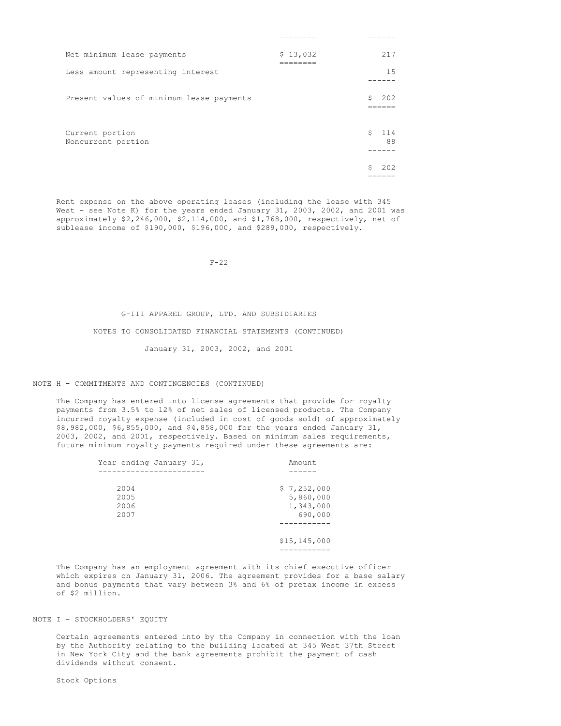| Net minimum lease payments               | \$13,032 |    | 217       |
|------------------------------------------|----------|----|-----------|
| Less amount representing interest        |          |    | 1.5       |
| Present values of minimum lease payments |          | Ŝ. | 202       |
| Current portion<br>Noncurrent portion    |          | Ŝ. | 114<br>88 |
|                                          |          | Ŝ  | 2.02      |

Rent expense on the above operating leases (including the lease with 345 West - see Note K) for the years ended January 31, 2003, 2002, and 2001 was approximately \$2,246,000, \$2,114,000, and \$1,768,000, respectively, net of sublease income of \$190,000, \$196,000, and \$289,000, respectively.

 $F - 22$ 

#### G-III APPAREL GROUP, LTD. AND SUBSIDIARIES

### NOTES TO CONSOLIDATED FINANCIAL STATEMENTS (CONTINUED)

January 31, 2003, 2002, and 2001

## NOTE H - COMMITMENTS AND CONTINGENCIES (CONTINUED)

The Company has entered into license agreements that provide for royalty payments from 3.5% to 12% of net sales of licensed products. The Company incurred royalty expense (included in cost of goods sold) of approximately \$8,982,000, \$6,855,000, and \$4,858,000 for the years ended January 31, 2003, 2002, and 2001, respectively. Based on minimum sales requirements, future minimum royalty payments required under these agreements are:

| Year ending January 31, | Amount         |
|-------------------------|----------------|
|                         |                |
| 2004                    | \$7,252,000    |
| 2005                    | 5,860,000      |
| 2006                    | 1,343,000      |
| 2007                    | 690,000        |
|                         |                |
|                         | \$15, 145, 000 |
|                         | _______        |

The Company has an employment agreement with its chief executive officer which expires on January 31, 2006. The agreement provides for a base salary and bonus payments that vary between 3% and 6% of pretax income in excess of \$2 million.

## NOTE I - STOCKHOLDERS' EQUITY

Certain agreements entered into by the Company in connection with the loan by the Authority relating to the building located at 345 West 37th Street in New York City and the bank agreements prohibit the payment of cash dividends without consent.

Stock Options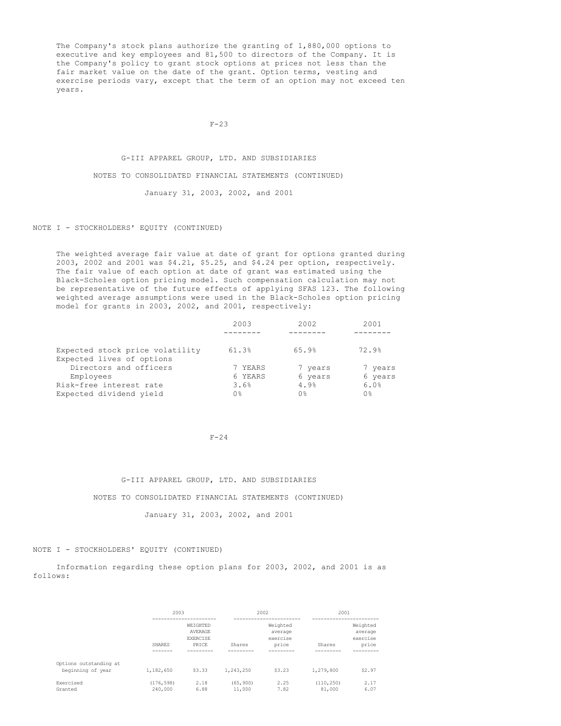The Company's stock plans authorize the granting of 1,880,000 options to executive and key employees and 81,500 to directors of the Company. It is the Company's policy to grant stock options at prices not less than the fair market value on the date of the grant. Option terms, vesting and exercise periods vary, except that the term of an option may not exceed ten years.

 $F-23$ 

# G-III APPAREL GROUP, LTD. AND SUBSIDIARIES NOTES TO CONSOLIDATED FINANCIAL STATEMENTS (CONTINUED) January 31, 2003, 2002, and 2001

## NOTE I - STOCKHOLDERS' EQUITY (CONTINUED)

The weighted average fair value at date of grant for options granted during 2003, 2002 and 2001 was \$4.21, \$5.25, and \$4.24 per option, respectively. The fair value of each option at date of grant was estimated using the Black-Scholes option pricing model. Such compensation calculation may not be representative of the future effects of applying SFAS 123. The following weighted average assumptions were used in the Black-Scholes option pricing model for grants in 2003, 2002, and 2001, respectively:

|                                 | 2003    | 2002    | 2001    |
|---------------------------------|---------|---------|---------|
|                                 |         |         |         |
| Expected stock price volatility | 61.3%   | 65.9%   | 72.9%   |
| Expected lives of options       |         |         |         |
| Directors and officers          | 7 YEARS | 7 years | 7 years |
| Employees                       | 6 YEARS | 6 years | 6 years |
| Risk-free interest rate         | 3.6%    | 4.9%    | 6.0%    |
| Expected dividend yield         | 0%      | 0 %     | 0%      |

F-24

G-III APPAREL GROUP, LTD. AND SUBSIDIARIES NOTES TO CONSOLIDATED FINANCIAL STATEMENTS (CONTINUED) January 31, 2003, 2002, and 2001

## NOTE I - STOCKHOLDERS' EQUITY (CONTINUED)

Information regarding these option plans for 2003, 2002, and 2001 is as follows:

|                                             | 2003                  |                                                 |                     | 2002                                     |                      | 2001                                     |  |  |
|---------------------------------------------|-----------------------|-------------------------------------------------|---------------------|------------------------------------------|----------------------|------------------------------------------|--|--|
|                                             | SHARES                | WEIGHTED<br>AVERAGE<br><b>EXERCISE</b><br>PRICE | Shares              | Weighted<br>average<br>exercise<br>price | Shares               | Weighted<br>average<br>exercise<br>price |  |  |
| Options outstanding at<br>beginning of year | 1,182,650             | \$3.33                                          | 1,243,250           | \$3.23                                   | 1,279,800            | \$2.97                                   |  |  |
| Exercised<br>Granted                        | (176, 598)<br>240,000 | 2.18<br>6.88                                    | (65, 900)<br>11,000 | 2.25<br>7.82                             | (110, 250)<br>81,000 | 2.17<br>6.07                             |  |  |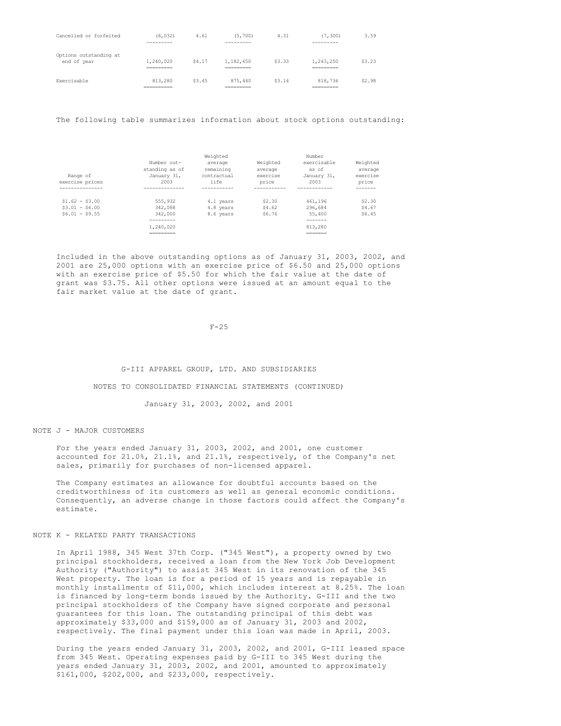| Cancelled or forfeited                | (6.032)<br>---------                | 4.61   | (5, 700)<br>---------                | 4.31   | 7,300)<br>---------                  | 3.59   |
|---------------------------------------|-------------------------------------|--------|--------------------------------------|--------|--------------------------------------|--------|
| Options outstanding at<br>end of year | 1,240,020<br>_________<br>--------- | \$4.17 | 1,182,650<br>__________<br>_________ | \$3.33 | 1,243,250<br>__________<br>========= | \$3.23 |
| Exercisable                           | 813,280<br>__________<br>__________ | \$3.45 | 875,440<br>__________<br>_________   | \$3.14 | 818,736<br>__________<br>=========   | \$2.98 |

The following table summarizes information about stock options outstanding:

| Range of<br>exercise prices                           | Number out-<br>standing as of<br>January 31,<br>2003 | Weighted<br>average<br>remaining<br>contractual<br>life | Weighted<br>average<br>exercise<br>price | Number<br>exercisable<br>as of<br>January 31,<br>2003 | Weighted<br>average<br>exercise<br>price |
|-------------------------------------------------------|------------------------------------------------------|---------------------------------------------------------|------------------------------------------|-------------------------------------------------------|------------------------------------------|
| -------------                                         | ----------                                           |                                                         |                                          |                                                       |                                          |
| $$1.62 - $3.00$<br>$$3.01 - $6.00$<br>$$6.01 - $9.55$ | 555,932<br>342,088<br>342,000                        | 4.1 years<br>4.8 years<br>8.6 years                     | \$2.30<br>\$4.62<br>S6.76                | 461,196<br>296,684<br>55,400                          | \$2,30<br>\$4.67<br>\$6.45               |
|                                                       | -------                                              |                                                         |                                          | -------                                               |                                          |
|                                                       | 1,240,020                                            |                                                         |                                          | 813,280                                               |                                          |
|                                                       | _________<br>---------                               |                                                         |                                          | _______<br>-------                                    |                                          |

Included in the above outstanding options as of January 31, 2003, 2002, and 2001 are 25,000 options with an exercise price of \$6.50 and 25,000 options with an exercise price of \$5.50 for which the fair value at the date of grant was \$3.75. All other options were issued at an amount equal to the fair market value at the date of grant.

 $F-25$ 

G-III APPAREL GROUP, LTD. AND SUBSIDIARIES

NOTES TO CONSOLIDATED FINANCIAL STATEMENTS (CONTINUED)

January 31, 2003, 2002, and 2001

NOTE J - MAJOR CUSTOMERS

For the years ended January 31, 2003, 2002, and 2001, one customer accounted for 21.0%, 21.1%, and 21.1%, respectively, of the Company's net sales, primarily for purchases of non-licensed apparel.

The Company estimates an allowance for doubtful accounts based on the creditworthiness of its customers as well as general economic conditions. Consequently, an adverse change in those factors could affect the Company's estimate.

## NOTE K - RELATED PARTY TRANSACTIONS

In April 1988, 345 West 37th Corp. ("345 West"), a property owned by two principal stockholders, received a loan from the New York Job Development Authority ("Authority") to assist 345 West in its renovation of the 345 West property. The loan is for a period of 15 years and is repayable in monthly installments of \$11,000, which includes interest at 8.25%. The loan is financed by long-term bonds issued by the Authority. G-III and the two principal stockholders of the Company have signed corporate and personal guarantees for this loan. The outstanding principal of this debt was approximately \$33,000 and \$159,000 as of January 31, 2003 and 2002, respectively. The final payment under this loan was made in April, 2003.

During the years ended January 31, 2003, 2002, and 2001, G-III leased space from 345 West. Operating expenses paid by G-III to 345 West during the years ended January 31, 2003, 2002, and 2001, amounted to approximately \$161,000, \$202,000, and \$233,000, respectively.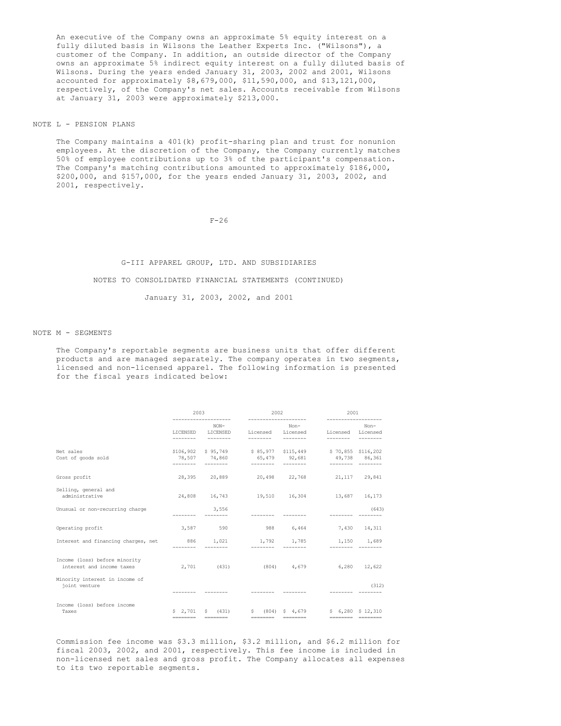An executive of the Company owns an approximate 5% equity interest on a fully diluted basis in Wilsons the Leather Experts Inc. ("Wilsons"), a customer of the Company. In addition, an outside director of the Company owns an approximate 5% indirect equity interest on a fully diluted basis of Wilsons. During the years ended January 31, 2003, 2002 and 2001, Wilsons accounted for approximately \$8,679,000, \$11,590,000, and \$13,121,000, respectively, of the Company's net sales. Accounts receivable from Wilsons at January 31, 2003 were approximately \$213,000.

NOTE L - PENSION PLANS

The Company maintains a 401(k) profit-sharing plan and trust for nonunion employees. At the discretion of the Company, the Company currently matches 50% of employee contributions up to 3% of the participant's compensation. The Company's matching contributions amounted to approximately \$186,000, \$200,000, and \$157,000, for the years ended January 31, 2003, 2002, and 2001, respectively.

 $F - 26$ 

# G-III APPAREL GROUP, LTD. AND SUBSIDIARIES NOTES TO CONSOLIDATED FINANCIAL STATEMENTS (CONTINUED) January 31, 2003, 2002, and 2001

NOTE M - SEGMENTS

The Company's reportable segments are business units that offer different products and are managed separately. The company operates in two segments, licensed and non-licensed apparel. The following information is presented for the fiscal years indicated below:

|                                                            | 2003<br>____________________ |                                         | 2002<br>-------------------- |                                        | 2001<br>--------------------                                                                                                                                                                                                                                                                                                                                                                                                                                                                                                                                                               |        |  |
|------------------------------------------------------------|------------------------------|-----------------------------------------|------------------------------|----------------------------------------|--------------------------------------------------------------------------------------------------------------------------------------------------------------------------------------------------------------------------------------------------------------------------------------------------------------------------------------------------------------------------------------------------------------------------------------------------------------------------------------------------------------------------------------------------------------------------------------------|--------|--|
|                                                            |                              | $NON-$<br>LICENSED LICENSED             |                              | Non-<br>Licensed Licensed<br>--------- | Licensed Licensed                                                                                                                                                                                                                                                                                                                                                                                                                                                                                                                                                                          | Non-   |  |
| Net sales<br>Cost of goods sold                            | ---------                    | --------                                | ---------                    | --------                               | \$106,902 \$95,749 \$85,977 \$115,449 \$70,855 \$116,202<br>78,507 74,860 65,479 92,681 49,738 86,361<br>$\begin{tabular}{lcccccc} \multicolumn{2}{l}{} & \multicolumn{2}{l}{} & \multicolumn{2}{l}{} & \multicolumn{2}{l}{} & \multicolumn{2}{l}{} & \multicolumn{2}{l}{} & \multicolumn{2}{l}{} & \multicolumn{2}{l}{} & \multicolumn{2}{l}{} & \multicolumn{2}{l}{} & \multicolumn{2}{l}{} & \multicolumn{2}{l}{} & \multicolumn{2}{l}{} & \multicolumn{2}{l}{} & \multicolumn{2}{l}{} & \multicolumn{2}{l}{} & \multicolumn{2}{l}{} & \multicolumn{2}{l}{} & \multicolumn{2}{l}{} & \$ |        |  |
| Gross profit                                               |                              |                                         |                              |                                        | 28,395 20,889 20,498 22,768 21,117                                                                                                                                                                                                                                                                                                                                                                                                                                                                                                                                                         | 29,841 |  |
| Selling, general and<br>administrative                     |                              |                                         |                              |                                        | 24,808 16,743 19,510 16,304 13,687 16,173                                                                                                                                                                                                                                                                                                                                                                                                                                                                                                                                                  |        |  |
| Unusual or non-recurring charge                            |                              | 3,556                                   |                              |                                        |                                                                                                                                                                                                                                                                                                                                                                                                                                                                                                                                                                                            | (643)  |  |
| Operating profit                                           |                              | 3,587 590                               |                              | 988 6,464                              | 7,430                                                                                                                                                                                                                                                                                                                                                                                                                                                                                                                                                                                      | 14,311 |  |
| Interest and financing charges, net 886 1,021              |                              |                                         |                              | 1,792 1,785                            | 1,150 1,689                                                                                                                                                                                                                                                                                                                                                                                                                                                                                                                                                                                |        |  |
| Income (loss) before minority<br>interest and income taxes |                              |                                         | 2,701 (431) (804) 4,679      |                                        | 6,280                                                                                                                                                                                                                                                                                                                                                                                                                                                                                                                                                                                      | 12,622 |  |
| Minority interest in income of<br>joint venture            |                              |                                         |                              |                                        |                                                                                                                                                                                                                                                                                                                                                                                                                                                                                                                                                                                            | (312)  |  |
| Income (loss) before income<br>Taxes                       |                              | $5$ 2,701 $5$ (431)<br>-------- ------- | ========                     | $S(804)$ $S(4,679)$                    | $$6.280$ $$12.310$<br>======== ========                                                                                                                                                                                                                                                                                                                                                                                                                                                                                                                                                    |        |  |

Commission fee income was \$3.3 million, \$3.2 million, and \$6.2 million for fiscal 2003, 2002, and 2001, respectively. This fee income is included in non-licensed net sales and gross profit. The Company allocates all expenses to its two reportable segments.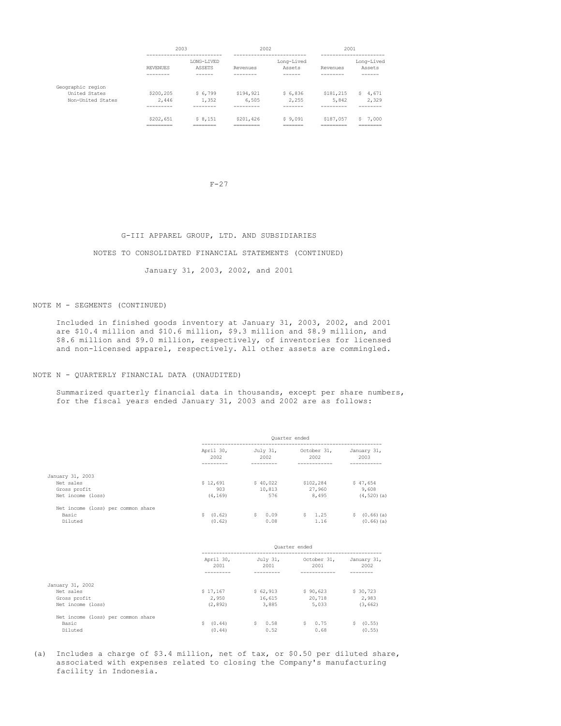|                                                         |                                      | 2003                             | 2002                                |                                | 2001                                 |                                   |
|---------------------------------------------------------|--------------------------------------|----------------------------------|-------------------------------------|--------------------------------|--------------------------------------|-----------------------------------|
|                                                         | <b>REVENUES</b><br>--------          | LONG-LIVED<br>ASSETS<br>------   | Revenues<br>--------                | Long-Lived<br>Assets<br>------ | Revenues<br>--------                 | Long-Lived<br>Assets<br>------    |
| Geographic region<br>United States<br>Non-United States | \$200,205<br>2,446<br>---------      | \$6.799<br>1,352                 | \$194,921<br>6,505                  | \$6,836<br>2,255               | \$181,215<br>5,842                   | 4.671<br>s<br>2,329               |
|                                                         | \$202,651<br>__________<br>--------- | \$8.151<br>_________<br>________ | \$201,426<br>_________<br>_________ | \$9.091<br>_______<br>=======  | \$187,057<br>__________<br>========= | ,000<br>Ś<br>________<br>________ |

#### $F-27$

### G-III APPAREL GROUP, LTD. AND SUBSIDIARIES

## NOTES TO CONSOLIDATED FINANCIAL STATEMENTS (CONTINUED)

## January 31, 2003, 2002, and 2001

## NOTE M - SEGMENTS (CONTINUED)

Included in finished goods inventory at January 31, 2003, 2002, and 2001 are \$10.4 million and \$10.6 million, \$9.3 million and \$8.9 million, and \$8.6 million and \$9.0 million, respectively, of inventories for licensed and non-licensed apparel, respectively. All other assets are commingled.

#### NOTE N - QUARTERLY FINANCIAL DATA (UNAUDITED)

Summarized quarterly financial data in thousands, except per share numbers, for the fiscal years ended January 31, 2003 and 2002 are as follows:

|                                                                    | Quarter ended               |                           |                              |                                     |
|--------------------------------------------------------------------|-----------------------------|---------------------------|------------------------------|-------------------------------------|
|                                                                    | April 30,<br>2002           | July 31,<br>2002          | October 31,<br>2002          | January 31,<br>2003                 |
| January 31, 2003<br>Net sales<br>Gross profit<br>Net income (loss) | \$12,691<br>903<br>(4, 169) | \$40.022<br>10,813<br>576 | \$102,284<br>27,960<br>8,495 | \$47,654<br>9,608<br>$(4, 520)$ (a) |
| Net income (loss) per common share<br>Basic<br>Diluted             | \$ (0.62)<br>(0.62)         | S.<br>0.09<br>0.08        | \$1.25<br>1.16               | $(0.66)$ (a)<br>Ŝ.<br>$(0.66)$ (a)  |

|                                    | Ouarter ended     |                  |                     |                     |
|------------------------------------|-------------------|------------------|---------------------|---------------------|
|                                    | April 30,<br>2001 | July 31,<br>2001 | October 31,<br>2001 | January 31,<br>2002 |
| January 31, 2002                   |                   |                  |                     |                     |
| Net sales                          | \$17,167          | \$62,913         | \$90,623            | \$30,723            |
| Gross profit                       | 2,950             | 16,615           | 20,718              | 2,983               |
| Net income (loss)                  | (2, 892)          | 3,885            | 5,033               | (3, 662)            |
| Net income (loss) per common share |                   |                  |                     |                     |
| Basic                              | \$ (0.44)         | S.<br>0.58       | S.<br>0.75          | \$ (0.55)           |
| Diluted                            | (0.44)            | 0.52             | 0.68                | (0.55)              |

(a) Includes a charge of \$3.4 million, net of tax, or \$0.50 per diluted share, associated with expenses related to closing the Company's manufacturing facility in Indonesia.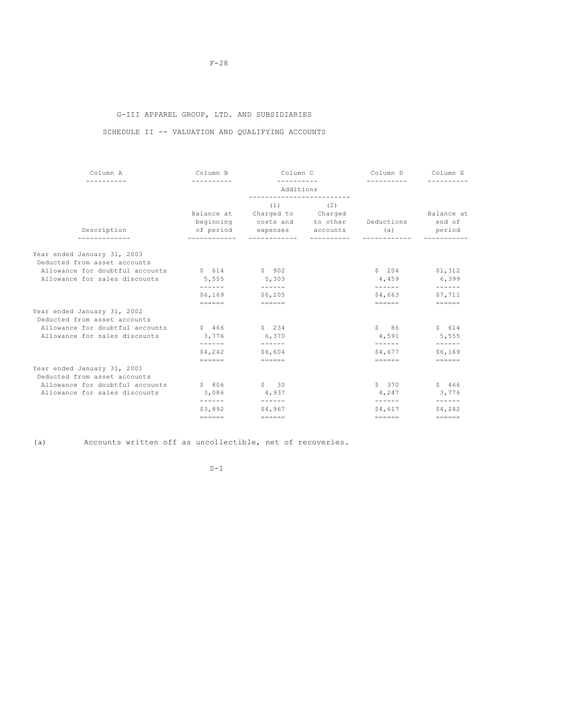# G-III APPAREL GROUP, LTD. AND SUBSIDIARIES

# SCHEDULE II -- VALUATION AND QUALIFYING ACCOUNTS

| Column A                                                    | Column B          | Column C                                                                                            |             | Column D                              | Column E                       |
|-------------------------------------------------------------|-------------------|-----------------------------------------------------------------------------------------------------|-------------|---------------------------------------|--------------------------------|
|                                                             |                   | ----------<br>Additions                                                                             | ----------- |                                       |                                |
| Description                                                 |                   | (1)<br>Balance at Charged to Charged<br>beginning costs and to other<br>of period expenses accounts | (2)         | Deductions<br>(a)                     | Balance at<br>end of<br>period |
| Year ended January 31, 2003                                 |                   |                                                                                                     |             |                                       |                                |
| Deducted from asset accounts                                |                   |                                                                                                     |             |                                       |                                |
| Allowance for doubtful accounts                             | \$614             | \$902                                                                                               |             | \$204                                 | \$1,312                        |
| Allowance for sales discounts                               | 5,555             | 5,303                                                                                               |             | 4,459                                 | 6,399                          |
|                                                             | ------<br>\$6,169 | \$6,205                                                                                             |             | \$4,663                               | $- - - - - -$<br>\$7,711       |
|                                                             | $= = = = = = =$   | $= = = = = = =$                                                                                     |             | $= = = = = = =$                       | $=$                            |
| Year ended January 31, 2002<br>Deducted from asset accounts |                   |                                                                                                     |             |                                       |                                |
| Allowance for doubtful accounts                             | \$466             | \$234                                                                                               |             | \$86                                  | \$614                          |
| Allowance for sales discounts                               | 3,776             | 6,370                                                                                               |             | 4,591                                 | 5,555                          |
|                                                             | ------            | $- - - - - -$                                                                                       |             |                                       | $- - - - - -$                  |
|                                                             | \$4,242           | \$6,604                                                                                             |             | \$4,677                               | \$6,169                        |
|                                                             | $=$               | $=$                                                                                                 |             | $=$                                   | $=$ = = = = =                  |
| Year ended January 31, 2001<br>Deducted from asset accounts |                   |                                                                                                     |             |                                       |                                |
| Allowance for doubtful accounts                             | \$806             | $S \qquad 30$                                                                                       |             | \$370                                 | \$466                          |
| Allowance for sales discounts                               | 3,086             | 4,937                                                                                               |             | 4,247                                 | 3,776                          |
|                                                             | -------           |                                                                                                     |             |                                       |                                |
|                                                             | \$3,892           | \$4,967                                                                                             |             | \$4,617                               | \$4,242                        |
|                                                             | $= = = = = = =$   | $=$                                                                                                 |             | $= \qquad \qquad = \qquad = \qquad =$ | $==-=-=-$                      |

(a) Accounts written off as uncollectible, net of recoveries.

 $S-1$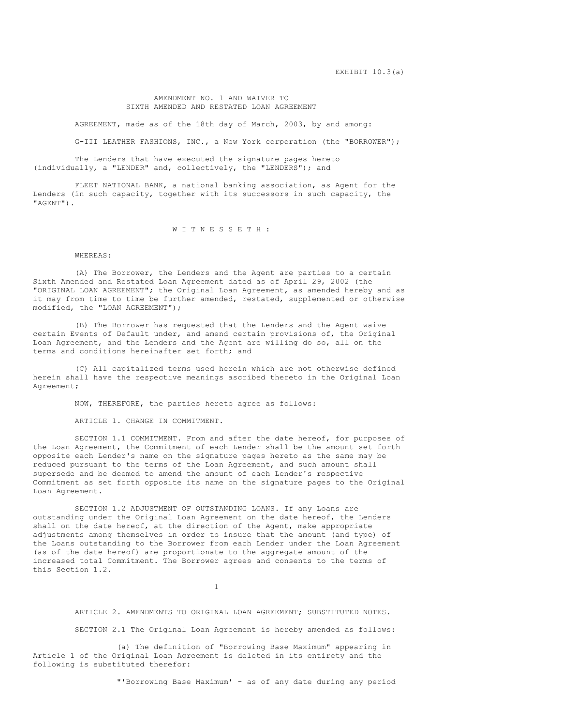#### AMENDMENT NO. 1 AND WAIVER TO SIXTH AMENDED AND RESTATED LOAN AGREEMENT

AGREEMENT, made as of the 18th day of March, 2003, by and among:

G-III LEATHER FASHIONS, INC., a New York corporation (the "BORROWER");

The Lenders that have executed the signature pages hereto (individually, a "LENDER" and, collectively, the "LENDERS"); and

FLEET NATIONAL BANK, a national banking association, as Agent for the Lenders (in such capacity, together with its successors in such capacity, the "AGENT").

W I T N E S S E T H :

#### WHEREAS:

(A) The Borrower, the Lenders and the Agent are parties to a certain Sixth Amended and Restated Loan Agreement dated as of April 29, 2002 (the "ORIGINAL LOAN AGREEMENT"; the Original Loan Agreement, as amended hereby and as it may from time to time be further amended, restated, supplemented or otherwise modified, the "LOAN AGREEMENT");

(B) The Borrower has requested that the Lenders and the Agent waive certain Events of Default under, and amend certain provisions of, the Original Loan Agreement, and the Lenders and the Agent are willing do so, all on the terms and conditions hereinafter set forth; and

(C) All capitalized terms used herein which are not otherwise defined herein shall have the respective meanings ascribed thereto in the Original Loan Agreement;

NOW, THEREFORE, the parties hereto agree as follows:

ARTICLE 1. CHANGE IN COMMITMENT.

SECTION 1.1 COMMITMENT. From and after the date hereof, for purposes of the Loan Agreement, the Commitment of each Lender shall be the amount set forth opposite each Lender's name on the signature pages hereto as the same may be reduced pursuant to the terms of the Loan Agreement, and such amount shall supersede and be deemed to amend the amount of each Lender's respective Commitment as set forth opposite its name on the signature pages to the Original Loan Agreement.

SECTION 1.2 ADJUSTMENT OF OUTSTANDING LOANS. If any Loans are outstanding under the Original Loan Agreement on the date hereof, the Lenders shall on the date hereof, at the direction of the Agent, make appropriate adjustments among themselves in order to insure that the amount (and type) of the Loans outstanding to the Borrower from each Lender under the Loan Agreement (as of the date hereof) are proportionate to the aggregate amount of the increased total Commitment. The Borrower agrees and consents to the terms of this Section 1.2.

1

ARTICLE 2. AMENDMENTS TO ORIGINAL LOAN AGREEMENT; SUBSTITUTED NOTES.

SECTION 2.1 The Original Loan Agreement is hereby amended as follows:

(a) The definition of "Borrowing Base Maximum" appearing in Article 1 of the Original Loan Agreement is deleted in its entirety and the following is substituted therefor:

"'Borrowing Base Maximum' - as of any date during any period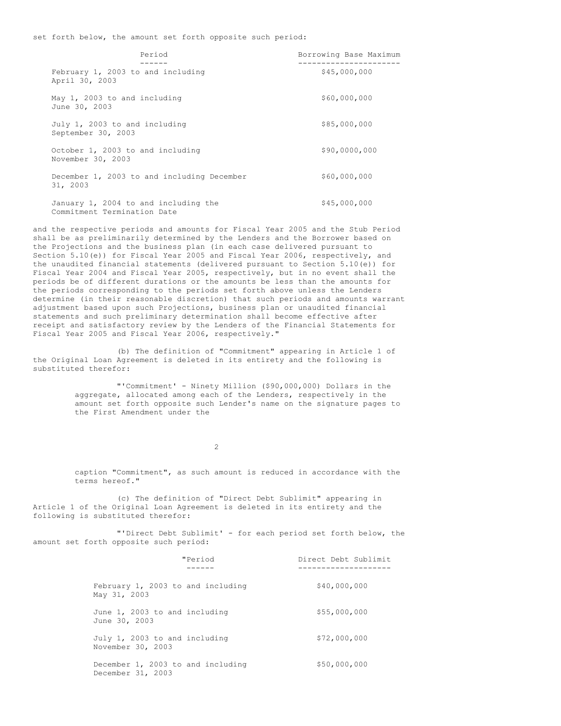set forth below, the amount set forth opposite such period:

| Period                                                              | Borrowing Base Maximum |
|---------------------------------------------------------------------|------------------------|
| February 1, 2003 to and including<br>April 30, 2003                 | \$45,000,000           |
| May 1, 2003 to and including<br>June 30, 2003                       | \$60,000,000           |
| July 1, 2003 to and including<br>September 30, 2003                 | \$85,000,000           |
| October 1, 2003 to and including<br>November 30, 2003               | \$90,0000,000          |
| December 1, 2003 to and including December<br>31, 2003              | \$60,000,000           |
| January 1, 2004 to and including the<br>Commitment Termination Date | \$45,000,000           |

and the respective periods and amounts for Fiscal Year 2005 and the Stub Period shall be as preliminarily determined by the Lenders and the Borrower based on the Projections and the business plan (in each case delivered pursuant to Section 5.10(e)) for Fiscal Year 2005 and Fiscal Year 2006, respectively, and the unaudited financial statements (delivered pursuant to Section 5.10(e)) for Fiscal Year 2004 and Fiscal Year 2005, respectively, but in no event shall the periods be of different durations or the amounts be less than the amounts for the periods corresponding to the periods set forth above unless the Lenders determine (in their reasonable discretion) that such periods and amounts warrant adjustment based upon such Projections, business plan or unaudited financial statements and such preliminary determination shall become effective after receipt and satisfactory review by the Lenders of the Financial Statements for Fiscal Year 2005 and Fiscal Year 2006, respectively."

(b) The definition of "Commitment" appearing in Article 1 of the Original Loan Agreement is deleted in its entirety and the following is substituted therefor:

> "'Commitment' - Ninety Million (\$90,000,000) Dollars in the aggregate, allocated among each of the Lenders, respectively in the amount set forth opposite such Lender's name on the signature pages to the First Amendment under the

> > $\mathcal{L}$

caption "Commitment", as such amount is reduced in accordance with the terms hereof."

(c) The definition of "Direct Debt Sublimit" appearing in Article 1 of the Original Loan Agreement is deleted in its entirety and the following is substituted therefor:

"'Direct Debt Sublimit' - for each period set forth below, the amount set forth opposite such period:

| "Period                                                | Direct Debt Sublimit |
|--------------------------------------------------------|----------------------|
| February 1, 2003 to and including<br>May 31, 2003      | \$40,000,000         |
| June 1, 2003 to and including<br>June 30, 2003         | \$55,000,000         |
| July 1, 2003 to and including<br>November 30, 2003     | \$72,000,000         |
| December 1, 2003 to and including<br>December 31, 2003 | \$50,000,000         |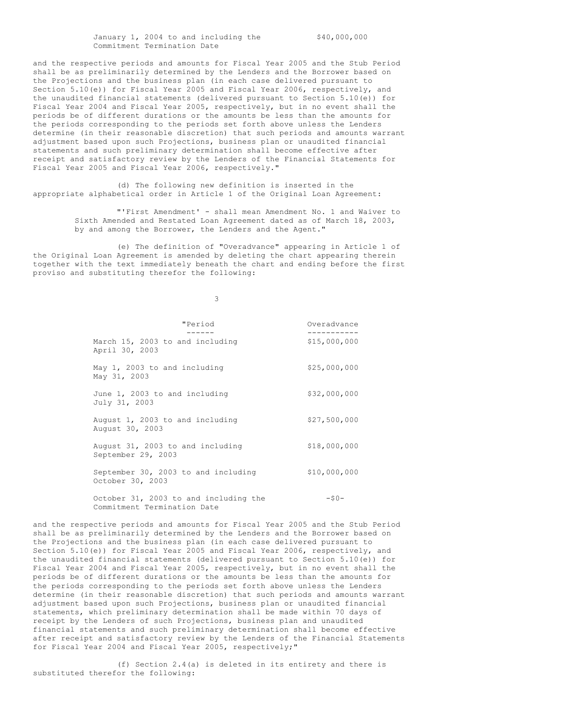January 1, 2004 to and including the  $$40,000,000$ Commitment Termination Date

and the respective periods and amounts for Fiscal Year 2005 and the Stub Period shall be as preliminarily determined by the Lenders and the Borrower based on the Projections and the business plan (in each case delivered pursuant to Section 5.10(e)) for Fiscal Year 2005 and Fiscal Year 2006, respectively, and the unaudited financial statements (delivered pursuant to Section 5.10(e)) for Fiscal Year 2004 and Fiscal Year 2005, respectively, but in no event shall the periods be of different durations or the amounts be less than the amounts for the periods corresponding to the periods set forth above unless the Lenders determine (in their reasonable discretion) that such periods and amounts warrant adjustment based upon such Projections, business plan or unaudited financial statements and such preliminary determination shall become effective after receipt and satisfactory review by the Lenders of the Financial Statements for Fiscal Year 2005 and Fiscal Year 2006, respectively."

(d) The following new definition is inserted in the appropriate alphabetical order in Article 1 of the Original Loan Agreement:

> "'First Amendment' - shall mean Amendment No. 1 and Waiver to Sixth Amended and Restated Loan Agreement dated as of March 18, 2003, by and among the Borrower, the Lenders and the Agent."

(e) The definition of "Overadvance" appearing in Article 1 of the Original Loan Agreement is amended by deleting the chart appearing therein together with the text immediately beneath the chart and ending before the first proviso and substituting therefor the following:

3

| "Period                                                              | Overadvance  |
|----------------------------------------------------------------------|--------------|
| March 15, 2003 to and including<br>April 30, 2003                    | \$15,000,000 |
| May 1, 2003 to and including<br>May 31, 2003                         | \$25,000,000 |
| June 1, 2003 to and including<br>July 31, 2003                       | \$32,000,000 |
| August 1, 2003 to and including<br>August 30, 2003                   | \$27,500,000 |
| August 31, 2003 to and including<br>September 29, 2003               | \$18,000,000 |
| September 30, 2003 to and including<br>October 30, 2003              | \$10,000,000 |
| October 31, 2003 to and including the<br>Commitment Termination Date | $-50-$       |

and the respective periods and amounts for Fiscal Year 2005 and the Stub Period shall be as preliminarily determined by the Lenders and the Borrower based on the Projections and the business plan (in each case delivered pursuant to Section 5.10(e)) for Fiscal Year 2005 and Fiscal Year 2006, respectively, and the unaudited financial statements (delivered pursuant to Section 5.10(e)) for Fiscal Year 2004 and Fiscal Year 2005, respectively, but in no event shall the periods be of different durations or the amounts be less than the amounts for the periods corresponding to the periods set forth above unless the Lenders determine (in their reasonable discretion) that such periods and amounts warrant adjustment based upon such Projections, business plan or unaudited financial statements, which preliminary determination shall be made within 70 days of receipt by the Lenders of such Projections, business plan and unaudited financial statements and such preliminary determination shall become effective after receipt and satisfactory review by the Lenders of the Financial Statements for Fiscal Year 2004 and Fiscal Year 2005, respectively;"

(f) Section 2.4(a) is deleted in its entirety and there is substituted therefor the following: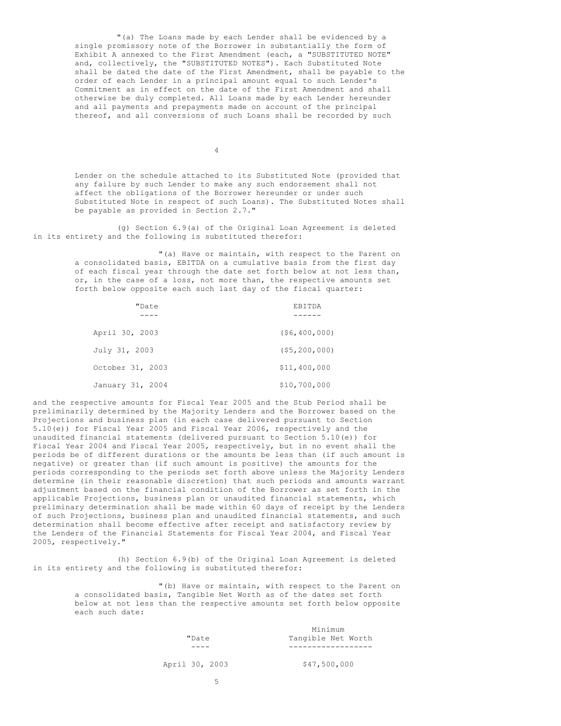"(a) The Loans made by each Lender shall be evidenced by a single promissory note of the Borrower in substantially the form of Exhibit A annexed to the First Amendment (each, a "SUBSTITUTED NOTE" and, collectively, the "SUBSTITUTED NOTES"). Each Substituted Note shall be dated the date of the First Amendment, shall be payable to the order of each Lender in a principal amount equal to such Lender's Commitment as in effect on the date of the First Amendment and shall otherwise be duly completed. All Loans made by each Lender hereunder and all payments and prepayments made on account of the principal thereof, and all conversions of such Loans shall be recorded by such

4

Lender on the schedule attached to its Substituted Note (provided that any failure by such Lender to make any such endorsement shall not affect the obligations of the Borrower hereunder or under such Substituted Note in respect of such Loans). The Substituted Notes shall be payable as provided in Section 2.7."

(g) Section 6.9(a) of the Original Loan Agreement is deleted in its entirety and the following is substituted therefor:

> "(a) Have or maintain, with respect to the Parent on a consolidated basis, EBITDA on a cumulative basis from the first day of each fiscal year through the date set forth below at not less than, or, in the case of a loss, not more than, the respective amounts set forth below opposite each such last day of the fiscal quarter:

| "Date            | <b>F.B.T.TDA</b> |
|------------------|------------------|
|                  |                  |
| April 30, 2003   | (56, 400, 000)   |
| July 31, 2003    | (55, 200, 000)   |
| October 31, 2003 | \$11,400,000     |
| January 31, 2004 | \$10,700,000     |

and the respective amounts for Fiscal Year 2005 and the Stub Period shall be preliminarily determined by the Majority Lenders and the Borrower based on the Projections and business plan (in each case delivered pursuant to Section 5.10(e)) for Fiscal Year 2005 and Fiscal Year 2006, respectively and the unaudited financial statements (delivered pursuant to Section 5.10(e)) for Fiscal Year 2004 and Fiscal Year 2005, respectively, but in no event shall the periods be of different durations or the amounts be less than (if such amount is negative) or greater than (if such amount is positive) the amounts for the periods corresponding to the periods set forth above unless the Majority Lenders determine (in their reasonable discretion) that such periods and amounts warrant adjustment based on the financial condition of the Borrower as set forth in the applicable Projections, business plan or unaudited financial statements, which preliminary determination shall be made within 60 days of receipt by the Lenders of such Projections, business plan and unaudited financial statements, and such determination shall become effective after receipt and satisfactory review by the Lenders of the Financial Statements for Fiscal Year 2004, and Fiscal Year 2005, respectively."

(h) Section 6.9(b) of the Original Loan Agreement is deleted in its entirety and the following is substituted therefor:

> "(b) Have or maintain, with respect to the Parent on a consolidated basis, Tangible Net Worth as of the dates set forth below at not less than the respective amounts set forth below opposite each such date:

|                |       | Minimum            |  |  |  |
|----------------|-------|--------------------|--|--|--|
|                | "Date | Tangible Net Worth |  |  |  |
|                |       |                    |  |  |  |
| April 30, 2003 |       | \$47,500,000       |  |  |  |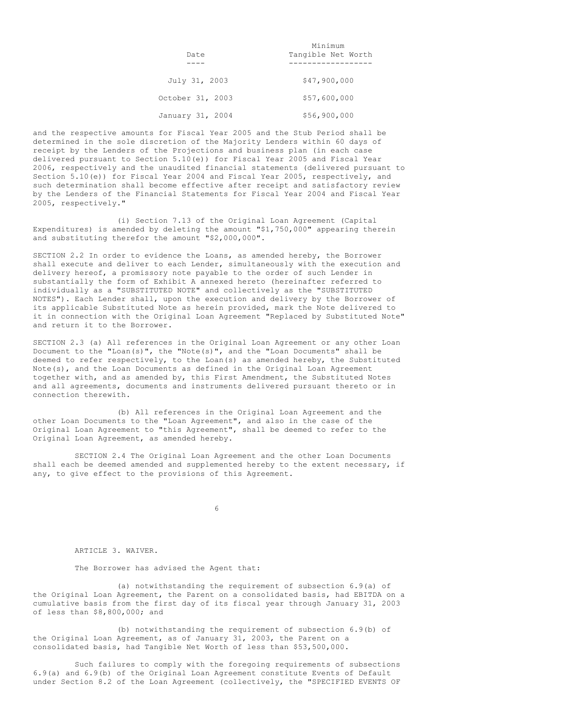|                  | Minimum            |
|------------------|--------------------|
| Date             | Tangible Net Worth |
|                  |                    |
| July 31, 2003    | \$47,900,000       |
| October 31, 2003 | \$57,600,000       |
| January 31, 2004 | \$56,900,000       |

and the respective amounts for Fiscal Year 2005 and the Stub Period shall be determined in the sole discretion of the Majority Lenders within 60 days of receipt by the Lenders of the Projections and business plan (in each case delivered pursuant to Section 5.10(e)) for Fiscal Year 2005 and Fiscal Year 2006, respectively and the unaudited financial statements (delivered pursuant to Section 5.10(e)) for Fiscal Year 2004 and Fiscal Year 2005, respectively, and such determination shall become effective after receipt and satisfactory review by the Lenders of the Financial Statements for Fiscal Year 2004 and Fiscal Year 2005, respectively."

(i) Section 7.13 of the Original Loan Agreement (Capital Expenditures) is amended by deleting the amount "\$1,750,000" appearing therein and substituting therefor the amount "\$2,000,000".

SECTION 2.2 In order to evidence the Loans, as amended hereby, the Borrower shall execute and deliver to each Lender, simultaneously with the execution and delivery hereof, a promissory note payable to the order of such Lender in substantially the form of Exhibit A annexed hereto (hereinafter referred to individually as a "SUBSTITUTED NOTE" and collectively as the "SUBSTITUTED NOTES"). Each Lender shall, upon the execution and delivery by the Borrower of its applicable Substituted Note as herein provided, mark the Note delivered to it in connection with the Original Loan Agreement "Replaced by Substituted Note" and return it to the Borrower.

SECTION 2.3 (a) All references in the Original Loan Agreement or any other Loan Document to the "Loan(s)", the "Note(s)", and the "Loan Documents" shall be deemed to refer respectively, to the Loan(s) as amended hereby, the Substituted Note(s), and the Loan Documents as defined in the Original Loan Agreement together with, and as amended by, this First Amendment, the Substituted Notes and all agreements, documents and instruments delivered pursuant thereto or in connection therewith.

(b) All references in the Original Loan Agreement and the other Loan Documents to the "Loan Agreement", and also in the case of the Original Loan Agreement to "this Agreement", shall be deemed to refer to the Original Loan Agreement, as amended hereby.

SECTION 2.4 The Original Loan Agreement and the other Loan Documents shall each be deemed amended and supplemented hereby to the extent necessary, if any, to give effect to the provisions of this Agreement.

6

#### ARTICLE 3. WAIVER.

The Borrower has advised the Agent that:

(a) notwithstanding the requirement of subsection 6.9(a) of the Original Loan Agreement, the Parent on a consolidated basis, had EBITDA on a cumulative basis from the first day of its fiscal year through January 31, 2003 of less than \$8,800,000; and

(b) notwithstanding the requirement of subsection 6.9(b) of the Original Loan Agreement, as of January 31, 2003, the Parent on a consolidated basis, had Tangible Net Worth of less than \$53,500,000.

Such failures to comply with the foregoing requirements of subsections 6.9(a) and 6.9(b) of the Original Loan Agreement constitute Events of Default under Section 8.2 of the Loan Agreement (collectively, the "SPECIFIED EVENTS OF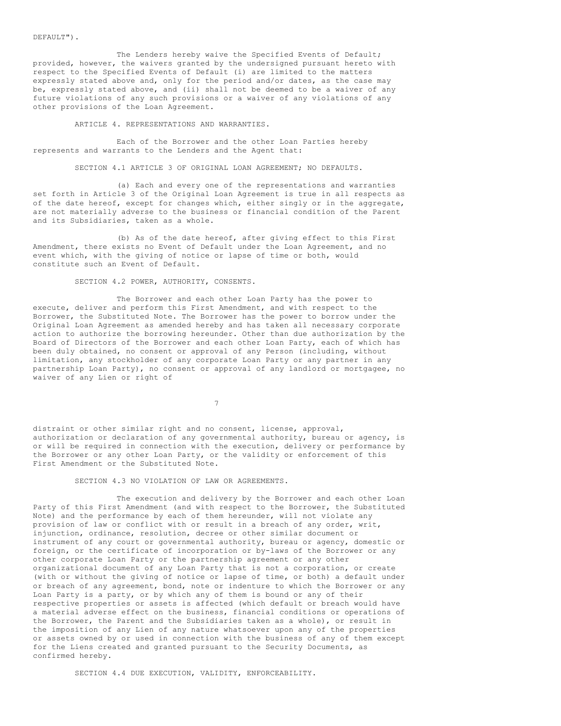#### DEFAULT").

The Lenders hereby waive the Specified Events of Default; provided, however, the waivers granted by the undersigned pursuant hereto with respect to the Specified Events of Default (i) are limited to the matters expressly stated above and, only for the period and/or dates, as the case may be, expressly stated above, and (ii) shall not be deemed to be a waiver of any future violations of any such provisions or a waiver of any violations of any other provisions of the Loan Agreement.

ARTICLE 4. REPRESENTATIONS AND WARRANTIES.

Each of the Borrower and the other Loan Parties hereby represents and warrants to the Lenders and the Agent that:

SECTION 4.1 ARTICLE 3 OF ORIGINAL LOAN AGREEMENT; NO DEFAULTS.

(a) Each and every one of the representations and warranties set forth in Article 3 of the Original Loan Agreement is true in all respects as of the date hereof, except for changes which, either singly or in the aggregate, are not materially adverse to the business or financial condition of the Parent and its Subsidiaries, taken as a whole.

(b) As of the date hereof, after giving effect to this First Amendment, there exists no Event of Default under the Loan Agreement, and no event which, with the giving of notice or lapse of time or both, would constitute such an Event of Default.

SECTION 4.2 POWER, AUTHORITY, CONSENTS.

The Borrower and each other Loan Party has the power to execute, deliver and perform this First Amendment, and with respect to the Borrower, the Substituted Note. The Borrower has the power to borrow under the Original Loan Agreement as amended hereby and has taken all necessary corporate action to authorize the borrowing hereunder. Other than due authorization by the Board of Directors of the Borrower and each other Loan Party, each of which has been duly obtained, no consent or approval of any Person (including, without limitation, any stockholder of any corporate Loan Party or any partner in any partnership Loan Party), no consent or approval of any landlord or mortgagee, no waiver of any Lien or right of

7

distraint or other similar right and no consent, license, approval, authorization or declaration of any governmental authority, bureau or agency, is or will be required in connection with the execution, delivery or performance by the Borrower or any other Loan Party, or the validity or enforcement of this First Amendment or the Substituted Note.

SECTION 4.3 NO VIOLATION OF LAW OR AGREEMENTS.

The execution and delivery by the Borrower and each other Loan Party of this First Amendment (and with respect to the Borrower, the Substituted Note) and the performance by each of them hereunder, will not violate any provision of law or conflict with or result in a breach of any order, writ, injunction, ordinance, resolution, decree or other similar document or instrument of any court or governmental authority, bureau or agency, domestic or foreign, or the certificate of incorporation or by-laws of the Borrower or any other corporate Loan Party or the partnership agreement or any other organizational document of any Loan Party that is not a corporation, or create (with or without the giving of notice or lapse of time, or both) a default under or breach of any agreement, bond, note or indenture to which the Borrower or any Loan Party is a party, or by which any of them is bound or any of their respective properties or assets is affected (which default or breach would have a material adverse effect on the business, financial conditions or operations of the Borrower, the Parent and the Subsidiaries taken as a whole), or result in the imposition of any Lien of any nature whatsoever upon any of the properties or assets owned by or used in connection with the business of any of them except for the Liens created and granted pursuant to the Security Documents, as confirmed hereby.

SECTION 4.4 DUE EXECUTION, VALIDITY, ENFORCEABILITY.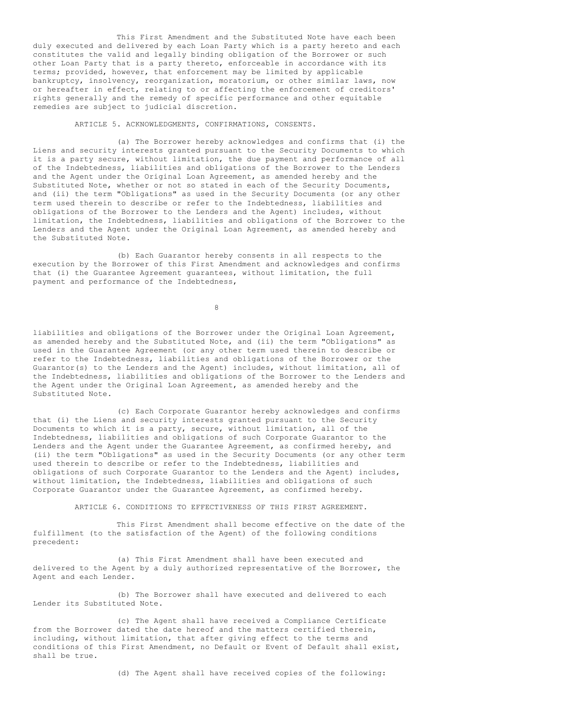This First Amendment and the Substituted Note have each been duly executed and delivered by each Loan Party which is a party hereto and each constitutes the valid and legally binding obligation of the Borrower or such other Loan Party that is a party thereto, enforceable in accordance with its terms; provided, however, that enforcement may be limited by applicable bankruptcy, insolvency, reorganization, moratorium, or other similar laws, now or hereafter in effect, relating to or affecting the enforcement of creditors' rights generally and the remedy of specific performance and other equitable remedies are subject to judicial discretion.

ARTICLE 5. ACKNOWLEDGMENTS, CONFIRMATIONS, CONSENTS.

(a) The Borrower hereby acknowledges and confirms that (i) the Liens and security interests granted pursuant to the Security Documents to which it is a party secure, without limitation, the due payment and performance of all of the Indebtedness, liabilities and obligations of the Borrower to the Lenders and the Agent under the Original Loan Agreement, as amended hereby and the Substituted Note, whether or not so stated in each of the Security Documents, and (ii) the term "Obligations" as used in the Security Documents (or any other term used therein to describe or refer to the Indebtedness, liabilities and obligations of the Borrower to the Lenders and the Agent) includes, without limitation, the Indebtedness, liabilities and obligations of the Borrower to the Lenders and the Agent under the Original Loan Agreement, as amended hereby and the Substituted Note.

(b) Each Guarantor hereby consents in all respects to the execution by the Borrower of this First Amendment and acknowledges and confirms that (i) the Guarantee Agreement guarantees, without limitation, the full payment and performance of the Indebtedness,

8

liabilities and obligations of the Borrower under the Original Loan Agreement, as amended hereby and the Substituted Note, and (ii) the term "Obligations" as used in the Guarantee Agreement (or any other term used therein to describe or refer to the Indebtedness, liabilities and obligations of the Borrower or the Guarantor(s) to the Lenders and the Agent) includes, without limitation, all of the Indebtedness, liabilities and obligations of the Borrower to the Lenders and the Agent under the Original Loan Agreement, as amended hereby and the Substituted Note.

(c) Each Corporate Guarantor hereby acknowledges and confirms that (i) the Liens and security interests granted pursuant to the Security Documents to which it is a party, secure, without limitation, all of the Indebtedness, liabilities and obligations of such Corporate Guarantor to the Lenders and the Agent under the Guarantee Agreement, as confirmed hereby, and (ii) the term "Obligations" as used in the Security Documents (or any other term used therein to describe or refer to the Indebtedness, liabilities and obligations of such Corporate Guarantor to the Lenders and the Agent) includes, without limitation, the Indebtedness, liabilities and obligations of such Corporate Guarantor under the Guarantee Agreement, as confirmed hereby.

ARTICLE 6. CONDITIONS TO EFFECTIVENESS OF THIS FIRST AGREEMENT.

This First Amendment shall become effective on the date of the fulfillment (to the satisfaction of the Agent) of the following conditions precedent:

(a) This First Amendment shall have been executed and delivered to the Agent by a duly authorized representative of the Borrower, the Agent and each Lender.

(b) The Borrower shall have executed and delivered to each Lender its Substituted Note.

(c) The Agent shall have received a Compliance Certificate from the Borrower dated the date hereof and the matters certified therein, including, without limitation, that after giving effect to the terms and conditions of this First Amendment, no Default or Event of Default shall exist, shall be true.

(d) The Agent shall have received copies of the following: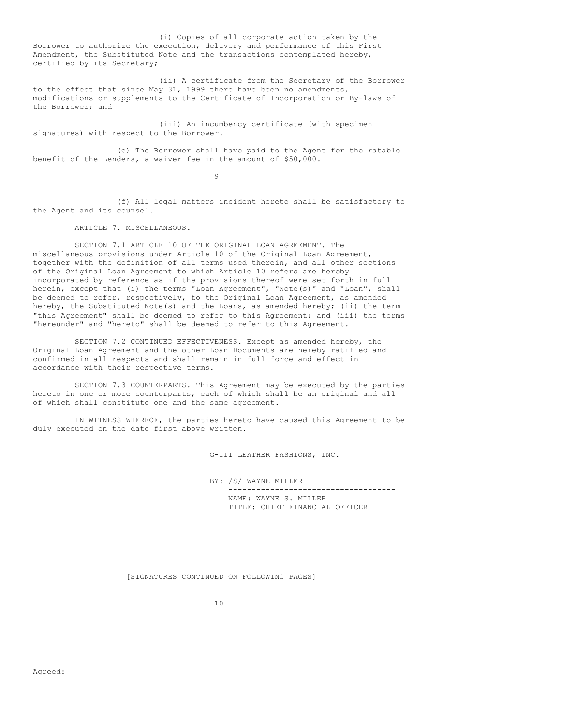(i) Copies of all corporate action taken by the Borrower to authorize the execution, delivery and performance of this First Amendment, the Substituted Note and the transactions contemplated hereby, certified by its Secretary;

(ii) A certificate from the Secretary of the Borrower to the effect that since May 31, 1999 there have been no amendments, modifications or supplements to the Certificate of Incorporation or By-laws of the Borrower; and

(iii) An incumbency certificate (with specimen signatures) with respect to the Borrower.

(e) The Borrower shall have paid to the Agent for the ratable benefit of the Lenders, a waiver fee in the amount of \$50,000.

 $\alpha$ 

(f) All legal matters incident hereto shall be satisfactory to the Agent and its counsel.

ARTICLE 7. MISCELLANEOUS.

SECTION 7.1 ARTICLE 10 OF THE ORIGINAL LOAN AGREEMENT. The miscellaneous provisions under Article 10 of the Original Loan Agreement, together with the definition of all terms used therein, and all other sections of the Original Loan Agreement to which Article 10 refers are hereby incorporated by reference as if the provisions thereof were set forth in full herein, except that (i) the terms "Loan Agreement", "Note(s)" and "Loan", shall be deemed to refer, respectively, to the Original Loan Agreement, as amended hereby, the Substituted Note(s) and the Loans, as amended hereby; (ii) the term "this Agreement" shall be deemed to refer to this Agreement; and (iii) the terms "hereunder" and "hereto" shall be deemed to refer to this Agreement.

SECTION 7.2 CONTINUED EFFECTIVENESS. Except as amended hereby, the Original Loan Agreement and the other Loan Documents are hereby ratified and confirmed in all respects and shall remain in full force and effect in accordance with their respective terms.

SECTION 7.3 COUNTERPARTS. This Agreement may be executed by the parties hereto in one or more counterparts, each of which shall be an original and all of which shall constitute one and the same agreement.

IN WITNESS WHEREOF, the parties hereto have caused this Agreement to be duly executed on the date first above written.

G-III LEATHER FASHIONS, INC.

BY: /S/ WAYNE MILLER

------------------------------------ NAME: WAYNE S. MILLER TITLE: CHIEF FINANCIAL OFFICER

[SIGNATURES CONTINUED ON FOLLOWING PAGES]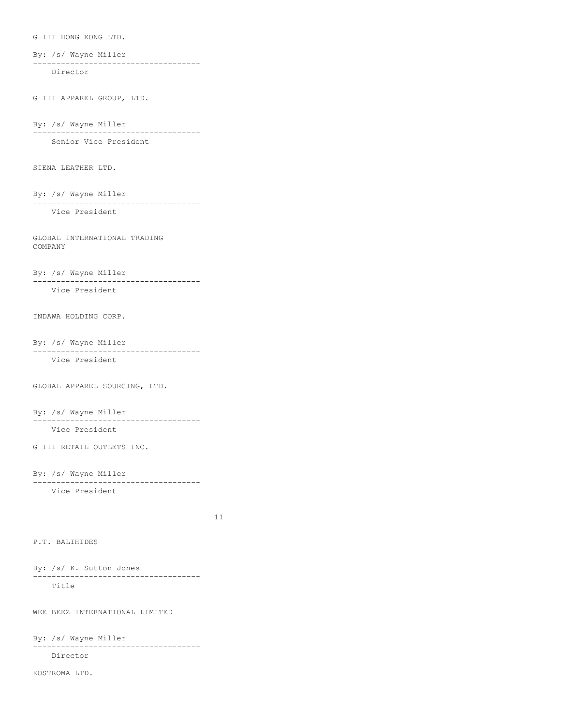G-III HONG KONG LTD.

By: /s/ Wayne Miller ------------------------------------ Director

G-III APPAREL GROUP, LTD.

By: /s/ Wayne Miller ------------------------------------ Senior Vice President

SIENA LEATHER LTD.

By: /s/ Wayne Miller ------------------------------------ Vice President

GLOBAL INTERNATIONAL TRADING COMPANY

By: /s/ Wayne Miller ------------------------------------ Vice President

INDAWA HOLDING CORP.

By: /s/ Wayne Miller

------------------------------------ Vice President

GLOBAL APPAREL SOURCING, LTD.

By: /s/ Wayne Miller ------------------------------------ Vice President

G-III RETAIL OUTLETS INC.

```
By: /s/ Wayne Miller
------------------------------------
  Vice President
```
11

P.T. BALIHIDES

By: /s/ K. Sutton Jones ------------------------------------ Title

WEE BEEZ INTERNATIONAL LIMITED

By: /s/ Wayne Miller ------------------------------------ Director

KOSTROMA LTD.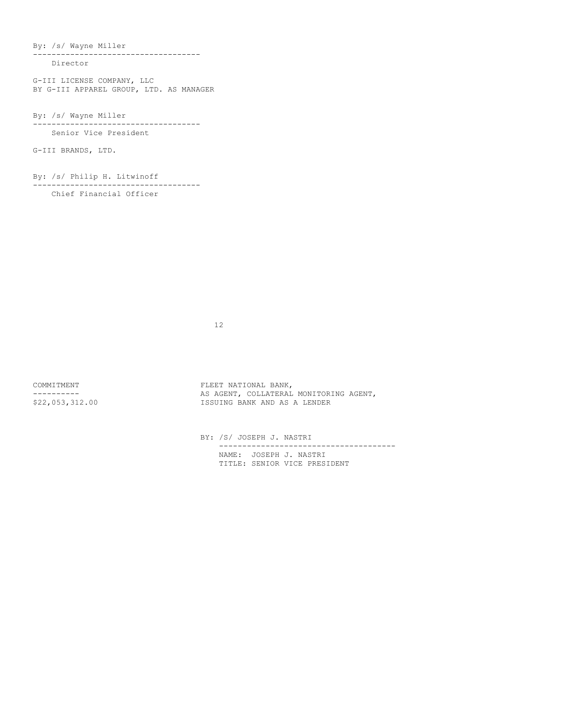By: /s/ Wayne Miller

------------------------------------ Director

G-III LICENSE COMPANY, LLC BY G-III APPAREL GROUP, LTD. AS MANAGER

By: /s/ Wayne Miller

------------------------------------ Senior Vice President

G-III BRANDS, LTD.

By: /s/ Philip H. Litwinoff

------------------------------------

Chief Financial Officer

12

COMMITMENT FLEET NATIONAL BANK, ---------- AS AGENT, COLLATERAL MONITORING AGENT, ISSUING BANK AND AS A LENDER

> BY: /S/ JOSEPH J. NASTRI -------------------------------------- NAME: JOSEPH J. NASTRI TITLE: SENIOR VICE PRESIDENT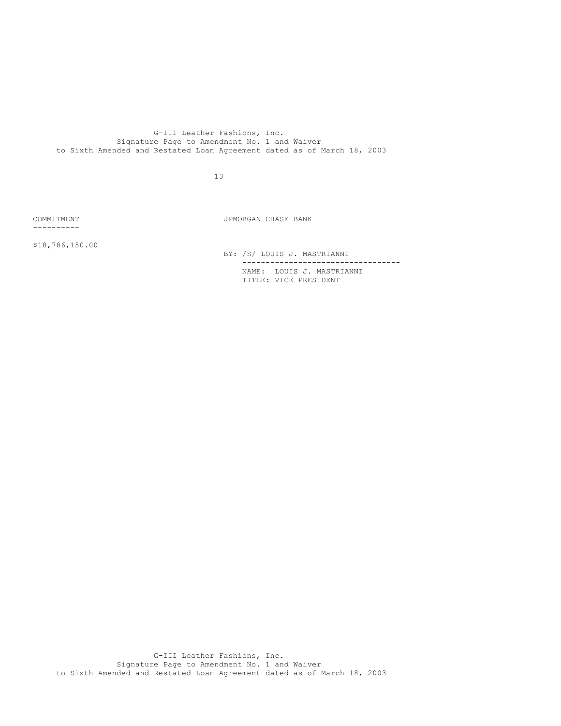G-III Leather Fashions, Inc. Signature Page to Amendment No. 1 and Waiver to Sixth Amended and Restated Loan Agreement dated as of March 18, 2003

13

----------

COMMITMENT JPMORGAN CHASE BANK

\$18,786,150.00

BY: /S/ LOUIS J. MASTRIANNI

---------------------------------- NAME: LOUIS J. MASTRIANNI TITLE: VICE PRESIDENT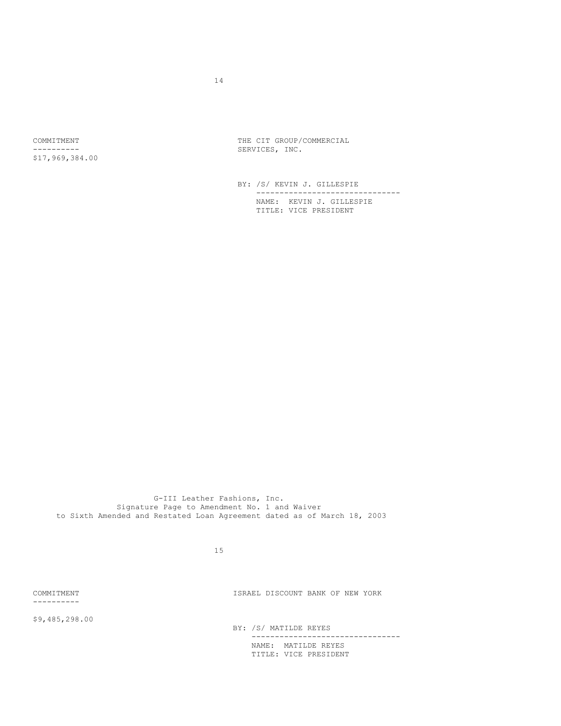\$17,969,384.00

COMMITMENT COMMITMENT COMMERCIAL COMMERCIAL ---------- SERVICES, INC.

> BY: /S/ KEVIN J. GILLESPIE ------------------------------- NAME: KEVIN J. GILLESPIE TITLE: VICE PRESIDENT

G-III Leather Fashions, Inc. Signature Page to Amendment No. 1 and Waiver to Sixth Amended and Restated Loan Agreement dated as of March 18, 2003

15

----------

COMMITMENT ISRAEL DISCOUNT BANK OF NEW YORK

\$9,485,298.00

BY: /S/ MATILDE REYES

-------------------------------- NAME: MATILDE REYES TITLE: VICE PRESIDENT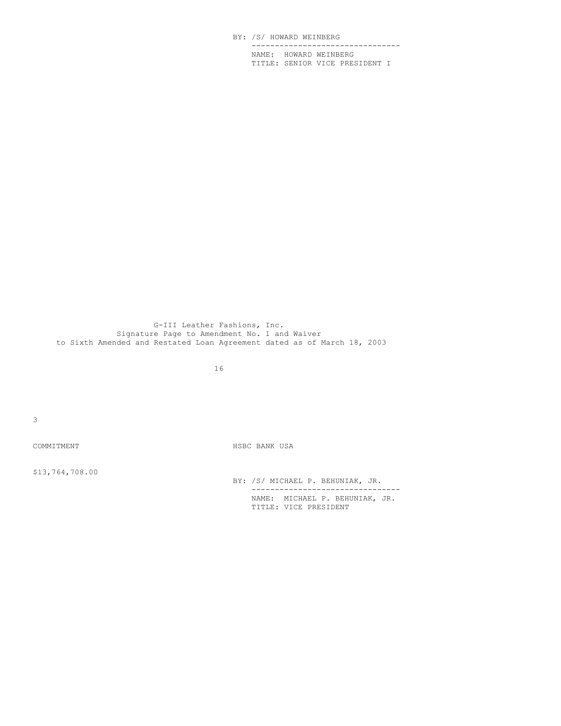BY: /S/ HOWARD WEINBERG -------------------------------- NAME: HOWARD WEINBERG TITLE: SENIOR VICE PRESIDENT I

G-III Leather Fashions, Inc. Signature Page to Amendment No. 1 and Waiver to Sixth Amended and Restated Loan Agreement dated as of March 18, 2003

16

3

COMMITMENT COMMITMENT

\$13,764,708.00

BY: /S/ MICHAEL P. BEHUNIAK, JR. -------------------------------- NAME: MICHAEL P. BEHUNIAK, JR. TITLE: VICE PRESIDENT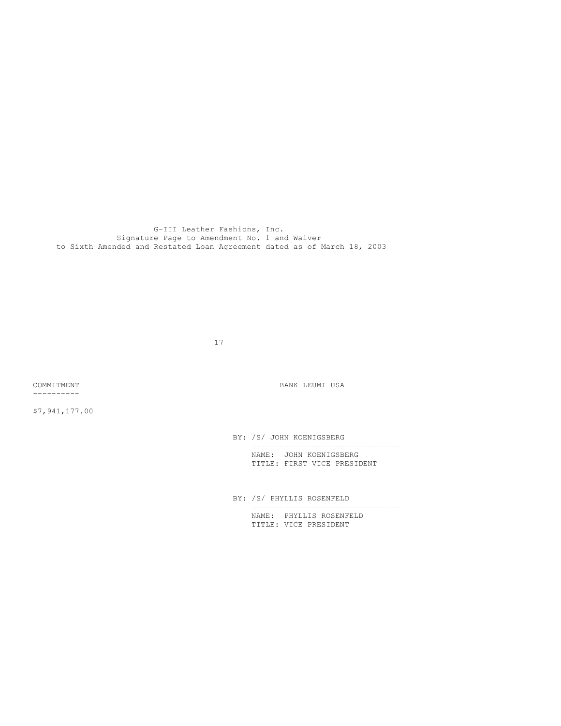G-III Leather Fashions, Inc. Signature Page to Amendment No. 1 and Waiver to Sixth Amended and Restated Loan Agreement dated as of March 18, 2003

17

----------

\$7,941,177.00

COMMITMENT COMMITMENT COMMITMENT

BY: /S/ JOHN KOENIGSBERG -------------------------------- NAME: JOHN KOENIGSBERG TITLE: FIRST VICE PRESIDENT

BY: /S/ PHYLLIS ROSENFELD -------------------------------- NAME: PHYLLIS ROSENFELD TITLE: VICE PRESIDENT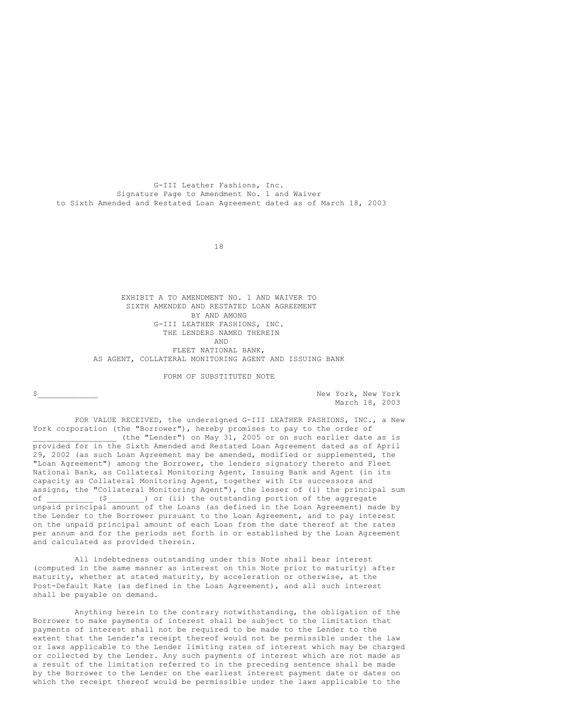G-III Leather Fashions, Inc. Signature Page to Amendment No. 1 and Waiver to Sixth Amended and Restated Loan Agreement dated as of March 18, 2003

18

EXHIBIT A TO AMENDMENT NO. 1 AND WAIVER TO SIXTH AMENDED AND RESTATED LOAN AGREEMENT BY AND AMONG G-III LEATHER FASHIONS, INC. THE LENDERS NAMED THEREIN AND FLEET NATIONAL BANK, AS AGENT, COLLATERAL MONITORING AGENT AND ISSUING BANK

FORM OF SUBSTITUTED NOTE

\$ March 18, 2003

FOR VALUE RECEIVED, the undersigned G-III LEATHER FASHIONS, INC., a New York corporation (the "Borrower"), hereby promises to pay to the order of \_\_\_\_\_\_\_\_\_\_\_\_\_\_\_\_\_\_ (the "Lender") on May 31, 2005 or on such earlier date as is provided for in the Sixth Amended and Restated Loan Agreement dated as of April 29, 2002 (as such Loan Agreement may be amended, modified or supplemented, the "Loan Agreement") among the Borrower, the lenders signatory thereto and Fleet National Bank, as Collateral Monitoring Agent, Issuing Bank and Agent (in its capacity as Collateral Monitoring Agent, together with its successors and assigns, the "Collateral Monitoring Agent"), the lesser of (i) the principal sum of  $($   $($   $)$  or (ii) the outstanding portion of the aggregate unpaid principal amount of the Loans (as defined in the Loan Agreement) made by the Lender to the Borrower pursuant to the Loan Agreement, and to pay interest on the unpaid principal amount of each Loan from the date thereof at the rates per annum and for the periods set forth in or established by the Loan Agreement and calculated as provided therein.

All indebtedness outstanding under this Note shall bear interest (computed in the same manner as interest on this Note prior to maturity) after maturity, whether at stated maturity, by acceleration or otherwise, at the Post-Default Rate (as defined in the Loan Agreement), and all such interest shall be payable on demand.

Anything herein to the contrary notwithstanding, the obligation of the Borrower to make payments of interest shall be subject to the limitation that payments of interest shall not be required to be made to the Lender to the extent that the Lender's receipt thereof would not be permissible under the law or laws applicable to the Lender limiting rates of interest which may be charged or collected by the Lender. Any such payments of interest which are not made as a result of the limitation referred to in the preceding sentence shall be made by the Borrower to the Lender on the earliest interest payment date or dates on which the receipt thereof would be permissible under the laws applicable to the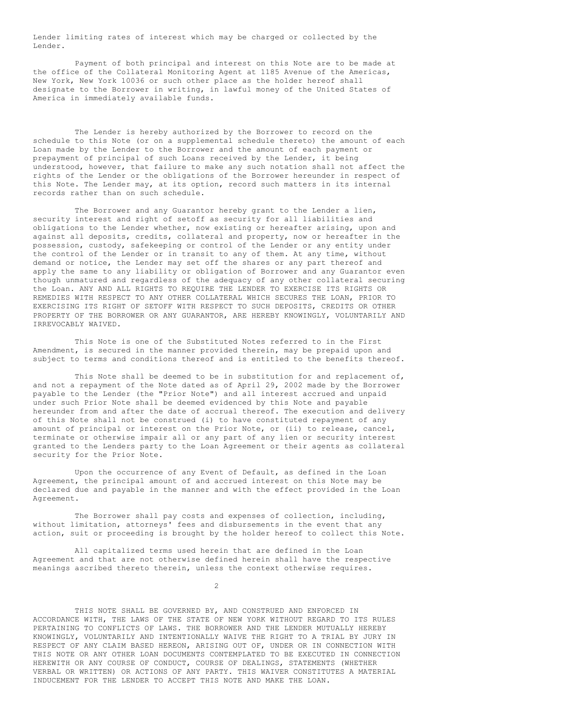Lender limiting rates of interest which may be charged or collected by the Lender.

Payment of both principal and interest on this Note are to be made at the office of the Collateral Monitoring Agent at 1185 Avenue of the Americas, New York, New York 10036 or such other place as the holder hereof shall designate to the Borrower in writing, in lawful money of the United States of America in immediately available funds.

The Lender is hereby authorized by the Borrower to record on the schedule to this Note (or on a supplemental schedule thereto) the amount of each Loan made by the Lender to the Borrower and the amount of each payment or prepayment of principal of such Loans received by the Lender, it being understood, however, that failure to make any such notation shall not affect the rights of the Lender or the obligations of the Borrower hereunder in respect of this Note. The Lender may, at its option, record such matters in its internal records rather than on such schedule.

The Borrower and any Guarantor hereby grant to the Lender a lien, security interest and right of setoff as security for all liabilities and obligations to the Lender whether, now existing or hereafter arising, upon and against all deposits, credits, collateral and property, now or hereafter in the possession, custody, safekeeping or control of the Lender or any entity under the control of the Lender or in transit to any of them. At any time, without demand or notice, the Lender may set off the shares or any part thereof and apply the same to any liability or obligation of Borrower and any Guarantor even though unmatured and regardless of the adequacy of any other collateral securing the Loan. ANY AND ALL RIGHTS TO REQUIRE THE LENDER TO EXERCISE ITS RIGHTS OR REMEDIES WITH RESPECT TO ANY OTHER COLLATERAL WHICH SECURES THE LOAN, PRIOR TO EXERCISING ITS RIGHT OF SETOFF WITH RESPECT TO SUCH DEPOSITS, CREDITS OR OTHER PROPERTY OF THE BORROWER OR ANY GUARANTOR, ARE HEREBY KNOWINGLY, VOLUNTARILY AND IRREVOCABLY WAIVED.

This Note is one of the Substituted Notes referred to in the First Amendment, is secured in the manner provided therein, may be prepaid upon and subject to terms and conditions thereof and is entitled to the benefits thereof.

This Note shall be deemed to be in substitution for and replacement of, and not a repayment of the Note dated as of April 29, 2002 made by the Borrower payable to the Lender (the "Prior Note") and all interest accrued and unpaid under such Prior Note shall be deemed evidenced by this Note and payable hereunder from and after the date of accrual thereof. The execution and delivery of this Note shall not be construed (i) to have constituted repayment of any amount of principal or interest on the Prior Note, or (ii) to release, cancel, terminate or otherwise impair all or any part of any lien or security interest granted to the Lenders party to the Loan Agreement or their agents as collateral security for the Prior Note.

Upon the occurrence of any Event of Default, as defined in the Loan Agreement, the principal amount of and accrued interest on this Note may be declared due and payable in the manner and with the effect provided in the Loan Agreement.

The Borrower shall pay costs and expenses of collection, including, without limitation, attorneys' fees and disbursements in the event that any action, suit or proceeding is brought by the holder hereof to collect this Note.

All capitalized terms used herein that are defined in the Loan Agreement and that are not otherwise defined herein shall have the respective meanings ascribed thereto therein, unless the context otherwise requires.

 $\mathfrak{D}$ 

THIS NOTE SHALL BE GOVERNED BY, AND CONSTRUED AND ENFORCED IN ACCORDANCE WITH, THE LAWS OF THE STATE OF NEW YORK WITHOUT REGARD TO ITS RULES PERTAINING TO CONFLICTS OF LAWS. THE BORROWER AND THE LENDER MUTUALLY HEREBY KNOWINGLY, VOLUNTARILY AND INTENTIONALLY WAIVE THE RIGHT TO A TRIAL BY JURY IN RESPECT OF ANY CLAIM BASED HEREON, ARISING OUT OF, UNDER OR IN CONNECTION WITH THIS NOTE OR ANY OTHER LOAN DOCUMENTS CONTEMPLATED TO BE EXECUTED IN CONNECTION HEREWITH OR ANY COURSE OF CONDUCT, COURSE OF DEALINGS, STATEMENTS (WHETHER VERBAL OR WRITTEN) OR ACTIONS OF ANY PARTY. THIS WAIVER CONSTITUTES A MATERIAL INDUCEMENT FOR THE LENDER TO ACCEPT THIS NOTE AND MAKE THE LOAN.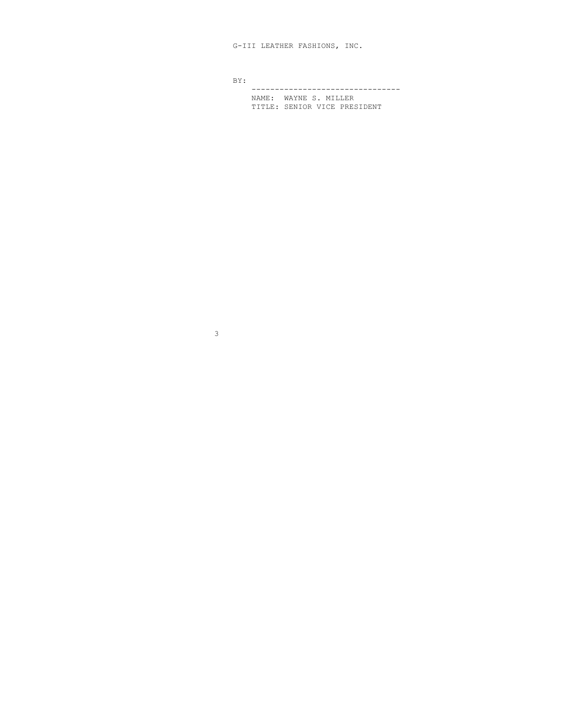G-III LEATHER FASHIONS, INC.

BY:

-------------------------------- NAME: WAYNE S. MILLER TITLE: SENIOR VICE PRESIDENT

3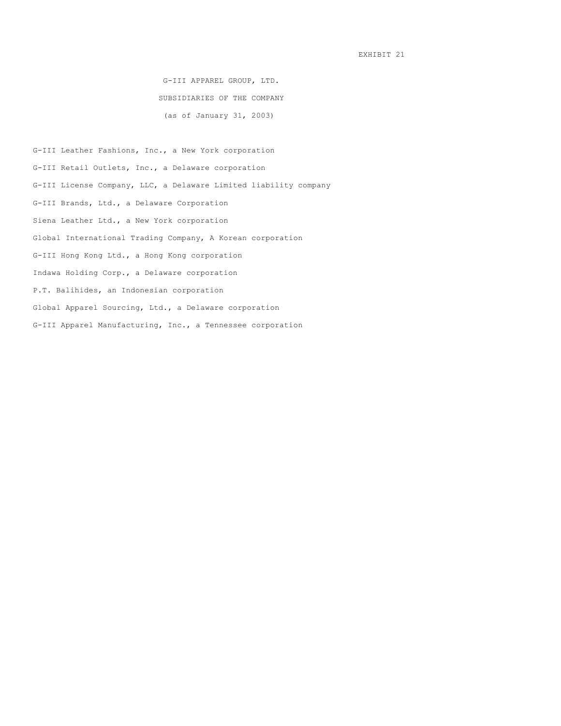EXHIBIT 21

G-III APPAREL GROUP, LTD. SUBSIDIARIES OF THE COMPANY (as of January 31, 2003)

G-III Leather Fashions, Inc., a New York corporation G-III Retail Outlets, Inc., a Delaware corporation G-III License Company, LLC, a Delaware Limited liability company G-III Brands, Ltd., a Delaware Corporation Siena Leather Ltd., a New York corporation Global International Trading Company, A Korean corporation G-III Hong Kong Ltd., a Hong Kong corporation Indawa Holding Corp., a Delaware corporation P.T. Balihides, an Indonesian corporation Global Apparel Sourcing, Ltd., a Delaware corporation G-III Apparel Manufacturing, Inc., a Tennessee corporation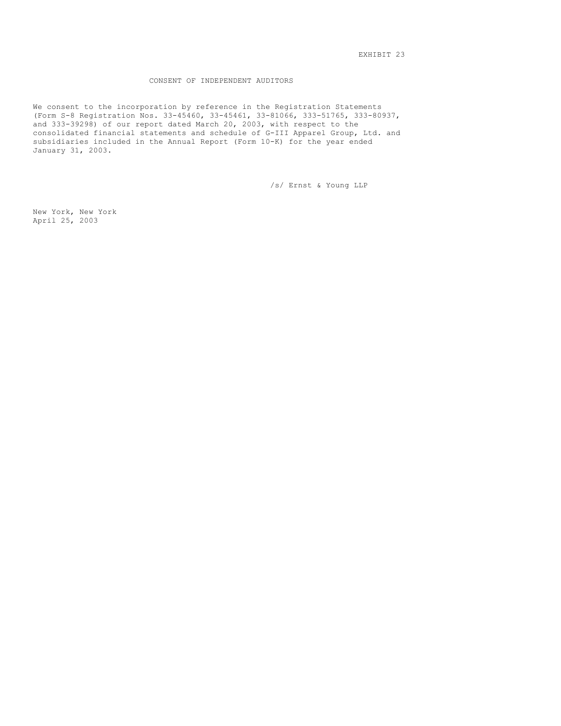EXHIBIT 23

## CONSENT OF INDEPENDENT AUDITORS

We consent to the incorporation by reference in the Registration Statements (Form S-8 Registration Nos. 33-45460, 33-45461, 33-81066, 333-51765, 333-80937, and 333-39298) of our report dated March 20, 2003, with respect to the consolidated financial statements and schedule of G-III Apparel Group, Ltd. and subsidiaries included in the Annual Report (Form 10-K) for the year ended January 31, 2003.

/s/ Ernst & Young LLP

New York, New York April 25, 2003